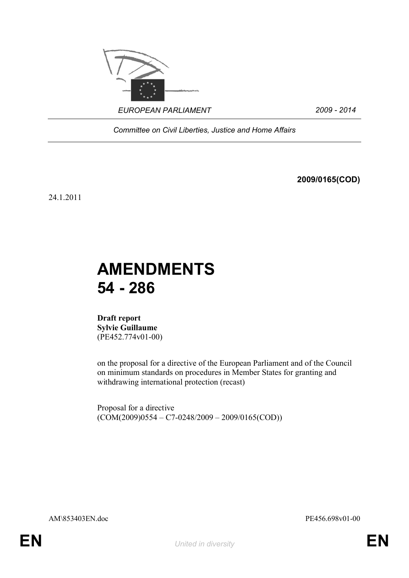

*Committee on Civil Liberties, Justice and Home Affairs*

**2009/0165(COD)**

24.1.2011

# **AMENDMENTS 54 - 286**

**Draft report Sylvie Guillaume** (PE452.774v01-00)

on the proposal for a directive of the European Parliament and of the Council on minimum standards on procedures in Member States for granting and withdrawing international protection (recast)

Proposal for a directive  $(COM(2009)0554 - C7 - 0248/2009 - 2009/0165(COD))$ 

AM\853403EN.doc PE456.698v01-00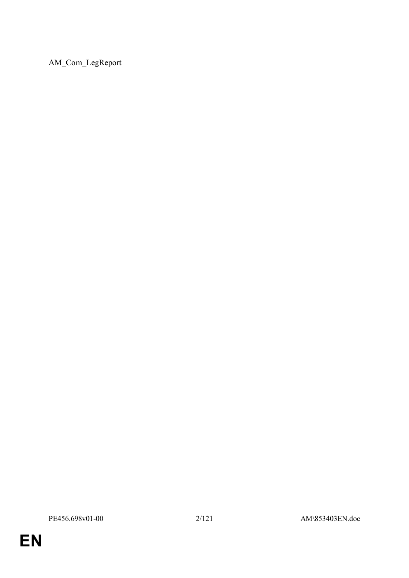AM\_Com\_LegReport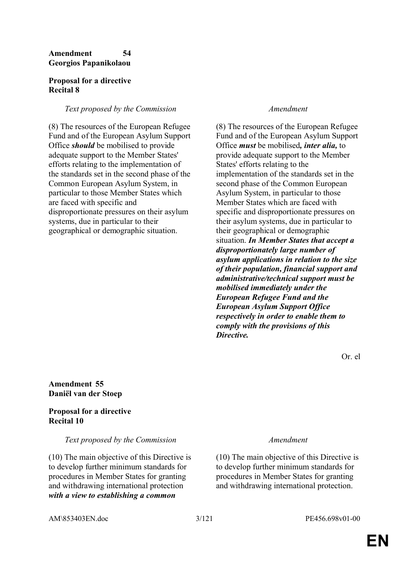### **Amendment 54 Georgios Papanikolaou**

#### **Proposal for a directive Recital 8**

### *Text proposed by the Commission Amendment*

(8) The resources of the European Refugee Fund and of the European Asylum Support Office *should* be mobilised to provide adequate support to the Member States' efforts relating to the implementation of the standards set in the second phase of the Common European Asylum System, in particular to those Member States which are faced with specific and disproportionate pressures on their asylum systems, due in particular to their geographical or demographic situation.

(8) The resources of the European Refugee Fund and of the European Asylum Support Office *must* be mobilised*, inter alia,* to provide adequate support to the Member States' efforts relating to the implementation of the standards set in the second phase of the Common European Asylum System, in particular to those Member States which are faced with specific and disproportionate pressures on their asylum systems, due in particular to their geographical or demographic situation. *In Member States that accept a disproportionately large number of asylum applications in relation to the size of their population, financial support and administrative/technical support must be mobilised immediately under the European Refugee Fund and the European Asylum Support Office respectively in order to enable them to comply with the provisions of this Directive.*

Or. el

### **Amendment 55 Daniël van der Stoep**

### **Proposal for a directive Recital 10**

*Text proposed by the Commission Amendment*

(10) The main objective of this Directive is to develop further minimum standards for procedures in Member States for granting and withdrawing international protection *with a view to establishing a common* 

(10) The main objective of this Directive is to develop further minimum standards for procedures in Member States for granting and withdrawing international protection.

AM\853403EN.doc 3/121 PE456.698v01-00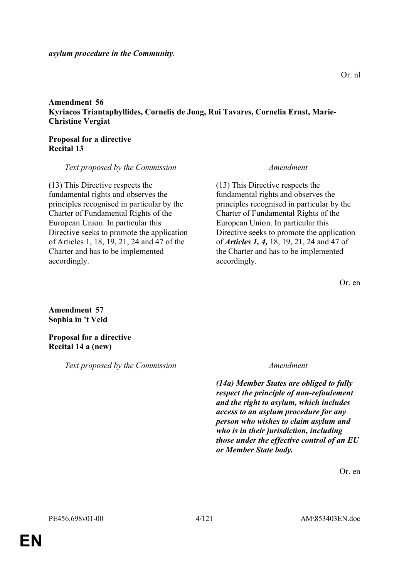*asylum procedure in the Community*.

**Amendment 56 Kyriacos Triantaphyllides, Cornelis de Jong, Rui Tavares, Cornelia Ernst, Marie-Christine Vergiat**

#### **Proposal for a directive Recital 13**

*Text proposed by the Commission Amendment*

(13) This Directive respects the fundamental rights and observes the principles recognised in particular by the Charter of Fundamental Rights of the European Union. In particular this Directive seeks to promote the application of Articles 1, 18, 19, 21, 24 and 47 of the Charter and has to be implemented accordingly.

(13) This Directive respects the fundamental rights and observes the principles recognised in particular by the Charter of Fundamental Rights of the European Union. In particular this Directive seeks to promote the application of *Articles 1, 4,* 18, 19, 21, 24 and 47 of the Charter and has to be implemented accordingly.

Or. en

### **Amendment 57 Sophia in 't Veld**

**Proposal for a directive Recital 14 a (new)** 

*Text proposed by the Commission Amendment*

*(14a) Member States are obliged to fully respect the principle of non-refoulement and the right to asylum, which includes access to an asylum procedure for any person who wishes to claim asylum and who is in their jurisdiction, including those under the effective control of an EU or Member State body.*

Or. en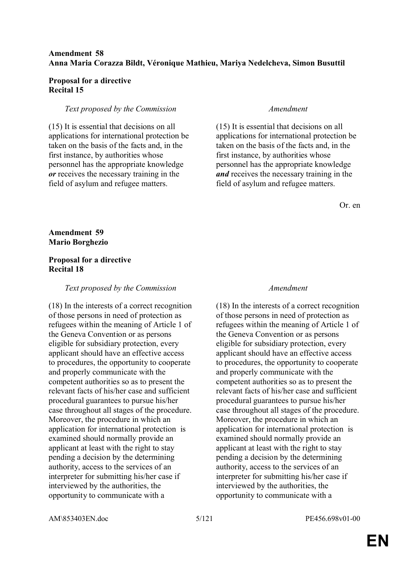### **Amendment 58 Anna Maria Corazza Bildt, Véronique Mathieu, Mariya Nedelcheva, Simon Busuttil**

#### **Proposal for a directive Recital 15**

#### *Text proposed by the Commission Amendment*

(15) It is essential that decisions on all applications for international protection be taken on the basis of the facts and, in the first instance, by authorities whose personnel has the appropriate knowledge *or* receives the necessary training in the field of asylum and refugee matters.

(15) It is essential that decisions on all applications for international protection be taken on the basis of the facts and, in the first instance, by authorities whose personnel has the appropriate knowledge *and* receives the necessary training in the field of asylum and refugee matters.

Or. en

**Amendment 59 Mario Borghezio**

#### **Proposal for a directive Recital 18**

#### *Text proposed by the Commission Amendment*

(18) In the interests of a correct recognition of those persons in need of protection as refugees within the meaning of Article 1 of the Geneva Convention or as persons eligible for subsidiary protection, every applicant should have an effective access to procedures, the opportunity to cooperate and properly communicate with the competent authorities so as to present the relevant facts of his/her case and sufficient procedural guarantees to pursue his/her case throughout all stages of the procedure. Moreover, the procedure in which an application for international protection is examined should normally provide an applicant at least with the right to stay pending a decision by the determining authority, access to the services of an interpreter for submitting his/her case if interviewed by the authorities, the opportunity to communicate with a

(18) In the interests of a correct recognition of those persons in need of protection as refugees within the meaning of Article 1 of the Geneva Convention or as persons eligible for subsidiary protection, every applicant should have an effective access to procedures, the opportunity to cooperate and properly communicate with the competent authorities so as to present the relevant facts of his/her case and sufficient procedural guarantees to pursue his/her case throughout all stages of the procedure. Moreover, the procedure in which an application for international protection is examined should normally provide an applicant at least with the right to stay pending a decision by the determining authority, access to the services of an interpreter for submitting his/her case if interviewed by the authorities, the opportunity to communicate with a

AM\853403EN.doc 5/121 PE456.698v01-00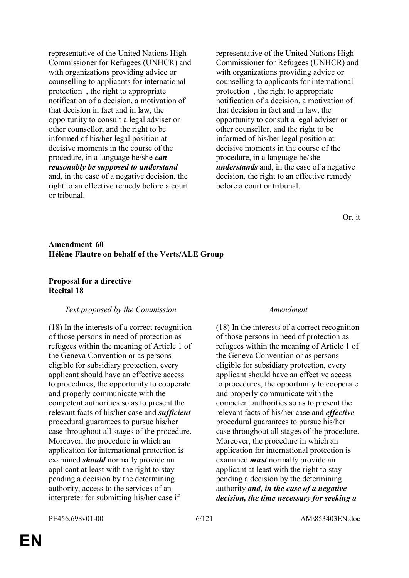representative of the United Nations High Commissioner for Refugees (UNHCR) and with organizations providing advice or counselling to applicants for international protection , the right to appropriate notification of a decision, a motivation of that decision in fact and in law, the opportunity to consult a legal adviser or other counsellor, and the right to be informed of his/her legal position at decisive moments in the course of the procedure, in a language he/she *can reasonably be supposed to understand* and, in the case of a negative decision, the right to an effective remedy before a court or tribunal.

representative of the United Nations High Commissioner for Refugees (UNHCR) and with organizations providing advice or counselling to applicants for international protection , the right to appropriate notification of a decision, a motivation of that decision in fact and in law, the opportunity to consult a legal adviser or other counsellor, and the right to be informed of his/her legal position at decisive moments in the course of the procedure, in a language he/she *understands* and, in the case of a negative decision, the right to an effective remedy before a court or tribunal.

Or. it

### **Amendment 60 Hélène Flautre on behalf of the Verts/ALE Group**

#### **Proposal for a directive Recital 18**

#### *Text proposed by the Commission Amendment*

(18) In the interests of a correct recognition of those persons in need of protection as refugees within the meaning of Article 1 of the Geneva Convention or as persons eligible for subsidiary protection, every applicant should have an effective access to procedures, the opportunity to cooperate and properly communicate with the competent authorities so as to present the relevant facts of his/her case and *sufficient* procedural guarantees to pursue his/her case throughout all stages of the procedure. Moreover, the procedure in which an application for international protection is examined *should* normally provide an applicant at least with the right to stay pending a decision by the determining authority, access to the services of an interpreter for submitting his/her case if

(18) In the interests of a correct recognition of those persons in need of protection as refugees within the meaning of Article 1 of the Geneva Convention or as persons eligible for subsidiary protection, every applicant should have an effective access to procedures, the opportunity to cooperate and properly communicate with the competent authorities so as to present the relevant facts of his/her case and *effective* procedural guarantees to pursue his/her case throughout all stages of the procedure. Moreover, the procedure in which an application for international protection is examined *must* normally provide an applicant at least with the right to stay pending a decision by the determining authority *and, in the case of a negative decision, the time necessary for seeking a*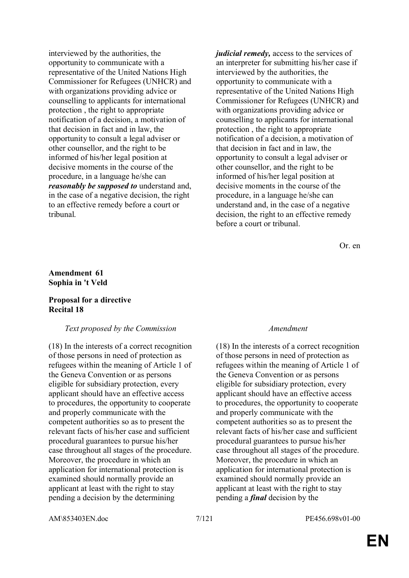interviewed by the authorities, the opportunity to communicate with a representative of the United Nations High Commissioner for Refugees (UNHCR) and with organizations providing advice or counselling to applicants for international protection , the right to appropriate notification of a decision, a motivation of that decision in fact and in law, the opportunity to consult a legal adviser or other counsellor, and the right to be informed of his/her legal position at decisive moments in the course of the procedure, in a language he/she can *reasonably be supposed to* understand and, in the case of a negative decision, the right to an effective remedy before a court or tribunal.

*judicial remedy,* access to the services of an interpreter for submitting his/her case if interviewed by the authorities, the opportunity to communicate with a representative of the United Nations High Commissioner for Refugees (UNHCR) and with organizations providing advice or counselling to applicants for international protection , the right to appropriate notification of a decision, a motivation of that decision in fact and in law, the opportunity to consult a legal adviser or other counsellor, and the right to be informed of his/her legal position at decisive moments in the course of the procedure, in a language he/she can understand and, in the case of a negative decision, the right to an effective remedy before a court or tribunal.

Or. en

#### **Amendment 61 Sophia in 't Veld**

### **Proposal for a directive Recital 18**

### *Text proposed by the Commission Amendment*

(18) In the interests of a correct recognition of those persons in need of protection as refugees within the meaning of Article 1 of the Geneva Convention or as persons eligible for subsidiary protection, every applicant should have an effective access to procedures, the opportunity to cooperate and properly communicate with the competent authorities so as to present the relevant facts of his/her case and sufficient procedural guarantees to pursue his/her case throughout all stages of the procedure. Moreover, the procedure in which an application for international protection is examined should normally provide an applicant at least with the right to stay pending a decision by the determining

(18) In the interests of a correct recognition of those persons in need of protection as refugees within the meaning of Article 1 of the Geneva Convention or as persons eligible for subsidiary protection, every applicant should have an effective access to procedures, the opportunity to cooperate and properly communicate with the competent authorities so as to present the relevant facts of his/her case and sufficient procedural guarantees to pursue his/her case throughout all stages of the procedure. Moreover, the procedure in which an application for international protection is examined should normally provide an applicant at least with the right to stay pending a *final* decision by the

AM\853403EN.doc 7/121 PE456.698v01-00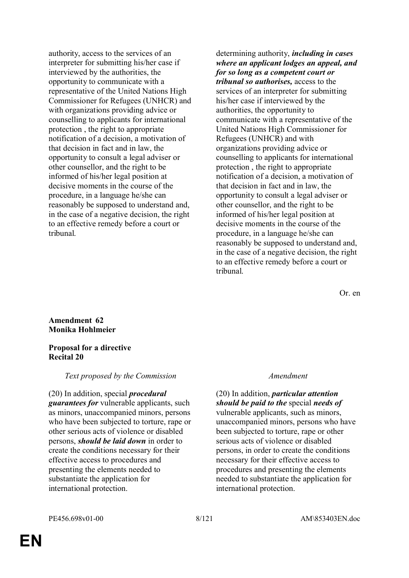authority, access to the services of an interpreter for submitting his/her case if interviewed by the authorities, the opportunity to communicate with a representative of the United Nations High Commissioner for Refugees (UNHCR) and with organizations providing advice or counselling to applicants for international protection , the right to appropriate notification of a decision, a motivation of that decision in fact and in law, the opportunity to consult a legal adviser or other counsellor, and the right to be informed of his/her legal position at decisive moments in the course of the procedure, in a language he/she can reasonably be supposed to understand and, in the case of a negative decision, the right to an effective remedy before a court or tribunal.

determining authority, *including in cases where an applicant lodges an appeal, and for so long as a competent court or tribunal so authorises,* access to the services of an interpreter for submitting his/her case if interviewed by the authorities, the opportunity to communicate with a representative of the United Nations High Commissioner for Refugees (UNHCR) and with organizations providing advice or counselling to applicants for international protection , the right to appropriate notification of a decision, a motivation of that decision in fact and in law, the opportunity to consult a legal adviser or other counsellor, and the right to be informed of his/her legal position at decisive moments in the course of the procedure, in a language he/she can reasonably be supposed to understand and, in the case of a negative decision, the right to an effective remedy before a court or tribunal.

Or. en

#### **Amendment 62 Monika Hohlmeier**

#### **Proposal for a directive Recital 20**

### *Text proposed by the Commission Amendment*

(20) In addition, special *procedural guarantees for* vulnerable applicants, such as minors, unaccompanied minors, persons who have been subjected to torture, rape or other serious acts of violence or disabled persons, *should be laid down* in order to create the conditions necessary for their effective access to procedures and presenting the elements needed to substantiate the application for international protection.

(20) In addition, *particular attention should be paid to the* special *needs of* vulnerable applicants, such as minors, unaccompanied minors, persons who have been subjected to torture, rape or other serious acts of violence or disabled persons, in order to create the conditions necessary for their effective access to procedures and presenting the elements needed to substantiate the application for international protection.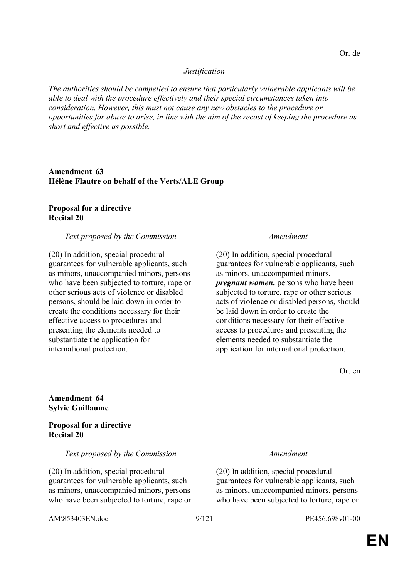#### *Justification*

*The authorities should be compelled to ensure that particularly vulnerable applicants will be able to deal with the procedure effectively and their special circumstances taken into consideration. However, this must not cause any new obstacles to the procedure or opportunities for abuse to arise, in line with the aim of the recast of keeping the procedure as short and effective as possible.*

**Amendment 63 Hélène Flautre on behalf of the Verts/ALE Group**

#### **Proposal for a directive Recital 20**

#### *Text proposed by the Commission Amendment*

(20) In addition, special procedural guarantees for vulnerable applicants, such as minors, unaccompanied minors, persons who have been subjected to torture, rape or other serious acts of violence or disabled persons, should be laid down in order to create the conditions necessary for their effective access to procedures and presenting the elements needed to substantiate the application for international protection.

(20) In addition, special procedural guarantees for vulnerable applicants, such as minors, unaccompanied minors, *pregnant women,* persons who have been subjected to torture, rape or other serious acts of violence or disabled persons, should be laid down in order to create the conditions necessary for their effective access to procedures and presenting the elements needed to substantiate the application for international protection.

(20) In addition, special procedural

guarantees for vulnerable applicants, such as minors, unaccompanied minors, persons who have been subjected to torture, rape or

Or. en

**Amendment 64 Sylvie Guillaume**

**Proposal for a directive Recital 20** 

#### *Text proposed by the Commission Amendment*

(20) In addition, special procedural guarantees for vulnerable applicants, such as minors, unaccompanied minors, persons who have been subjected to torture, rape or

AM\853403EN.doc 9/121 PE456.698v01-00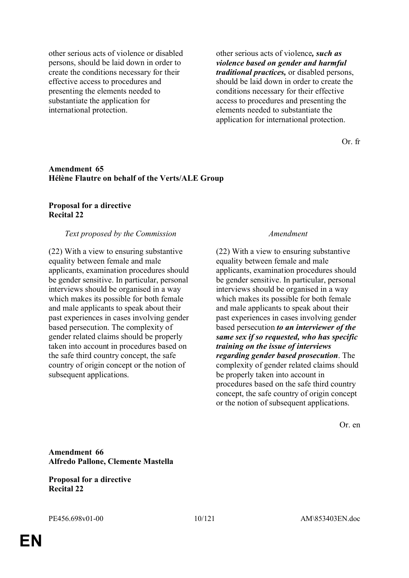other serious acts of violence or disabled persons, should be laid down in order to create the conditions necessary for their effective access to procedures and presenting the elements needed to substantiate the application for international protection.

other serious acts of violence*, such as violence based on gender and harmful traditional practices,* or disabled persons, should be laid down in order to create the conditions necessary for their effective access to procedures and presenting the elements needed to substantiate the application for international protection.

Or. fr

#### **Amendment 65 Hélène Flautre on behalf of the Verts/ALE Group**

### **Proposal for a directive Recital 22**

#### *Text proposed by the Commission Amendment*

(22) With a view to ensuring substantive equality between female and male applicants, examination procedures should be gender sensitive. In particular, personal interviews should be organised in a way which makes its possible for both female and male applicants to speak about their past experiences in cases involving gender based persecution. The complexity of gender related claims should be properly taken into account in procedures based on the safe third country concept, the safe country of origin concept or the notion of subsequent applications.

(22) With a view to ensuring substantive equality between female and male applicants, examination procedures should be gender sensitive. In particular, personal interviews should be organised in a way which makes its possible for both female and male applicants to speak about their past experiences in cases involving gender based persecution *to an interviewer of the same sex if so requested, who has specific training on the issue of interviews regarding gender based prosecution*. The complexity of gender related claims should be properly taken into account in procedures based on the safe third country concept, the safe country of origin concept or the notion of subsequent applications.

Or. en

**Amendment 66 Alfredo Pallone, Clemente Mastella**

**Proposal for a directive Recital 22**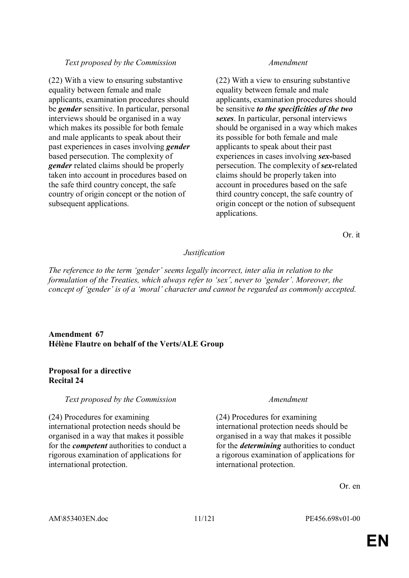(22) With a view to ensuring substantive equality between female and male applicants, examination procedures should be *gender* sensitive. In particular, personal interviews should be organised in a way which makes its possible for both female and male applicants to speak about their past experiences in cases involving *gender* based persecution. The complexity of *gender* related claims should be properly taken into account in procedures based on the safe third country concept, the safe country of origin concept or the notion of subsequent applications.

(22) With a view to ensuring substantive equality between female and male applicants, examination procedures should be sensitive *to the specificities of the two sexes*. In particular, personal interviews should be organised in a way which makes its possible for both female and male applicants to speak about their past experiences in cases involving *sex-*based persecution. The complexity of *sex-*related claims should be properly taken into account in procedures based on the safe third country concept, the safe country of origin concept or the notion of subsequent applications.

Or. it

# *Justification*

*The reference to the term 'gender' seems legally incorrect, inter alia in relation to the formulation of the Treaties, which always refer to 'sex', never to 'gender'. Moreover, the concept of 'gender' is of a 'moral' character and cannot be regarded as commonly accepted.*

### **Amendment 67 Hélène Flautre on behalf of the Verts/ALE Group**

### **Proposal for a directive Recital 24**

*Text proposed by the Commission Amendment*

(24) Procedures for examining international protection needs should be organised in a way that makes it possible for the *competent* authorities to conduct a rigorous examination of applications for international protection.

(24) Procedures for examining international protection needs should be organised in a way that makes it possible for the *determining* authorities to conduct a rigorous examination of applications for international protection.

Or. en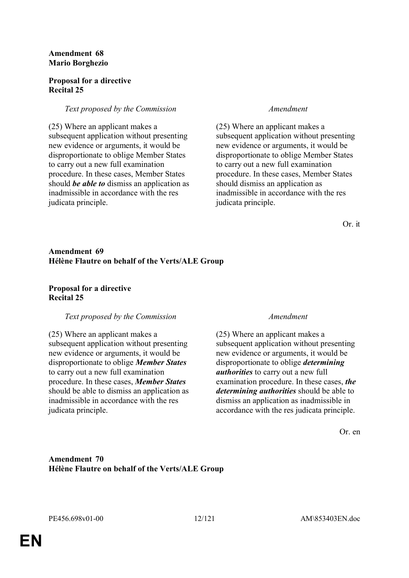#### **Amendment 68 Mario Borghezio**

### **Proposal for a directive Recital 25**

### *Text proposed by the Commission Amendment*

(25) Where an applicant makes a subsequent application without presenting new evidence or arguments, it would be disproportionate to oblige Member States to carry out a new full examination procedure. In these cases, Member States should *be able to* dismiss an application as inadmissible in accordance with the res judicata principle.

(25) Where an applicant makes a subsequent application without presenting new evidence or arguments, it would be disproportionate to oblige Member States to carry out a new full examination procedure. In these cases, Member States should dismiss an application as inadmissible in accordance with the res judicata principle.

Or. it

### **Amendment 69 Hélène Flautre on behalf of the Verts/ALE Group**

### **Proposal for a directive Recital 25**

### *Text proposed by the Commission Amendment*

(25) Where an applicant makes a subsequent application without presenting new evidence or arguments, it would be disproportionate to oblige *Member States* to carry out a new full examination procedure. In these cases, *Member States* should be able to dismiss an application as inadmissible in accordance with the res judicata principle.

(25) Where an applicant makes a subsequent application without presenting new evidence or arguments, it would be disproportionate to oblige *determining authorities* to carry out a new full examination procedure. In these cases, *the determining authorities* should be able to dismiss an application as inadmissible in accordance with the res judicata principle.

Or. en

**Amendment 70 Hélène Flautre on behalf of the Verts/ALE Group**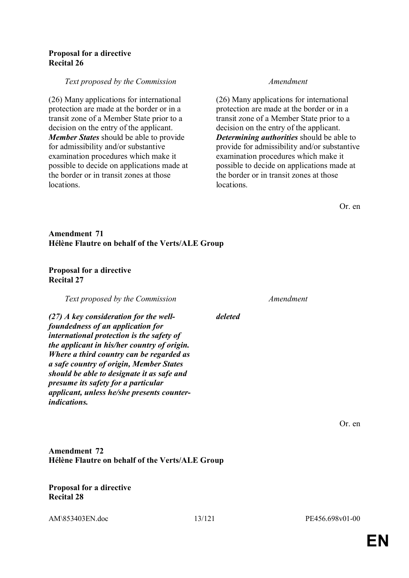#### **Proposal for a directive Recital 26**

#### *Text proposed by the Commission Amendment*

(26) Many applications for international protection are made at the border or in a transit zone of a Member State prior to a decision on the entry of the applicant. *Member States* should be able to provide for admissibility and/or substantive examination procedures which make it possible to decide on applications made at the border or in transit zones at those locations.

(26) Many applications for international protection are made at the border or in a transit zone of a Member State prior to a decision on the entry of the applicant. *Determining authorities* should be able to provide for admissibility and/or substantive examination procedures which make it possible to decide on applications made at the border or in transit zones at those locations.

Or. en

### **Amendment 71 Hélène Flautre on behalf of the Verts/ALE Group**

#### **Proposal for a directive Recital 27**

*Text proposed by the Commission Amendment*

*(27) A key consideration for the wellfoundedness of an application for international protection is the safety of the applicant in his/her country of origin. Where a third country can be regarded as a safe country of origin, Member States should be able to designate it as safe and presume its safety for a particular applicant, unless he/she presents counterindications.*

*deleted*

Or. en

# **Amendment 72 Hélène Flautre on behalf of the Verts/ALE Group**

#### **Proposal for a directive Recital 28**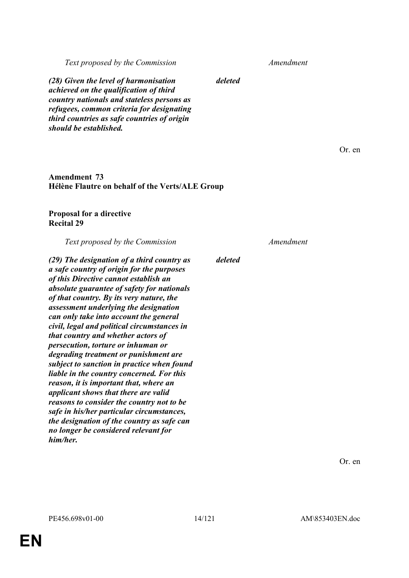*(28) Given the level of harmonisation achieved on the qualification of third country nationals and stateless persons as refugees, common criteria for designating third countries as safe countries of origin should be established.*

#### **Amendment 73 Hélène Flautre on behalf of the Verts/ALE Group**

### **Proposal for a directive Recital 29**

*Text proposed by the Commission Amendment*

*(29) The designation of a third country as a safe country of origin for the purposes of this Directive cannot establish an absolute guarantee of safety for nationals of that country. By its very nature, the assessment underlying the designation can only take into account the general civil, legal and political circumstances in that country and whether actors of persecution, torture or inhuman or degrading treatment or punishment are subject to sanction in practice when found liable in the country concerned. For this reason, it is important that, where an applicant shows that there are valid reasons to consider the country not to be safe in his/her particular circumstances, the designation of the country as safe can no longer be considered relevant for him/her.*

*deleted*

*deleted*

Or. en

Or. en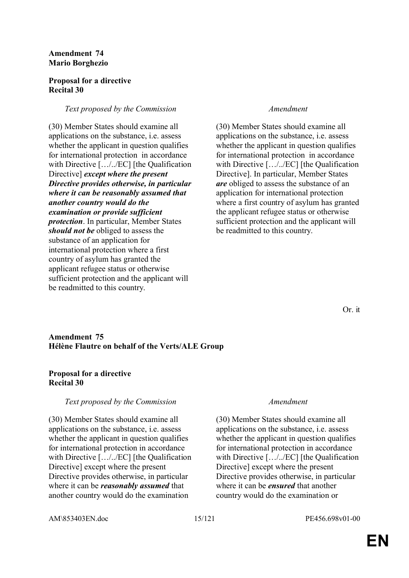#### **Amendment 74 Mario Borghezio**

### **Proposal for a directive Recital 30**

### *Text proposed by the Commission Amendment*

(30) Member States should examine all applications on the substance, i.e. assess whether the applicant in question qualifies for international protection in accordance with Directive […/../EC] [the Qualification Directive] *except where the present Directive provides otherwise, in particular where it can be reasonably assumed that another country would do the examination or provide sufficient protection*. In particular, Member States *should not be* obliged to assess the substance of an application for international protection where a first country of asylum has granted the applicant refugee status or otherwise sufficient protection and the applicant will be readmitted to this country.

(30) Member States should examine all applications on the substance, i.e. assess whether the applicant in question qualifies for international protection in accordance with Directive […/../EC] [the Qualification Directive]. In particular, Member States *are* obliged to assess the substance of an application for international protection where a first country of asylum has granted the applicant refugee status or otherwise sufficient protection and the applicant will be readmitted to this country.

Or. it

### **Amendment 75 Hélène Flautre on behalf of the Verts/ALE Group**

### **Proposal for a directive Recital 30**

### *Text proposed by the Commission Amendment*

(30) Member States should examine all applications on the substance, i.e. assess whether the applicant in question qualifies for international protection in accordance with Directive [.../../EC] [the Qualification Directive] except where the present Directive provides otherwise, in particular where it can be *reasonably assumed* that another country would do the examination

(30) Member States should examine all applications on the substance, i.e. assess whether the applicant in question qualifies for international protection in accordance with Directive […/../EC] [the Qualification Directive] except where the present Directive provides otherwise, in particular where it can be *ensured* that another country would do the examination or

AM\853403EN.doc 15/121 PE456.698v01-00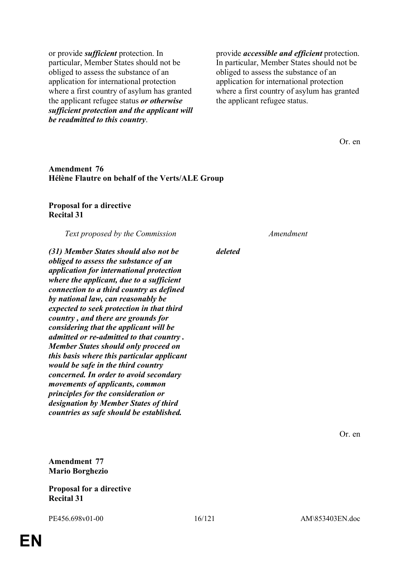or provide *sufficient* protection. In particular, Member States should not be obliged to assess the substance of an application for international protection where a first country of asylum has granted the applicant refugee status *or otherwise sufficient protection and the applicant will be readmitted to this country*.

provide *accessible and efficient* protection. In particular, Member States should not be obliged to assess the substance of an application for international protection where a first country of asylum has granted the applicant refugee status.

Or. en

#### **Amendment 76 Hélène Flautre on behalf of the Verts/ALE Group**

#### **Proposal for a directive Recital 31**

*Text proposed by the Commission Amendment*

*(31) Member States should also not be obliged to assess the substance of an application for international protection where the applicant, due to a sufficient connection to a third country as defined by national law, can reasonably be expected to seek protection in that third country , and there are grounds for considering that the applicant will be admitted or re-admitted to that country . Member States should only proceed on this basis where this particular applicant would be safe in the third country concerned. In order to avoid secondary movements of applicants, common principles for the consideration or designation by Member States of third countries as safe should be established.*

*deleted*

Or. en

**Amendment 77 Mario Borghezio**

**Proposal for a directive Recital 31**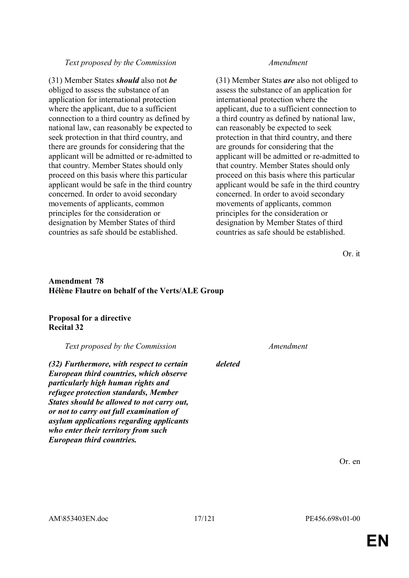(31) Member States *should* also not *be* obliged to assess the substance of an application for international protection where the applicant, due to a sufficient connection to a third country as defined by national law, can reasonably be expected to seek protection in that third country, and there are grounds for considering that the applicant will be admitted or re-admitted to that country. Member States should only proceed on this basis where this particular applicant would be safe in the third country concerned. In order to avoid secondary movements of applicants, common principles for the consideration or designation by Member States of third countries as safe should be established.

(31) Member States *are* also not obliged to assess the substance of an application for international protection where the applicant, due to a sufficient connection to a third country as defined by national law, can reasonably be expected to seek protection in that third country, and there are grounds for considering that the applicant will be admitted or re-admitted to that country. Member States should only proceed on this basis where this particular applicant would be safe in the third country concerned. In order to avoid secondary movements of applicants, common principles for the consideration or designation by Member States of third countries as safe should be established.

Or. it

### **Amendment 78 Hélène Flautre on behalf of the Verts/ALE Group**

### **Proposal for a directive Recital 32**

*Text proposed by the Commission Amendment*

*(32) Furthermore, with respect to certain European third countries, which observe particularly high human rights and refugee protection standards, Member States should be allowed to not carry out, or not to carry out full examination of asylum applications regarding applicants who enter their territory from such European third countries.*

*deleted*

Or. en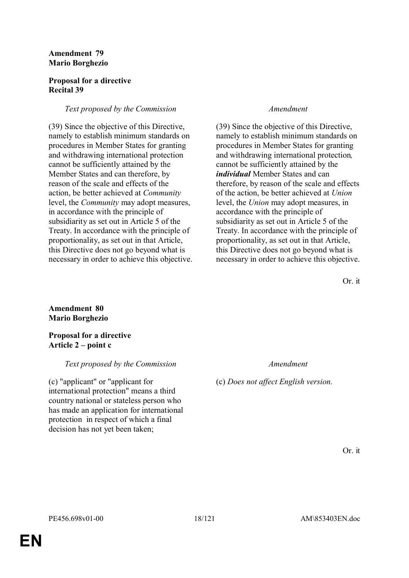#### **Amendment 79 Mario Borghezio**

### **Proposal for a directive Recital 39**

# *Text proposed by the Commission Amendment*

(39) Since the objective of this Directive, namely to establish minimum standards on procedures in Member States for granting and withdrawing international protection cannot be sufficiently attained by the Member States and can therefore, by reason of the scale and effects of the action, be better achieved at *Community* level, the *Community* may adopt measures, in accordance with the principle of subsidiarity as set out in Article 5 of the Treaty. In accordance with the principle of proportionality, as set out in that Article, this Directive does not go beyond what is necessary in order to achieve this objective.

(39) Since the objective of this Directive, namely to establish minimum standards on procedures in Member States for granting and withdrawing international protection*,* cannot be sufficiently attained by the *individual* Member States and can therefore, by reason of the scale and effects of the action, be better achieved at *Union* level, the *Union* may adopt measures, in accordance with the principle of subsidiarity as set out in Article 5 of the Treaty. In accordance with the principle of proportionality, as set out in that Article, this Directive does not go beyond what is necessary in order to achieve this objective.

Or. it

# **Amendment 80 Mario Borghezio**

**Proposal for a directive Article 2 – point c** 

# *Text proposed by the Commission Amendment*

(c) "applicant" or "applicant for international protection" means a third country national or stateless person who has made an application for international protection in respect of which a final decision has not yet been taken;

(c) *Does not affect English version.*

Or. it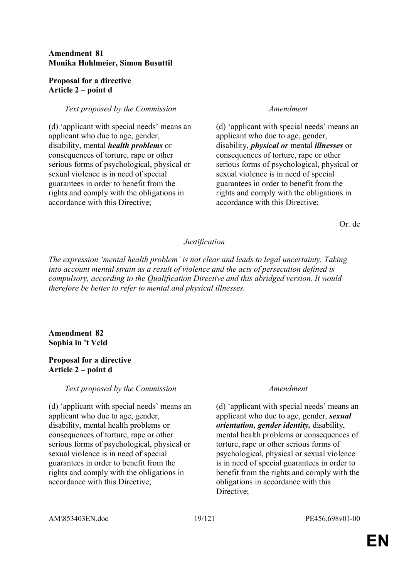### **Amendment 81 Monika Hohlmeier, Simon Busuttil**

### **Proposal for a directive Article 2 – point d**

### *Text proposed by the Commission Amendment*

(d) 'applicant with special needs' means an applicant who due to age, gender, disability, mental *health problems* or consequences of torture, rape or other serious forms of psychological, physical or sexual violence is in need of special guarantees in order to benefit from the rights and comply with the obligations in accordance with this Directive;

(d) 'applicant with special needs' means an applicant who due to age, gender, disability, *physical or* mental *illnesses* or consequences of torture, rape or other serious forms of psychological, physical or sexual violence is in need of special guarantees in order to benefit from the rights and comply with the obligations in accordance with this Directive;

Or. de

### *Justification*

*The expression 'mental health problem' is not clear and leads to legal uncertainty. Taking into account mental strain as a result of violence and the acts of persecution defined is compulsory, according to the Qualification Directive and this abridged version. It would therefore be better to refer to mental and physical illnesses.*

### **Amendment 82 Sophia in 't Veld**

### **Proposal for a directive Article 2 – point d**

### *Text proposed by the Commission Amendment*

(d) 'applicant with special needs' means an applicant who due to age, gender, disability, mental health problems or consequences of torture, rape or other serious forms of psychological, physical or sexual violence is in need of special guarantees in order to benefit from the rights and comply with the obligations in accordance with this Directive;

(d) 'applicant with special needs' means an applicant who due to age, gender, *sexual orientation, gender identity,* disability, mental health problems or consequences of torture, rape or other serious forms of psychological, physical or sexual violence is in need of special guarantees in order to benefit from the rights and comply with the obligations in accordance with this Directive;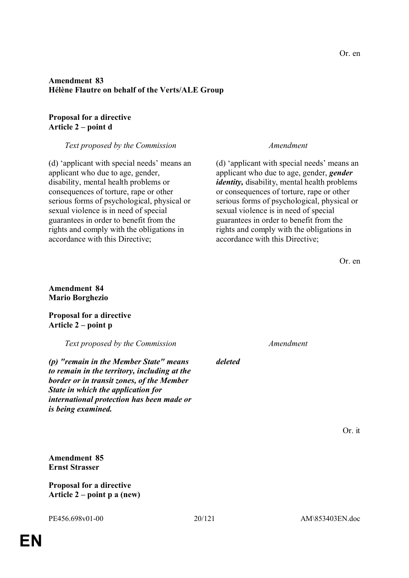### **Amendment 83 Hélène Flautre on behalf of the Verts/ALE Group**

### **Proposal for a directive Article 2 – point d**

### *Text proposed by the Commission Amendment*

(d) 'applicant with special needs' means an applicant who due to age, gender, disability, mental health problems or consequences of torture, rape or other serious forms of psychological, physical or sexual violence is in need of special guarantees in order to benefit from the rights and comply with the obligations in accordance with this Directive;

(d) 'applicant with special needs' means an applicant who due to age, gender, *gender identity,* disability, mental health problems or consequences of torture, rape or other serious forms of psychological, physical or sexual violence is in need of special guarantees in order to benefit from the rights and comply with the obligations in accordance with this Directive;

Or. en

#### **Amendment 84 Mario Borghezio**

**Proposal for a directive Article 2 – point p** 

*Text proposed by the Commission Amendment*

*(p) "remain in the Member State" means to remain in the territory, including at the border or in transit zones, of the Member State in which the application for international protection has been made or is being examined.*

*deleted*

Or. it

**Amendment 85 Ernst Strasser**

**Proposal for a directive Article 2 – point p a (new)**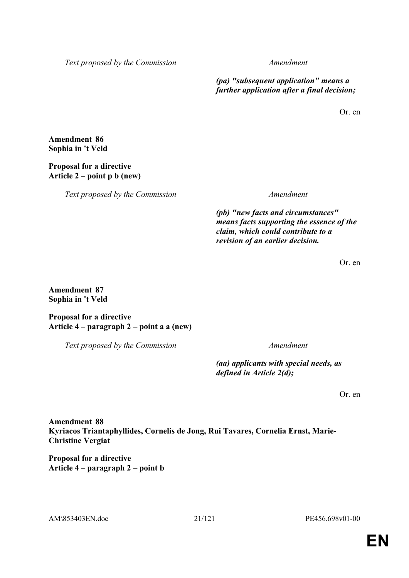*(pa) "subsequent application" means a further application after a final decision;*

Or. en

**Amendment 86 Sophia in 't Veld**

## **Proposal for a directive Article 2 – point p b (new)**

*Text proposed by the Commission Amendment*

*(pb) "new facts and circumstances" means facts supporting the essence of the claim, which could contribute to a revision of an earlier decision.*

Or. en

**Amendment 87 Sophia in 't Veld**

**Proposal for a directive Article 4 – paragraph 2 – point a a (new)** 

*Text proposed by the Commission Amendment*

*(aa) applicants with special needs, as defined in Article 2(d);*

Or. en

**Amendment 88 Kyriacos Triantaphyllides, Cornelis de Jong, Rui Tavares, Cornelia Ernst, Marie-Christine Vergiat**

**Proposal for a directive Article 4 – paragraph 2 – point b**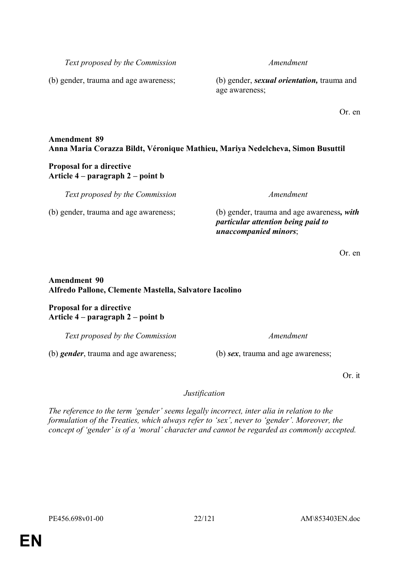**EN**

*Text proposed by the Commission Amendment*

(b) gender, trauma and age awareness; (b) gender, *sexual orientation,* trauma and age awareness;

Or. en

# **Amendment 89 Anna Maria Corazza Bildt, Véronique Mathieu, Mariya Nedelcheva, Simon Busuttil**

# **Proposal for a directive Article 4 – paragraph 2 – point b**

*Text proposed by the Commission Amendment*

(b) gender, trauma and age awareness; (b) gender, trauma and age awareness*, with particular attention being paid to unaccompanied minors*;

Or. en

# **Amendment 90 Alfredo Pallone, Clemente Mastella, Salvatore Iacolino**

# **Proposal for a directive Article 4 – paragraph 2 – point b**

*Text proposed by the Commission Amendment*

(b) *gender*, trauma and age awareness; (b) *sex*, trauma and age awareness;

Or. it

# *Justification*

*The reference to the term 'gender' seems legally incorrect, inter alia in relation to the formulation of the Treaties, which always refer to 'sex', never to 'gender'. Moreover, the concept of 'gender' is of a 'moral' character and cannot be regarded as commonly accepted.*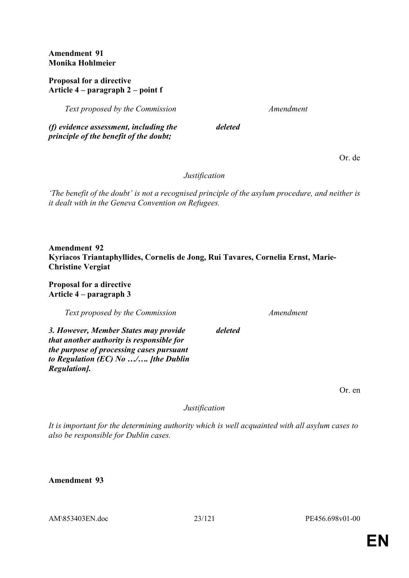**Amendment 91 Monika Hohlmeier**

### **Proposal for a directive Article 4 – paragraph 2 – point f**

*Text proposed by the Commission Amendment*

*(f) evidence assessment, including the principle of the benefit of the doubt;*

Or. de

*Justification*

*deleted*

*'The benefit of the doubt' is not a recognised principle of the asylum procedure, and neither is it dealt with in the Geneva Convention on Refugees.*

**Amendment 92 Kyriacos Triantaphyllides, Cornelis de Jong, Rui Tavares, Cornelia Ernst, Marie-Christine Vergiat**

**Proposal for a directive Article 4 – paragraph 3** 

*Text proposed by the Commission Amendment*

*3. However, Member States may provide that another authority is responsible for the purpose of processing cases pursuant to Regulation (EC) No …/…. [the Dublin Regulation].*

Or. en

*Justification*

*deleted*

*It is important for the determining authority which is well acquainted with all asylum cases to also be responsible for Dublin cases.*

**Amendment 93**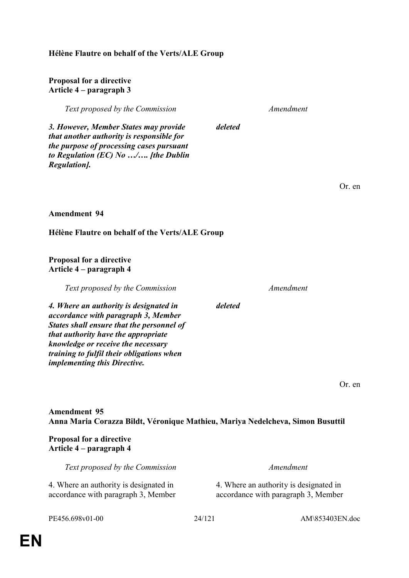## **Hélène Flautre on behalf of the Verts/ALE Group**

#### **Proposal for a directive Article 4 – paragraph 3**

*Text proposed by the Commission Amendment*

*deleted*

*3. However, Member States may provide that another authority is responsible for the purpose of processing cases pursuant to Regulation (EC) No …/…. [the Dublin Regulation].*

Or. en

#### **Amendment 94**

### **Hélène Flautre on behalf of the Verts/ALE Group**

#### **Proposal for a directive Article 4 – paragraph 4**

*Text proposed by the Commission Amendment*

*deleted*

*4. Where an authority is designated in accordance with paragraph 3, Member States shall ensure that the personnel of that authority have the appropriate knowledge or receive the necessary training to fulfil their obligations when implementing this Directive.*

Or. en

# **Amendment 95 Anna Maria Corazza Bildt, Véronique Mathieu, Mariya Nedelcheva, Simon Busuttil**

### **Proposal for a directive Article 4 – paragraph 4**

| Text proposed by the Commission        | Amendment                              |
|----------------------------------------|----------------------------------------|
| 4. Where an authority is designated in | 4. Where an authority is designated in |
| accordance with paragraph 3, Member    | accordance with paragraph 3, Member    |

PE456.698v01-00 24/121 AM\853403EN.doc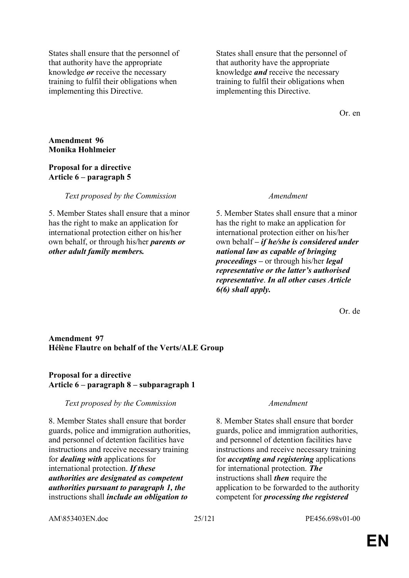States shall ensure that the personnel of that authority have the appropriate knowledge *or* receive the necessary training to fulfil their obligations when implementing this Directive.

States shall ensure that the personnel of that authority have the appropriate knowledge *and* receive the necessary training to fulfil their obligations when implementing this Directive.

Or. en

#### **Amendment 96 Monika Hohlmeier**

#### **Proposal for a directive Article 6 – paragraph 5**

*Text proposed by the Commission Amendment*

5. Member States shall ensure that a minor has the right to make an application for international protection either on his/her own behalf, or through his/her *parents or other adult family members.*

5. Member States shall ensure that a minor has the right to make an application for international protection either on his/her own behalf *– if he/she is considered under national law as capable of bringing proceedings –* or through his/her *legal representative or the latter's authorised representative*. *In all other cases Article 6(6) shall apply.*

Or. de

### **Amendment 97 Hélène Flautre on behalf of the Verts/ALE Group**

# **Proposal for a directive Article 6 – paragraph 8 – subparagraph 1**

### *Text proposed by the Commission Amendment*

8. Member States shall ensure that border guards, police and immigration authorities, and personnel of detention facilities have instructions and receive necessary training for *dealing with* applications for international protection. *If these authorities are designated as competent authorities pursuant to paragraph 1, the* instructions shall *include an obligation to* 

8. Member States shall ensure that border guards, police and immigration authorities, and personnel of detention facilities have instructions and receive necessary training for *accepting and registering* applications for international protection. *The* instructions shall *then* require the application to be forwarded to the authority competent for *processing the registered* 

AM\853403EN.doc 25/121 PE456.698v01-00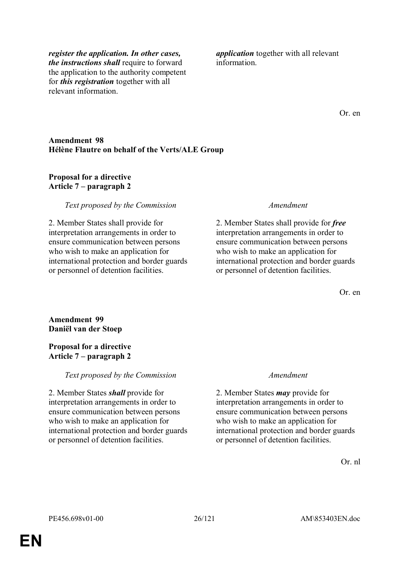*register the application. In other cases, the instructions shall* require to forward the application to the authority competent for *this registration* together with all relevant information.

*application* together with all relevant information.

Or. en

### **Amendment 98 Hélène Flautre on behalf of the Verts/ALE Group**

#### **Proposal for a directive Article 7 – paragraph 2**

#### *Text proposed by the Commission Amendment*

2. Member States shall provide for interpretation arrangements in order to ensure communication between persons who wish to make an application for international protection and border guards or personnel of detention facilities.

2. Member States shall provide for *free* interpretation arrangements in order to ensure communication between persons who wish to make an application for international protection and border guards or personnel of detention facilities.

Or. en

### **Amendment 99 Daniël van der Stoep**

#### **Proposal for a directive Article 7 – paragraph 2**

### *Text proposed by the Commission Amendment*

2. Member States *shall* provide for interpretation arrangements in order to ensure communication between persons who wish to make an application for international protection and border guards or personnel of detention facilities.

2. Member States *may* provide for interpretation arrangements in order to ensure communication between persons who wish to make an application for international protection and border guards or personnel of detention facilities.

Or. nl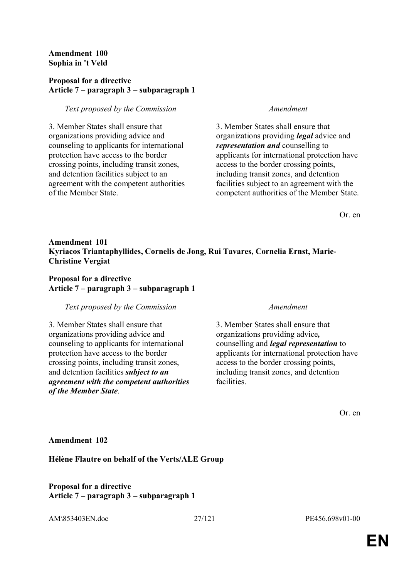### **Amendment 100 Sophia in 't Veld**

### **Proposal for a directive Article 7 – paragraph 3 – subparagraph 1**

#### *Text proposed by the Commission Amendment*

3. Member States shall ensure that organizations providing advice and counseling to applicants for international protection have access to the border crossing points, including transit zones, and detention facilities subject to an agreement with the competent authorities of the Member State.

3. Member States shall ensure that organizations providing *legal* advice and *representation and* counselling to applicants for international protection have access to the border crossing points, including transit zones, and detention facilities subject to an agreement with the competent authorities of the Member State.

Or. en

### **Amendment 101 Kyriacos Triantaphyllides, Cornelis de Jong, Rui Tavares, Cornelia Ernst, Marie-Christine Vergiat**

## **Proposal for a directive Article 7 – paragraph 3 – subparagraph 1**

#### *Text proposed by the Commission Amendment*

3. Member States shall ensure that organizations providing advice and counseling to applicants for international protection have access to the border crossing points, including transit zones, and detention facilities *subject to an agreement with the competent authorities of the Member State*.

3. Member States shall ensure that organizations providing advice*,*  counselling and *legal representation* to applicants for international protection have access to the border crossing points, including transit zones, and detention facilities.

Or. en

#### **Amendment 102**

**Hélène Flautre on behalf of the Verts/ALE Group**

### **Proposal for a directive Article 7 – paragraph 3 – subparagraph 1**

AM\853403EN.doc 27/121 PE456.698v01-00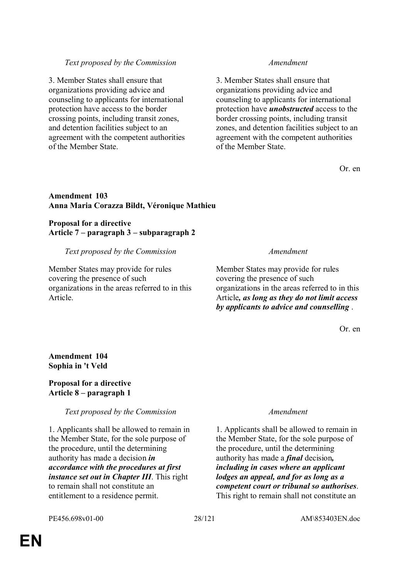3. Member States shall ensure that organizations providing advice and counseling to applicants for international protection have access to the border crossing points, including transit zones, and detention facilities subject to an agreement with the competent authorities of the Member State.

3. Member States shall ensure that organizations providing advice and counseling to applicants for international protection have *unobstructed* access to the border crossing points, including transit zones, and detention facilities subject to an agreement with the competent authorities of the Member State.

Or. en

### **Amendment 103 Anna Maria Corazza Bildt, Véronique Mathieu**

### **Proposal for a directive Article 7 – paragraph 3 – subparagraph 2**

### *Text proposed by the Commission Amendment*

Member States may provide for rules covering the presence of such organizations in the areas referred to in this Article.

Member States may provide for rules covering the presence of such organizations in the areas referred to in this Article*, as long as they do not limit access by applicants to advice and counselling* .

Or. en

**Amendment 104 Sophia in 't Veld**

### **Proposal for a directive Article 8 – paragraph 1**

*Text proposed by the Commission Amendment*

1. Applicants shall be allowed to remain in the Member State, for the sole purpose of the procedure, until the determining authority has made a decision *in accordance with the procedures at first instance set out in Chapter III*. This right to remain shall not constitute an entitlement to a residence permit.

1. Applicants shall be allowed to remain in the Member State, for the sole purpose of the procedure, until the determining authority has made a *final* decision*, including in cases where an applicant lodges an appeal, and for as long as a competent court or tribunal so authorises*. This right to remain shall not constitute an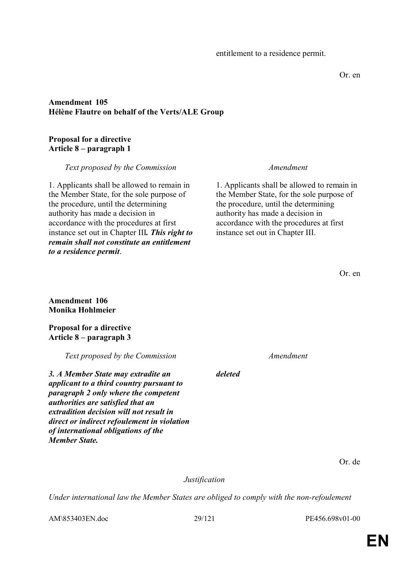#### Or. en

### **Amendment 105 Hélène Flautre on behalf of the Verts/ALE Group**

#### **Proposal for a directive Article 8 – paragraph 1**

*Text proposed by the Commission Amendment*

1. Applicants shall be allowed to remain in the Member State, for the sole purpose of the procedure, until the determining authority has made a decision in accordance with the procedures at first instance set out in Chapter III*. This right to remain shall not constitute an entitlement to a residence permit*.

1. Applicants shall be allowed to remain in the Member State, for the sole purpose of the procedure, until the determining authority has made a decision in accordance with the procedures at first instance set out in Chapter III.

Or. en

**Amendment 106 Monika Hohlmeier**

**Proposal for a directive Article 8 – paragraph 3** 

*Text proposed by the Commission Amendment*

*3. A Member State may extradite an applicant to a third country pursuant to paragraph 2 only where the competent authorities are satisfied that an extradition decision will not result in direct or indirect refoulement in violation of international obligations of the Member State.*

Or. de

*Justification*

*deleted*

*Under international law the Member States are obliged to comply with the non-refoulement* 

AM\853403EN.doc 29/121 PE456.698v01-00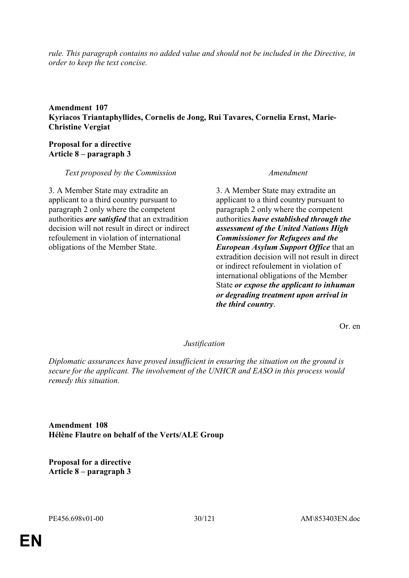*rule. This paragraph contains no added value and should not be included in the Directive, in order to keep the text concise.*

### **Amendment 107 Kyriacos Triantaphyllides, Cornelis de Jong, Rui Tavares, Cornelia Ernst, Marie-Christine Vergiat**

### **Proposal for a directive Article 8 – paragraph 3**

*Text proposed by the Commission Amendment*

3. A Member State may extradite an applicant to a third country pursuant to paragraph 2 only where the competent authorities *are satisfied* that an extradition decision will not result in direct or indirect refoulement in violation of international obligations of the Member State.

3. A Member State may extradite an applicant to a third country pursuant to paragraph 2 only where the competent authorities *have established through the assessment of the United Nations High Commissioner for Refugees and the European Asylum Support Office* that an extradition decision will not result in direct or indirect refoulement in violation of international obligations of the Member State *or expose the applicant to inhuman or degrading treatment upon arrival in the third country*.

Or. en

### *Justification*

*Diplomatic assurances have proved insufficient in ensuring the situation on the ground is secure for the applicant. The involvement of the UNHCR and EASO in this process would remedy this situation.*

**Amendment 108 Hélène Flautre on behalf of the Verts/ALE Group**

**Proposal for a directive Article 8 – paragraph 3**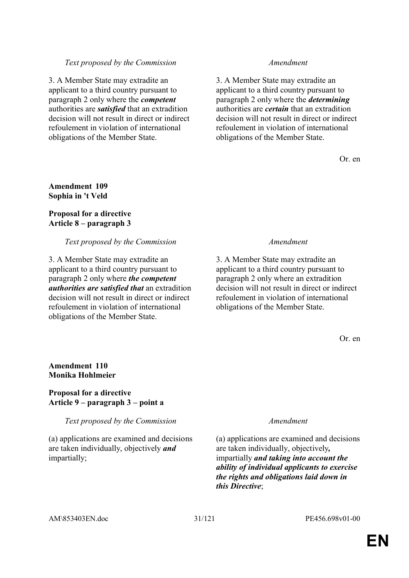3. A Member State may extradite an applicant to a third country pursuant to paragraph 2 only where the *competent* authorities are *satisfied* that an extradition decision will not result in direct or indirect refoulement in violation of international obligations of the Member State.

3. A Member State may extradite an applicant to a third country pursuant to paragraph 2 only where the *determining* authorities are *certain* that an extradition decision will not result in direct or indirect refoulement in violation of international obligations of the Member State.

Or. en

### **Amendment 109 Sophia in 't Veld**

### **Proposal for a directive Article 8 – paragraph 3**

### *Text proposed by the Commission Amendment*

3. A Member State may extradite an applicant to a third country pursuant to paragraph 2 only where *the competent authorities are satisfied that* an extradition decision will not result in direct or indirect refoulement in violation of international obligations of the Member State.

3. A Member State may extradite an applicant to a third country pursuant to paragraph 2 only where an extradition decision will not result in direct or indirect refoulement in violation of international obligations of the Member State.

Or. en

### **Amendment 110 Monika Hohlmeier**

### **Proposal for a directive Article 9 – paragraph 3 – point a**

*Text proposed by the Commission Amendment*

(a) applications are examined and decisions are taken individually, objectively *and* impartially;

(a) applications are examined and decisions are taken individually, objectively*,*  impartially *and taking into account the ability of individual applicants to exercise the rights and obligations laid down in this Directive*;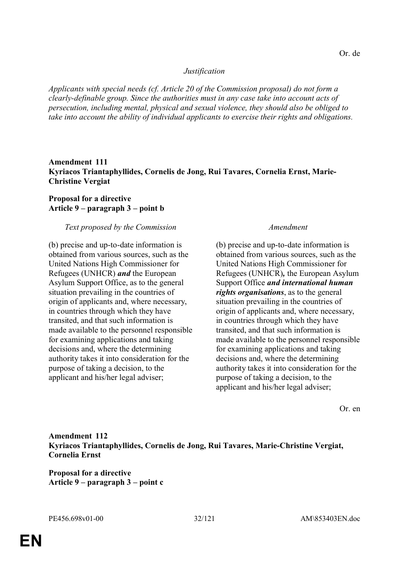#### *Justification*

*Applicants with special needs (cf. Article 20 of the Commission proposal) do not form a clearly-definable group. Since the authorities must in any case take into account acts of persecution, including mental, physical and sexual violence, they should also be obliged to take into account the ability of individual applicants to exercise their rights and obligations.*

### **Amendment 111 Kyriacos Triantaphyllides, Cornelis de Jong, Rui Tavares, Cornelia Ernst, Marie-Christine Vergiat**

### **Proposal for a directive Article 9 – paragraph 3 – point b**

#### *Text proposed by the Commission Amendment*

(b) precise and up-to-date information is obtained from various sources, such as the United Nations High Commissioner for Refugees (UNHCR) *and* the European Asylum Support Office, as to the general situation prevailing in the countries of origin of applicants and, where necessary, in countries through which they have transited, and that such information is made available to the personnel responsible for examining applications and taking decisions and, where the determining authority takes it into consideration for the purpose of taking a decision, to the applicant and his/her legal adviser;

(b) precise and up-to-date information is obtained from various sources, such as the United Nations High Commissioner for Refugees (UNHCR)*,* the European Asylum Support Office *and international human rights organisations*, as to the general situation prevailing in the countries of origin of applicants and, where necessary, in countries through which they have transited, and that such information is made available to the personnel responsible for examining applications and taking decisions and, where the determining authority takes it into consideration for the purpose of taking a decision, to the applicant and his/her legal adviser;

Or. en

**Amendment 112 Kyriacos Triantaphyllides, Cornelis de Jong, Rui Tavares, Marie-Christine Vergiat, Cornelia Ernst**

**Proposal for a directive Article 9 – paragraph 3 – point c**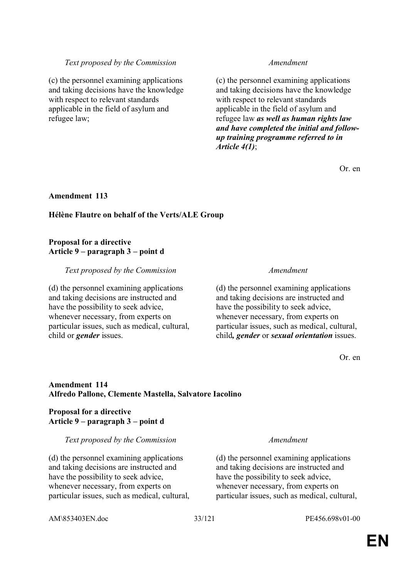(c) the personnel examining applications and taking decisions have the knowledge with respect to relevant standards applicable in the field of asylum and refugee law;

(c) the personnel examining applications and taking decisions have the knowledge with respect to relevant standards applicable in the field of asylum and refugee law *as well as human rights law and have completed the initial and followup training programme referred to in Article 4(1)*;

Or. en

#### **Amendment 113**

### **Hélène Flautre on behalf of the Verts/ALE Group**

#### **Proposal for a directive Article 9 – paragraph 3 – point d**

#### *Text proposed by the Commission Amendment*

(d) the personnel examining applications and taking decisions are instructed and have the possibility to seek advice, whenever necessary, from experts on particular issues, such as medical, cultural, child or *gender* issues.

(d) the personnel examining applications and taking decisions are instructed and have the possibility to seek advice, whenever necessary, from experts on particular issues, such as medical, cultural, child*, gender* or *sexual orientation* issues.

Or. en

### **Amendment 114 Alfredo Pallone, Clemente Mastella, Salvatore Iacolino**

### **Proposal for a directive Article 9 – paragraph 3 – point d**

*Text proposed by the Commission Amendment*

(d) the personnel examining applications and taking decisions are instructed and have the possibility to seek advice, whenever necessary, from experts on particular issues, such as medical, cultural,

(d) the personnel examining applications and taking decisions are instructed and have the possibility to seek advice, whenever necessary, from experts on particular issues, such as medical, cultural,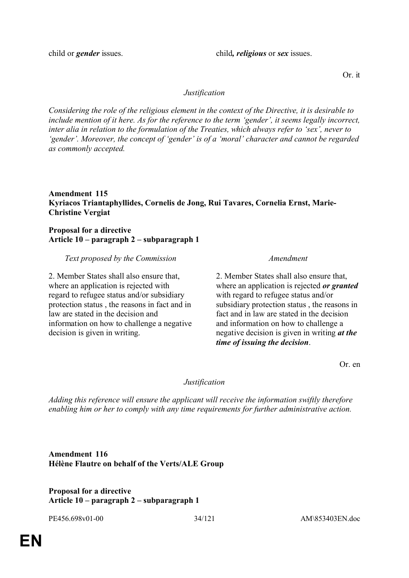child or *gender* issues. child*, religious* or *sex* issues.

Or. it

### *Justification*

*Considering the role of the religious element in the context of the Directive, it is desirable to include mention of it here. As for the reference to the term 'gender', it seems legally incorrect, inter alia in relation to the formulation of the Treaties, which always refer to 'sex', never to 'gender'. Moreover, the concept of 'gender' is of a 'moral' character and cannot be regarded as commonly accepted.*

#### **Amendment 115 Kyriacos Triantaphyllides, Cornelis de Jong, Rui Tavares, Cornelia Ernst, Marie-Christine Vergiat**

### **Proposal for a directive Article 10 – paragraph 2 – subparagraph 1**

*Text proposed by the Commission Amendment*

2. Member States shall also ensure that, where an application is rejected with regard to refugee status and/or subsidiary protection status , the reasons in fact and in law are stated in the decision and information on how to challenge a negative decision is given in writing.

2. Member States shall also ensure that, where an application is rejected *or granted* with regard to refugee status and/or subsidiary protection status , the reasons in fact and in law are stated in the decision and information on how to challenge a negative decision is given in writing *at the time of issuing the decision*.

Or. en

#### *Justification*

*Adding this reference will ensure the applicant will receive the information swiftly therefore enabling him or her to comply with any time requirements for further administrative action.*

### **Amendment 116 Hélène Flautre on behalf of the Verts/ALE Group**

### **Proposal for a directive Article 10 – paragraph 2 – subparagraph 1**

PE456.698v01-00 34/121 AM\853403EN.doc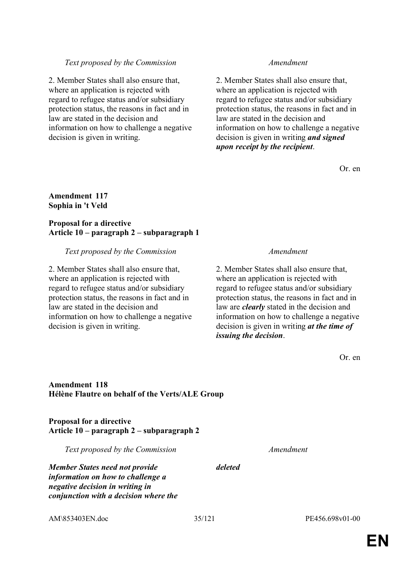2. Member States shall also ensure that, where an application is rejected with regard to refugee status and/or subsidiary protection status, the reasons in fact and in law are stated in the decision and information on how to challenge a negative decision is given in writing.

2. Member States shall also ensure that, where an application is rejected with regard to refugee status and/or subsidiary protection status, the reasons in fact and in law are stated in the decision and information on how to challenge a negative decision is given in writing *and signed upon receipt by the recipient*.

Or. en

#### **Amendment 117 Sophia in 't Veld**

#### **Proposal for a directive Article 10 – paragraph 2 – subparagraph 1**

#### *Text proposed by the Commission Amendment*

2. Member States shall also ensure that, where an application is rejected with regard to refugee status and/or subsidiary protection status, the reasons in fact and in law are stated in the decision and information on how to challenge a negative decision is given in writing.

2. Member States shall also ensure that, where an application is rejected with regard to refugee status and/or subsidiary protection status, the reasons in fact and in law are *clearly* stated in the decision and information on how to challenge a negative decision is given in writing *at the time of issuing the decision*.

Or. en

#### **Amendment 118 Hélène Flautre on behalf of the Verts/ALE Group**

**Proposal for a directive Article 10 – paragraph 2 – subparagraph 2** 

*Text proposed by the Commission Amendment*

*deleted*

*Member States need not provide information on how to challenge a negative decision in writing in conjunction with a decision where the*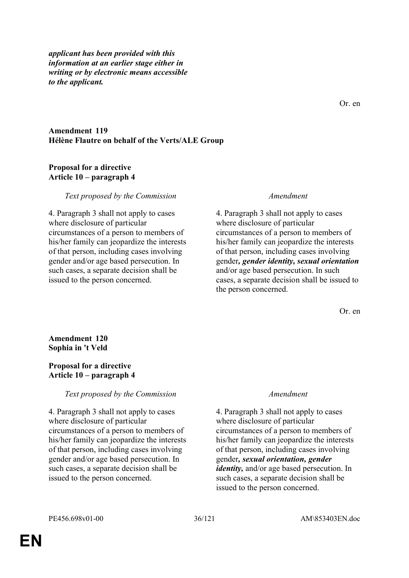*applicant has been provided with this information at an earlier stage either in writing or by electronic means accessible to the applicant.*

Or. en

#### **Amendment 119 Hélène Flautre on behalf of the Verts/ALE Group**

#### **Proposal for a directive Article 10 – paragraph 4**

#### *Text proposed by the Commission Amendment*

4. Paragraph 3 shall not apply to cases where disclosure of particular circumstances of a person to members of his/her family can jeopardize the interests of that person, including cases involving gender and/or age based persecution. In such cases, a separate decision shall be issued to the person concerned.

4. Paragraph 3 shall not apply to cases where disclosure of particular circumstances of a person to members of his/her family can jeopardize the interests of that person, including cases involving gender*, gender identity, sexual orientation* and/or age based persecution. In such cases, a separate decision shall be issued to the person concerned.

Or. en

**Amendment 120 Sophia in 't Veld**

### **Proposal for a directive Article 10 – paragraph 4**

#### *Text proposed by the Commission Amendment*

4. Paragraph 3 shall not apply to cases where disclosure of particular circumstances of a person to members of his/her family can jeopardize the interests of that person, including cases involving gender and/or age based persecution. In such cases, a separate decision shall be issued to the person concerned.

4. Paragraph 3 shall not apply to cases where disclosure of particular circumstances of a person to members of his/her family can jeopardize the interests of that person, including cases involving gender*, sexual orientation, gender identity,* and/or age based persecution. In such cases, a separate decision shall be issued to the person concerned.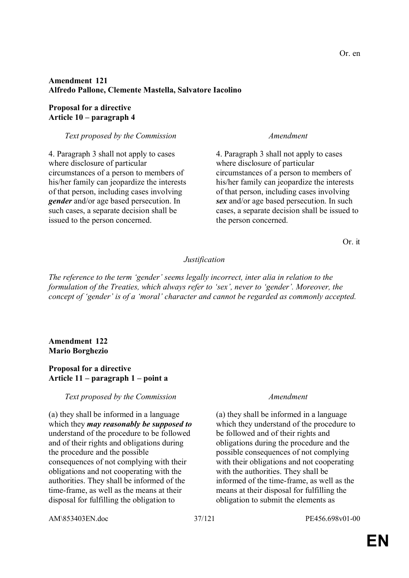# **Amendment 121 Alfredo Pallone, Clemente Mastella, Salvatore Iacolino**

### **Proposal for a directive Article 10 – paragraph 4**

### *Text proposed by the Commission Amendment*

4. Paragraph 3 shall not apply to cases where disclosure of particular circumstances of a person to members of his/her family can jeopardize the interests of that person, including cases involving *gender* and/or age based persecution. In such cases, a separate decision shall be issued to the person concerned.

4. Paragraph 3 shall not apply to cases where disclosure of particular circumstances of a person to members of his/her family can jeopardize the interests of that person, including cases involving *sex* and/or age based persecution. In such cases, a separate decision shall be issued to the person concerned.

Or. it

# *Justification*

*The reference to the term 'gender' seems legally incorrect, inter alia in relation to the formulation of the Treaties, which always refer to 'sex', never to 'gender'. Moreover, the concept of 'gender' is of a 'moral' character and cannot be regarded as commonly accepted.*

### **Amendment 122 Mario Borghezio**

### **Proposal for a directive Article 11 – paragraph 1 – point a**

#### *Text proposed by the Commission Amendment*

(a) they shall be informed in a language which they *may reasonably be supposed to* understand of the procedure to be followed and of their rights and obligations during the procedure and the possible consequences of not complying with their obligations and not cooperating with the authorities. They shall be informed of the time-frame, as well as the means at their disposal for fulfilling the obligation to

(a) they shall be informed in a language which they understand of the procedure to be followed and of their rights and obligations during the procedure and the possible consequences of not complying with their obligations and not cooperating with the authorities. They shall be informed of the time-frame, as well as the means at their disposal for fulfilling the obligation to submit the elements as

AM\853403EN.doc 37/121 PE456.698v01-00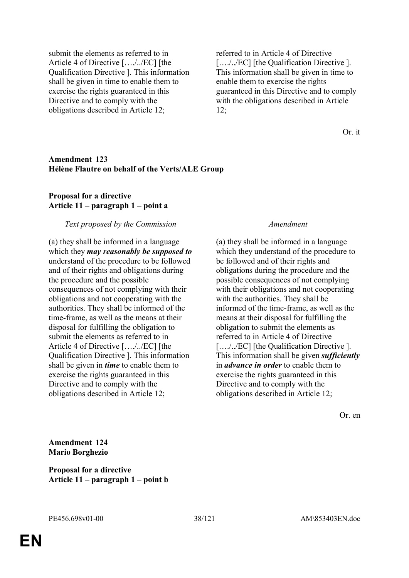submit the elements as referred to in Article 4 of Directive […./../EC] [the Qualification Directive ]. This information shall be given in time to enable them to exercise the rights guaranteed in this Directive and to comply with the obligations described in Article 12;

referred to in Article 4 of Directive […./../EC] [the Qualification Directive ]. This information shall be given in time to enable them to exercise the rights guaranteed in this Directive and to comply with the obligations described in Article  $12:$ 

Or. it

#### **Amendment 123 Hélène Flautre on behalf of the Verts/ALE Group**

### **Proposal for a directive Article 11 – paragraph 1 – point a**

#### *Text proposed by the Commission Amendment*

(a) they shall be informed in a language which they *may reasonably be supposed to* understand of the procedure to be followed and of their rights and obligations during the procedure and the possible consequences of not complying with their obligations and not cooperating with the authorities. They shall be informed of the time-frame, as well as the means at their disposal for fulfilling the obligation to submit the elements as referred to in Article 4 of Directive […./../EC] [the Qualification Directive ]. This information shall be given in *time* to enable them to exercise the rights guaranteed in this Directive and to comply with the obligations described in Article 12;

(a) they shall be informed in a language which they understand of the procedure to be followed and of their rights and obligations during the procedure and the possible consequences of not complying with their obligations and not cooperating with the authorities. They shall be informed of the time-frame, as well as the means at their disposal for fulfilling the obligation to submit the elements as referred to in Article 4 of Directive […./../EC] [the Qualification Directive ]. This information shall be given *sufficiently* in *advance in order* to enable them to exercise the rights guaranteed in this Directive and to comply with the obligations described in Article 12;

Or. en

**Amendment 124 Mario Borghezio**

**Proposal for a directive Article 11 – paragraph 1 – point b**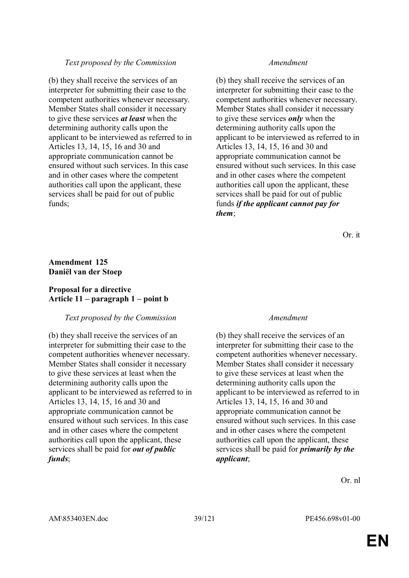#### *Text proposed by the Commission Amendment*

(b) they shall receive the services of an interpreter for submitting their case to the competent authorities whenever necessary. Member States shall consider it necessary to give these services *at least* when the determining authority calls upon the applicant to be interviewed as referred to in Articles 13, 14, 15, 16 and 30 and appropriate communication cannot be ensured without such services. In this case and in other cases where the competent authorities call upon the applicant, these services shall be paid for out of public funds;

(b) they shall receive the services of an interpreter for submitting their case to the competent authorities whenever necessary. Member States shall consider it necessary to give these services *only* when the determining authority calls upon the applicant to be interviewed as referred to in Articles 13, 14, 15, 16 and 30 and appropriate communication cannot be ensured without such services. In this case and in other cases where the competent authorities call upon the applicant, these services shall be paid for out of public funds *if the applicant cannot pay for them*;

Or. it

### **Amendment 125 Daniël van der Stoep**

#### **Proposal for a directive Article 11 – paragraph 1 – point b**

#### *Text proposed by the Commission Amendment*

(b) they shall receive the services of an interpreter for submitting their case to the competent authorities whenever necessary. Member States shall consider it necessary to give these services at least when the determining authority calls upon the applicant to be interviewed as referred to in Articles 13, 14, 15, 16 and 30 and appropriate communication cannot be ensured without such services. In this case and in other cases where the competent authorities call upon the applicant, these services shall be paid for *out of public funds*;

(b) they shall receive the services of an interpreter for submitting their case to the competent authorities whenever necessary. Member States shall consider it necessary to give these services at least when the determining authority calls upon the applicant to be interviewed as referred to in Articles 13, 14, 15, 16 and 30 and appropriate communication cannot be ensured without such services. In this case and in other cases where the competent authorities call upon the applicant, these services shall be paid for *primarily by the applicant*;

Or. nl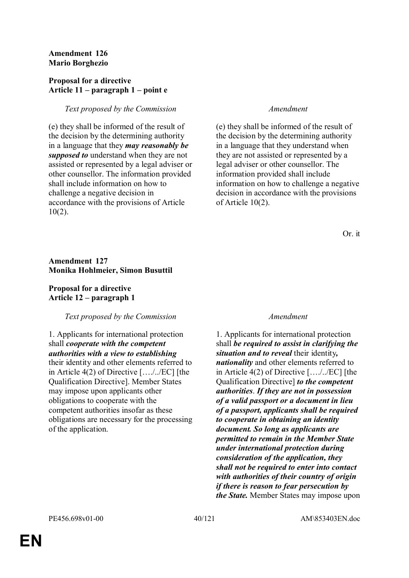### **Amendment 126 Mario Borghezio**

### **Proposal for a directive Article 11 – paragraph 1 – point e**

# *Text proposed by the Commission Amendment*

(e) they shall be informed of the result of the decision by the determining authority in a language that they *may reasonably be supposed to* understand when they are not assisted or represented by a legal adviser or other counsellor. The information provided shall include information on how to challenge a negative decision in accordance with the provisions of Article 10(2).

(e) they shall be informed of the result of the decision by the determining authority in a language that they understand when they are not assisted or represented by a legal adviser or other counsellor. The information provided shall include information on how to challenge a negative decision in accordance with the provisions of Article 10(2).

Or. it

# **Amendment 127 Monika Hohlmeier, Simon Busuttil**

**Proposal for a directive Article 12 – paragraph 1** 

# *Text proposed by the Commission Amendment*

1. Applicants for international protection shall *cooperate with the competent authorities with a view to establishing* their identity and other elements referred to in Article 4(2) of Directive […./../EC] [the Qualification Directive]. Member States may impose upon applicants other obligations to cooperate with the competent authorities insofar as these obligations are necessary for the processing of the application.

1. Applicants for international protection shall *be required to assist in clarifying the situation and to reveal* their identity*, nationality* and other elements referred to in Article 4(2) of Directive […./../EC] [the Qualification Directive] *to the competent authorities*. *If they are not in possession of a valid passport or a document in lieu of a passport, applicants shall be required to cooperate in obtaining an identity document. So long as applicants are permitted to remain in the Member State under international protection during consideration of the application, they shall not be required to enter into contact with authorities of their country of origin if there is reason to fear persecution by the State.* Member States may impose upon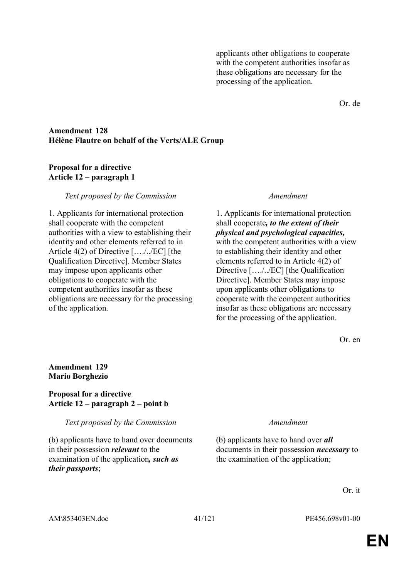applicants other obligations to cooperate with the competent authorities insofar as these obligations are necessary for the processing of the application.

Or. de

#### **Amendment 128 Hélène Flautre on behalf of the Verts/ALE Group**

#### **Proposal for a directive Article 12 – paragraph 1**

#### *Text proposed by the Commission Amendment*

1. Applicants for international protection shall cooperate with the competent authorities with a view to establishing their identity and other elements referred to in Article 4(2) of Directive […./../EC] [the Qualification Directive]. Member States may impose upon applicants other obligations to cooperate with the competent authorities insofar as these obligations are necessary for the processing of the application.

1. Applicants for international protection shall cooperate*, to the extent of their physical and psychological capacities,* with the competent authorities with a view to establishing their identity and other elements referred to in Article 4(2) of Directive […./../EC] [the Qualification Directive]. Member States may impose upon applicants other obligations to cooperate with the competent authorities insofar as these obligations are necessary for the processing of the application.

Or. en

### **Amendment 129 Mario Borghezio**

#### **Proposal for a directive Article 12 – paragraph 2 – point b**

*Text proposed by the Commission Amendment*

(b) applicants have to hand over documents in their possession *relevant* to the examination of the application*, such as their passports*;

(b) applicants have to hand over *all*  documents in their possession *necessary* to the examination of the application;

Or. it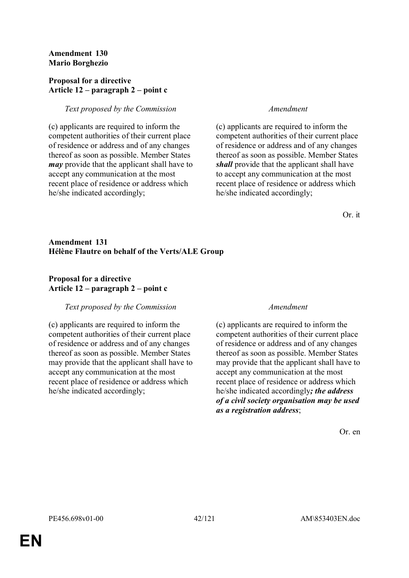### **Amendment 130 Mario Borghezio**

### **Proposal for a directive Article 12 – paragraph 2 – point c**

# *Text proposed by the Commission Amendment*

(c) applicants are required to inform the competent authorities of their current place of residence or address and of any changes thereof as soon as possible. Member States *may* provide that the applicant shall have to accept any communication at the most recent place of residence or address which he/she indicated accordingly;

(c) applicants are required to inform the competent authorities of their current place of residence or address and of any changes thereof as soon as possible. Member States *shall* provide that the applicant shall have to accept any communication at the most recent place of residence or address which he/she indicated accordingly;

Or. it

# **Amendment 131 Hélène Flautre on behalf of the Verts/ALE Group**

# **Proposal for a directive Article 12 – paragraph 2 – point c**

# *Text proposed by the Commission Amendment*

(c) applicants are required to inform the competent authorities of their current place of residence or address and of any changes thereof as soon as possible. Member States may provide that the applicant shall have to accept any communication at the most recent place of residence or address which he/she indicated accordingly;

(c) applicants are required to inform the competent authorities of their current place of residence or address and of any changes thereof as soon as possible. Member States may provide that the applicant shall have to accept any communication at the most recent place of residence or address which he/she indicated accordingly*; the address of a civil society organisation may be used as a registration address*;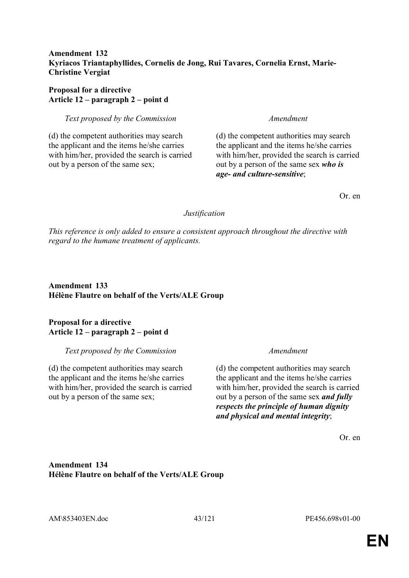## **Amendment 132 Kyriacos Triantaphyllides, Cornelis de Jong, Rui Tavares, Cornelia Ernst, Marie-Christine Vergiat**

# **Proposal for a directive Article 12 – paragraph 2 – point d**

*Text proposed by the Commission Amendment*

(d) the competent authorities may search the applicant and the items he/she carries with him/her, provided the search is carried out by a person of the same sex;

(d) the competent authorities may search the applicant and the items he/she carries with him/her, provided the search is carried out by a person of the same sex *who is age- and culture-sensitive*;

Or. en

### *Justification*

*This reference is only added to ensure a consistent approach throughout the directive with regard to the humane treatment of applicants.*

**Amendment 133 Hélène Flautre on behalf of the Verts/ALE Group**

### **Proposal for a directive Article 12 – paragraph 2 – point d**

#### *Text proposed by the Commission Amendment*

(d) the competent authorities may search the applicant and the items he/she carries with him/her, provided the search is carried out by a person of the same sex;

(d) the competent authorities may search the applicant and the items he/she carries with him/her, provided the search is carried out by a person of the same sex *and fully respects the principle of human dignity and physical and mental integrity*;

Or. en

# **Amendment 134 Hélène Flautre on behalf of the Verts/ALE Group**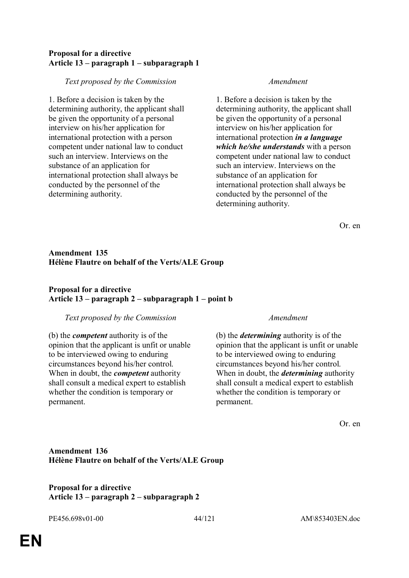## **Proposal for a directive Article 13 – paragraph 1 – subparagraph 1**

### *Text proposed by the Commission Amendment*

1. Before a decision is taken by the determining authority, the applicant shall be given the opportunity of a personal interview on his/her application for international protection with a person competent under national law to conduct such an interview. Interviews on the substance of an application for international protection shall always be conducted by the personnel of the determining authority.

1. Before a decision is taken by the determining authority, the applicant shall be given the opportunity of a personal interview on his/her application for international protection *in a language which he/she understands* with a person competent under national law to conduct such an interview. Interviews on the substance of an application for international protection shall always be conducted by the personnel of the determining authority.

Or. en

# **Amendment 135 Hélène Flautre on behalf of the Verts/ALE Group**

# **Proposal for a directive Article 13 – paragraph 2 – subparagraph 1 – point b**

#### *Text proposed by the Commission Amendment*

(b) the *competent* authority is of the opinion that the applicant is unfit or unable to be interviewed owing to enduring circumstances beyond his/her control. When in doubt, the *competent* authority shall consult a medical expert to establish whether the condition is temporary or permanent.

(b) the *determining* authority is of the opinion that the applicant is unfit or unable to be interviewed owing to enduring circumstances beyond his/her control. When in doubt, the *determining* authority shall consult a medical expert to establish whether the condition is temporary or permanent.

Or. en

# **Amendment 136 Hélène Flautre on behalf of the Verts/ALE Group**

# **Proposal for a directive Article 13 – paragraph 2 – subparagraph 2**

PE456.698v01-00 44/121 AM\853403EN.doc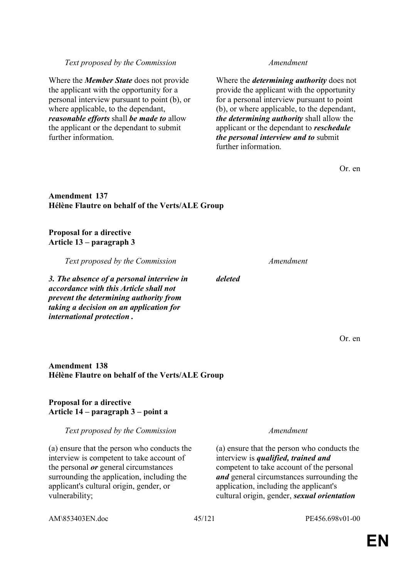Where the *determining authority* does not provide the applicant with the opportunity for a personal interview pursuant to point (b), or where applicable, to the dependant, *the determining authority* shall allow the applicant or the dependant to *reschedule the personal interview and to* submit further information.

Or. en

# **Amendment 137 Hélène Flautre on behalf of the Verts/ALE Group**

*Text proposed by the Commission Amendment*

# **Proposal for a directive Article 13 – paragraph 3**

further information.

*Text proposed by the Commission Amendment*

Where the *Member State* does not provide the applicant with the opportunity for a personal interview pursuant to point (b), or

*reasonable efforts* shall *be made to* allow the applicant or the dependant to submit

where applicable, to the dependant,

*3. The absence of a personal interview in accordance with this Article shall not prevent the determining authority from taking a decision on an application for international protection .*

# **Amendment 138 Hélène Flautre on behalf of the Verts/ALE Group**

# **Proposal for a directive Article 14 – paragraph 3 – point a**

# *Text proposed by the Commission Amendment*

(a) ensure that the person who conducts the interview is competent to take account of the personal *or* general circumstances surrounding the application, including the applicant's cultural origin, gender, or vulnerability;

(a) ensure that the person who conducts the interview is *qualified, trained and* competent to take account of the personal *and* general circumstances surrounding the application, including the applicant's cultural origin, gender, *sexual orientation*

*deleted*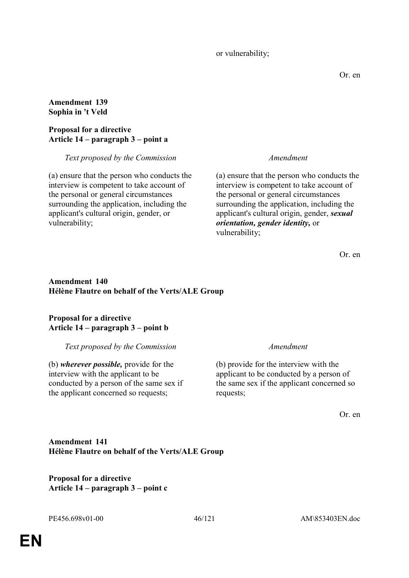or vulnerability;

Or. en

### **Amendment 139 Sophia in 't Veld**

# **Proposal for a directive Article 14 – paragraph 3 – point a**

*Text proposed by the Commission Amendment*

(a) ensure that the person who conducts the interview is competent to take account of the personal or general circumstances surrounding the application, including the applicant's cultural origin, gender, or vulnerability;

(a) ensure that the person who conducts the interview is competent to take account of the personal or general circumstances surrounding the application, including the applicant's cultural origin, gender, *sexual orientation, gender identity,* or vulnerability;

Or. en

# **Amendment 140 Hélène Flautre on behalf of the Verts/ALE Group**

# **Proposal for a directive Article 14 – paragraph 3 – point b**

*Text proposed by the Commission Amendment*

(b) *wherever possible,* provide for the interview with the applicant to be conducted by a person of the same sex if the applicant concerned so requests;

(b) provide for the interview with the applicant to be conducted by a person of the same sex if the applicant concerned so requests;

Or. en

**Amendment 141 Hélène Flautre on behalf of the Verts/ALE Group**

**Proposal for a directive Article 14 – paragraph 3 – point c**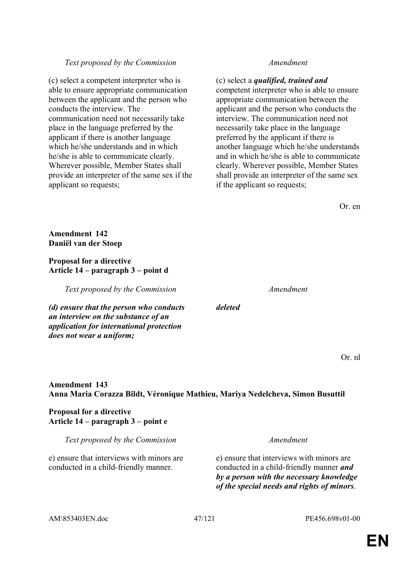#### *Text proposed by the Commission Amendment*

(c) select a competent interpreter who is able to ensure appropriate communication between the applicant and the person who conducts the interview. The communication need not necessarily take place in the language preferred by the applicant if there is another language which he/she understands and in which he/she is able to communicate clearly. Wherever possible, Member States shall provide an interpreter of the same sex if the applicant so requests;

(c) select a *qualified, trained and* competent interpreter who is able to ensure appropriate communication between the applicant and the person who conducts the interview. The communication need not necessarily take place in the language preferred by the applicant if there is another language which he/she understands and in which he/she is able to communicate clearly. Wherever possible, Member States shall provide an interpreter of the same sex if the applicant so requests;

Or. en

**Amendment 142 Daniël van der Stoep**

**Proposal for a directive Article 14 – paragraph 3 – point d** 

*Text proposed by the Commission Amendment*

*(d) ensure that the person who conducts an interview on the substance of an application for international protection does not wear a uniform;*

*deleted*

Or. nl

# **Amendment 143 Anna Maria Corazza Bildt, Véronique Mathieu, Mariya Nedelcheva, Simon Busuttil**

# **Proposal for a directive Article 14 – paragraph 3 – point e**

*Text proposed by the Commission Amendment*

e) ensure that interviews with minors are conducted in a child-friendly manner.

e) ensure that interviews with minors are conducted in a child-friendly manner *and by a person with the necessary knowledge of the special needs and rights of minors*.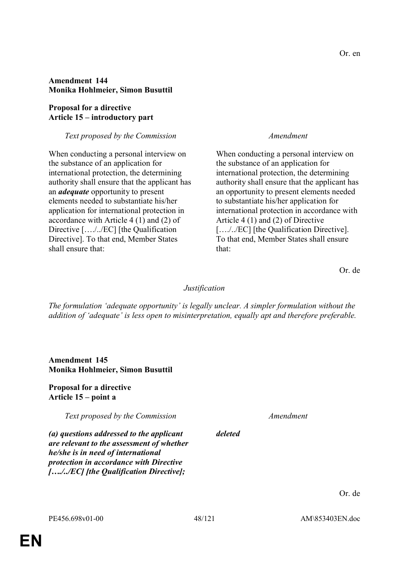### **Amendment 144 Monika Hohlmeier, Simon Busuttil**

### **Proposal for a directive Article 15 – introductory part**

### *Text proposed by the Commission Amendment*

When conducting a personal interview on the substance of an application for international protection, the determining authority shall ensure that the applicant has an *adequate* opportunity to present elements needed to substantiate his/her application for international protection in accordance with Article 4 (1) and (2) of Directive […./../EC] [the Qualification Directive]. To that end, Member States shall ensure that:

When conducting a personal interview on the substance of an application for international protection, the determining authority shall ensure that the applicant has an opportunity to present elements needed to substantiate his/her application for international protection in accordance with Article 4 (1) and (2) of Directive […./../EC] [the Qualification Directive]. To that end, Member States shall ensure that:

Or. de

# *Justification*

*The formulation 'adequate opportunity' is legally unclear. A simpler formulation without the addition of 'adequate' is less open to misinterpretation, equally apt and therefore preferable.*

### **Amendment 145 Monika Hohlmeier, Simon Busuttil**

### **Proposal for a directive Article 15 – point a**

*Text proposed by the Commission Amendment*

*deleted*

*(a) questions addressed to the applicant are relevant to the assessment of whether he/she is in need of international protection in accordance with Directive […./../EC] [the Qualification Directive];*

**EN**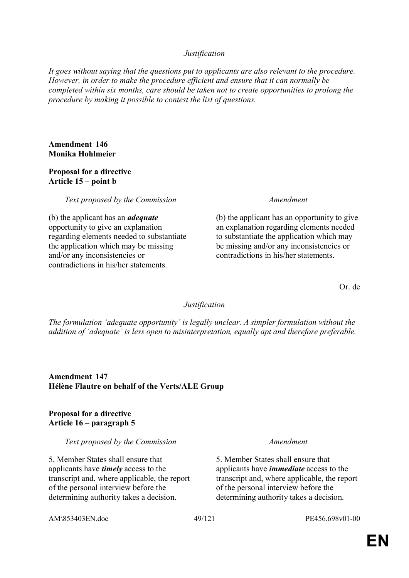### *Justification*

*It goes without saying that the questions put to applicants are also relevant to the procedure. However, in order to make the procedure efficient and ensure that it can normally be completed within six months, care should be taken not to create opportunities to prolong the procedure by making it possible to contest the list of questions.*

#### **Amendment 146 Monika Hohlmeier**

#### **Proposal for a directive Article 15 – point b**

*Text proposed by the Commission Amendment*

(b) the applicant has an *adequate* opportunity to give an explanation regarding elements needed to substantiate the application which may be missing and/or any inconsistencies or contradictions in his/her statements.

(b) the applicant has an opportunity to give an explanation regarding elements needed to substantiate the application which may be missing and/or any inconsistencies or contradictions in his/her statements.

Or. de

#### *Justification*

*The formulation 'adequate opportunity' is legally unclear. A simpler formulation without the addition of 'adequate' is less open to misinterpretation, equally apt and therefore preferable.*

**Amendment 147 Hélène Flautre on behalf of the Verts/ALE Group**

### **Proposal for a directive Article 16 – paragraph 5**

*Text proposed by the Commission Amendment*

5. Member States shall ensure that applicants have *timely* access to the transcript and, where applicable, the report of the personal interview before the determining authority takes a decision.

5. Member States shall ensure that applicants have *immediate* access to the transcript and, where applicable, the report of the personal interview before the determining authority takes a decision.

AM\853403EN.doc 49/121 PE456.698v01-00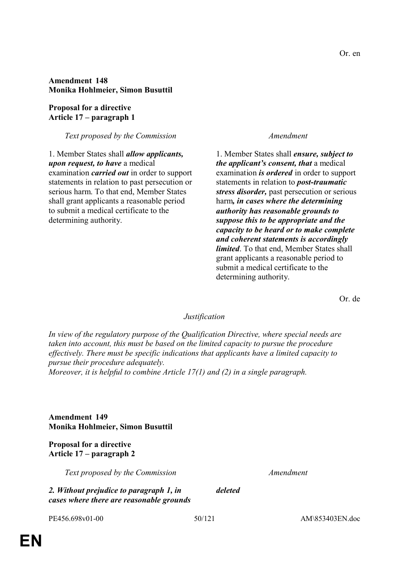### **Amendment 148 Monika Hohlmeier, Simon Busuttil**

**Proposal for a directive Article 17 – paragraph 1** 

*Text proposed by the Commission Amendment*

1. Member States shall *allow applicants, upon request, to have* a medical examination *carried out* in order to support statements in relation to past persecution or serious harm. To that end, Member States shall grant applicants a reasonable period to submit a medical certificate to the determining authority.

1. Member States shall *ensure, subject to the applicant's consent, that* a medical examination *is ordered* in order to support statements in relation to *post-traumatic stress disorder,* past persecution or serious harm*, in cases where the determining authority has reasonable grounds to suppose this to be appropriate and the capacity to be heard or to make complete and coherent statements is accordingly limited*. To that end, Member States shall grant applicants a reasonable period to submit a medical certificate to the determining authority.

Or. de

#### *Justification*

*In view of the regulatory purpose of the Qualification Directive, where special needs are taken into account, this must be based on the limited capacity to pursue the procedure effectively. There must be specific indications that applicants have a limited capacity to pursue their procedure adequately. Moreover, it is helpful to combine Article 17(1) and (2) in a single paragraph.*

**Amendment 149 Monika Hohlmeier, Simon Busuttil**

**Proposal for a directive Article 17 – paragraph 2** 

*Text proposed by the Commission Amendment*

*2. Without prejudice to paragraph 1, in cases where there are reasonable grounds*  *deleted*

PE456.698v01-00 50/121 AM\853403EN.doc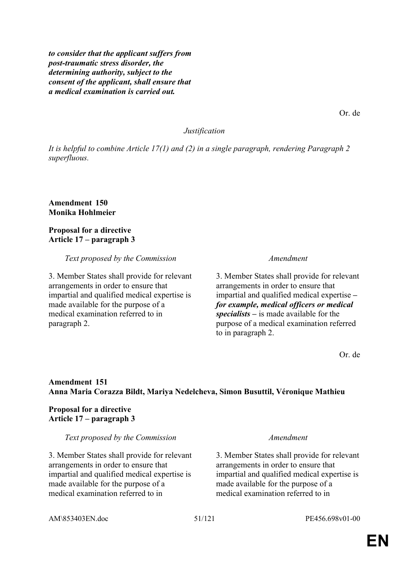*to consider that the applicant suffers from post-traumatic stress disorder, the determining authority, subject to the consent of the applicant, shall ensure that a medical examination is carried out.*

*Justification*

*It is helpful to combine Article 17(1) and (2) in a single paragraph, rendering Paragraph 2 superfluous.*

**Amendment 150 Monika Hohlmeier**

**Proposal for a directive Article 17 – paragraph 3** 

*Text proposed by the Commission Amendment*

3. Member States shall provide for relevant arrangements in order to ensure that impartial and qualified medical expertise is made available for the purpose of a medical examination referred to in paragraph 2.

3. Member States shall provide for relevant arrangements in order to ensure that impartial and qualified medical expertise *– for example, medical officers or medical specialists –* is made available for the purpose of a medical examination referred to in paragraph 2.

Or. de

### **Amendment 151 Anna Maria Corazza Bildt, Mariya Nedelcheva, Simon Busuttil, Véronique Mathieu**

#### **Proposal for a directive Article 17 – paragraph 3**

*Text proposed by the Commission Amendment*

3. Member States shall provide for relevant arrangements in order to ensure that impartial and qualified medical expertise is made available for the purpose of a medical examination referred to in

3. Member States shall provide for relevant arrangements in order to ensure that impartial and qualified medical expertise is made available for the purpose of a medical examination referred to in

AM\853403EN.doc 51/121 PE456.698v01-00

Or. de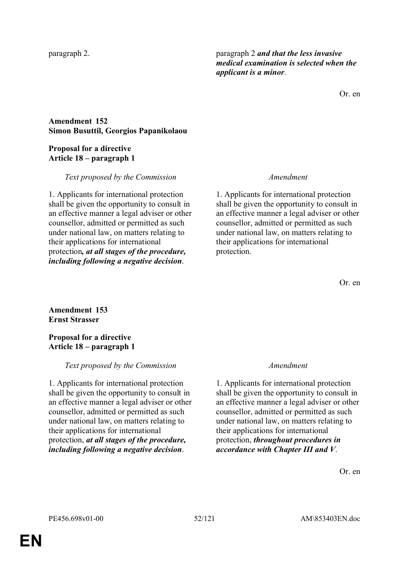paragraph 2. paragraph 2 *and that the less invasive medical examination is selected when the applicant is a minor*.

Or. en

# **Amendment 152 Simon Busuttil, Georgios Papanikolaou**

# **Proposal for a directive Article 18 – paragraph 1**

# *Text proposed by the Commission Amendment*

1. Applicants for international protection shall be given the opportunity to consult in an effective manner a legal adviser or other counsellor, admitted or permitted as such under national law, on matters relating to their applications for international protection*, at all stages of the procedure, including following a negative decision*.

1. Applicants for international protection shall be given the opportunity to consult in an effective manner a legal adviser or other counsellor, admitted or permitted as such under national law, on matters relating to their applications for international protection.

Or. en

**Amendment 153 Ernst Strasser**

# **Proposal for a directive Article 18 – paragraph 1**

# *Text proposed by the Commission Amendment*

1. Applicants for international protection shall be given the opportunity to consult in an effective manner a legal adviser or other counsellor, admitted or permitted as such under national law, on matters relating to their applications for international protection, *at all stages of the procedure, including following a negative decision*.

1. Applicants for international protection shall be given the opportunity to consult in an effective manner a legal adviser or other counsellor, admitted or permitted as such under national law, on matters relating to their applications for international protection, *throughout procedures in accordance with Chapter III and V*.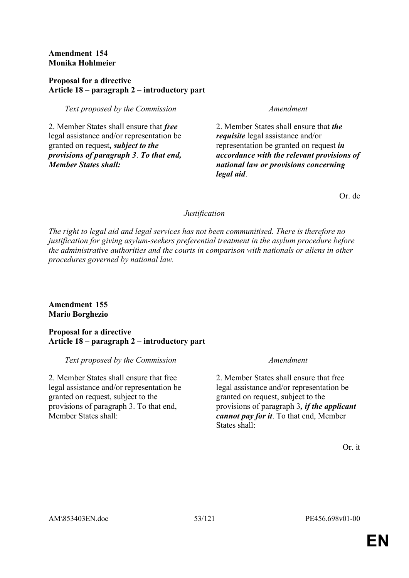### **Amendment 154 Monika Hohlmeier**

### **Proposal for a directive Article 18 – paragraph 2 – introductory part**

## *Text proposed by the Commission Amendment*

2. Member States shall ensure that *free* legal assistance and/or representation be granted on request*, subject to the provisions of paragraph 3*. *To that end, Member States shall:*

2. Member States shall ensure that *the requisite* legal assistance and/or representation be granted on request *in accordance with the relevant provisions of national law or provisions concerning legal aid*.

Or. de

# *Justification*

*The right to legal aid and legal services has not been communitised. There is therefore no justification for giving asylum-seekers preferential treatment in the asylum procedure before the administrative authorities and the courts in comparison with nationals or aliens in other procedures governed by national law.*

# **Amendment 155 Mario Borghezio**

# **Proposal for a directive Article 18 – paragraph 2 – introductory part**

*Text proposed by the Commission Amendment*

2. Member States shall ensure that free legal assistance and/or representation be granted on request, subject to the provisions of paragraph 3. To that end, Member States shall:

2. Member States shall ensure that free legal assistance and/or representation be granted on request, subject to the provisions of paragraph 3*, if the applicant cannot pay for it*. To that end, Member States shall:

Or. it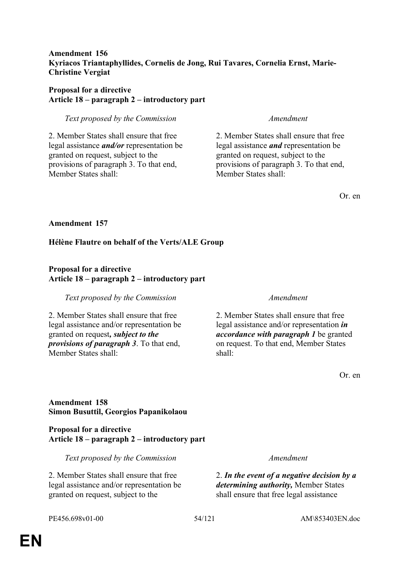## **Amendment 156 Kyriacos Triantaphyllides, Cornelis de Jong, Rui Tavares, Cornelia Ernst, Marie-Christine Vergiat**

### **Proposal for a directive Article 18 – paragraph 2 – introductory part**

*Text proposed by the Commission Amendment*

2. Member States shall ensure that free legal assistance *and/or* representation be granted on request, subject to the provisions of paragraph 3. To that end, Member States shall:

2. Member States shall ensure that free legal assistance *and* representation be granted on request, subject to the provisions of paragraph 3. To that end, Member States shall:

Or. en

### **Amendment 157**

# **Hélène Flautre on behalf of the Verts/ALE Group**

# **Proposal for a directive Article 18 – paragraph 2 – introductory part**

*Text proposed by the Commission Amendment*

2. Member States shall ensure that free legal assistance and/or representation be granted on request*, subject to the provisions of paragraph 3*. To that end, Member States shall:

2. Member States shall ensure that free legal assistance and/or representation *in accordance with paragraph 1* be granted on request. To that end, Member States shall:

Or. en

# **Amendment 158 Simon Busuttil, Georgios Papanikolaou**

**Proposal for a directive Article 18 – paragraph 2 – introductory part** 

*Text proposed by the Commission Amendment*

2. Member States shall ensure that free legal assistance and/or representation be granted on request, subject to the

2. *In the event of a negative decision by a determining authority,* Member States shall ensure that free legal assistance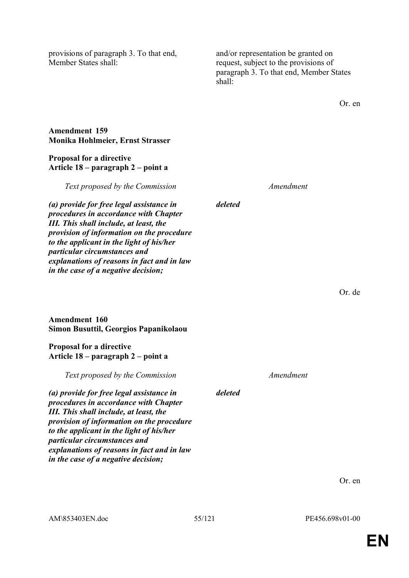provisions of paragraph 3. To that end, Member States shall:

and/or representation be granted on request, subject to the provisions of paragraph 3. To that end, Member States shall:

Or. en

Or. de

#### **Amendment 159 Monika Hohlmeier, Ernst Strasser**

#### **Proposal for a directive Article 18 – paragraph 2 – point a**

*Text proposed by the Commission Amendment*

*(a) provide for free legal assistance in procedures in accordance with Chapter*  *deleted*

*III. This shall include, at least, the provision of information on the procedure to the applicant in the light of his/her particular circumstances and explanations of reasons in fact and in law in the case of a negative decision;*

# **Amendment 160 Simon Busuttil, Georgios Papanikolaou**

### **Proposal for a directive Article 18 – paragraph 2 – point a**

*Text proposed by the Commission Amendment*

*(a) provide for free legal assistance in procedures in accordance with Chapter III. This shall include, at least, the provision of information on the procedure to the applicant in the light of his/her particular circumstances and explanations of reasons in fact and in law in the case of a negative decision;*

Or. en

*deleted*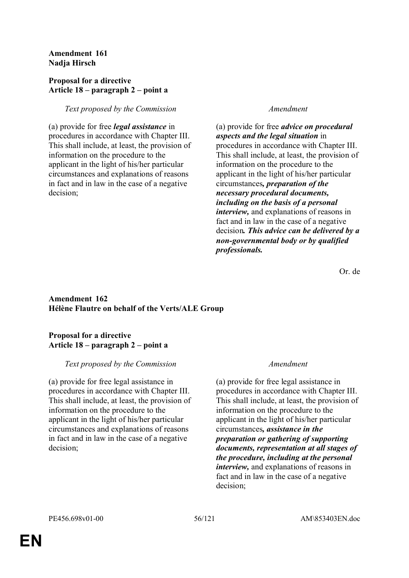**Amendment 161 Nadja Hirsch**

### **Proposal for a directive Article 18 – paragraph 2 – point a**

# *Text proposed by the Commission Amendment*

(a) provide for free *legal assistance* in procedures in accordance with Chapter III. This shall include, at least, the provision of information on the procedure to the applicant in the light of his/her particular circumstances and explanations of reasons in fact and in law in the case of a negative decision;

(a) provide for free *advice on procedural aspects and the legal situation* in procedures in accordance with Chapter III. This shall include, at least, the provision of information on the procedure to the applicant in the light of his/her particular circumstances*, preparation of the necessary procedural documents, including on the basis of a personal interview,* and explanations of reasons in fact and in law in the case of a negative decision*. This advice can be delivered by a non-governmental body or by qualified professionals.*

Or. de

### **Amendment 162 Hélène Flautre on behalf of the Verts/ALE Group**

# **Proposal for a directive Article 18 – paragraph 2 – point a**

# *Text proposed by the Commission Amendment*

(a) provide for free legal assistance in procedures in accordance with Chapter III. This shall include, at least, the provision of information on the procedure to the applicant in the light of his/her particular circumstances and explanations of reasons in fact and in law in the case of a negative decision;

(a) provide for free legal assistance in procedures in accordance with Chapter III. This shall include, at least, the provision of information on the procedure to the applicant in the light of his/her particular circumstances*, assistance in the preparation or gathering of supporting documents, representation at all stages of the procedure, including at the personal interview,* and explanations of reasons in fact and in law in the case of a negative decision;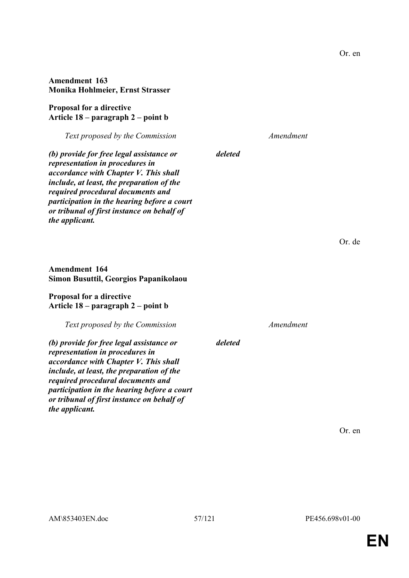AM\853403EN.doc 57/121 PE456.698v01-00

*deleted*

*deleted*

### **Amendment 163 Monika Hohlmeier, Ernst Strasser**

**Proposal for a directive Article 18 – paragraph 2 – point b** 

*Text proposed by the Commission Amendment*

*(b) provide for free legal assistance or representation in procedures in accordance with Chapter V. This shall include, at least, the preparation of the required procedural documents and participation in the hearing before a court or tribunal of first instance on behalf of the applicant.*

**Amendment 164 Simon Busuttil, Georgios Papanikolaou**

#### **Proposal for a directive Article 18 – paragraph 2 – point b**

*Text proposed by the Commission Amendment*

*(b) provide for free legal assistance or representation in procedures in accordance with Chapter V. This shall include, at least, the preparation of the required procedural documents and participation in the hearing before a court or tribunal of first instance on behalf of the applicant.*

Or. en

Or. de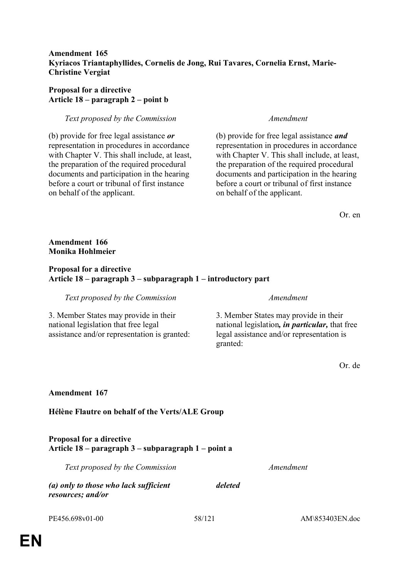# **Amendment 165 Kyriacos Triantaphyllides, Cornelis de Jong, Rui Tavares, Cornelia Ernst, Marie-Christine Vergiat**

# **Proposal for a directive Article 18 – paragraph 2 – point b**

### *Text proposed by the Commission Amendment*

(b) provide for free legal assistance *or* representation in procedures in accordance with Chapter V. This shall include, at least, the preparation of the required procedural documents and participation in the hearing before a court or tribunal of first instance on behalf of the applicant.

(b) provide for free legal assistance *and* representation in procedures in accordance with Chapter V. This shall include, at least, the preparation of the required procedural documents and participation in the hearing before a court or tribunal of first instance on behalf of the applicant.

Or. en

## **Amendment 166 Monika Hohlmeier**

## **Proposal for a directive Article 18 – paragraph 3 – subparagraph 1 – introductory part**

*Text proposed by the Commission Amendment*

3. Member States may provide in their national legislation that free legal assistance and/or representation is granted:

3. Member States may provide in their national legislation*, in particular,* that free legal assistance and/or representation is granted:

Or. de

# **Amendment 167**

# **Hélène Flautre on behalf of the Verts/ALE Group**

### **Proposal for a directive Article 18 – paragraph 3 – subparagraph 1 – point a**

*Text proposed by the Commission Amendment*

*(a) only to those who lack sufficient* 

PE456.698v01-00 58/121 AM\853403EN.doc

*resources; and/or*

*deleted*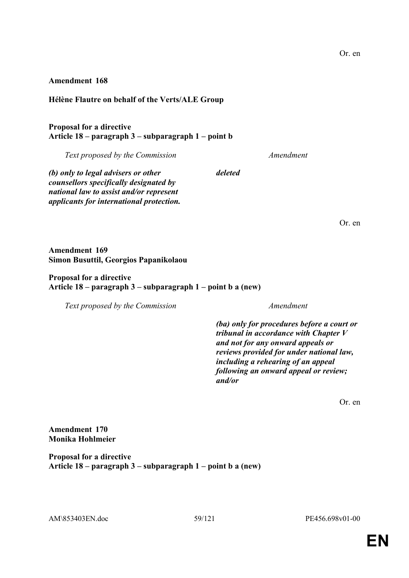#### **Amendment 168**

### **Hélène Flautre on behalf of the Verts/ALE Group**

# **Proposal for a directive Article 18 – paragraph 3 – subparagraph 1 – point b**

*Text proposed by the Commission Amendment*

*deleted*

*(b) only to legal advisers or other counsellors specifically designated by national law to assist and/or represent applicants for international protection.*

Or. en

**Amendment 169 Simon Busuttil, Georgios Papanikolaou**

#### **Proposal for a directive Article 18 – paragraph 3 – subparagraph 1 – point b a (new)**

*Text proposed by the Commission Amendment*

*(ba) only for procedures before a court or tribunal in accordance with Chapter V and not for any onward appeals or reviews provided for under national law, including a rehearing of an appeal following an onward appeal or review; and/or*

Or. en

**Amendment 170 Monika Hohlmeier**

**Proposal for a directive Article 18 – paragraph 3 – subparagraph 1 – point b a (new)** 

AM\853403EN.doc 59/121 PE456.698v01-00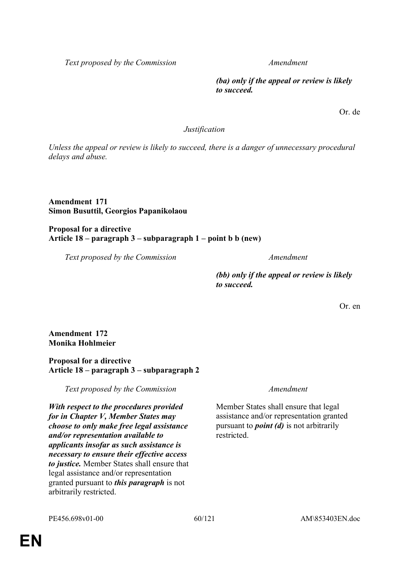*Text proposed by the Commission Amendment*

*(ba) only if the appeal or review is likely to succeed.*

Or. de

### *Justification*

*Unless the appeal or review is likely to succeed, there is a danger of unnecessary procedural delays and abuse.*

#### **Amendment 171 Simon Busuttil, Georgios Papanikolaou**

#### **Proposal for a directive Article 18 – paragraph 3 – subparagraph 1 – point b b (new)**

*Text proposed by the Commission Amendment*

*(bb) only if the appeal or review is likely to succeed.*

Or. en

**Amendment 172 Monika Hohlmeier**

#### **Proposal for a directive Article 18 – paragraph 3 – subparagraph 2**

*Text proposed by the Commission Amendment*

*With respect to the procedures provided for in Chapter V, Member States may choose to only make free legal assistance and/or representation available to applicants insofar as such assistance is necessary to ensure their effective access to justice.* Member States shall ensure that legal assistance and/or representation granted pursuant to *this paragraph* is not arbitrarily restricted.

Member States shall ensure that legal assistance and/or representation granted pursuant to *point (d)* is not arbitrarily restricted.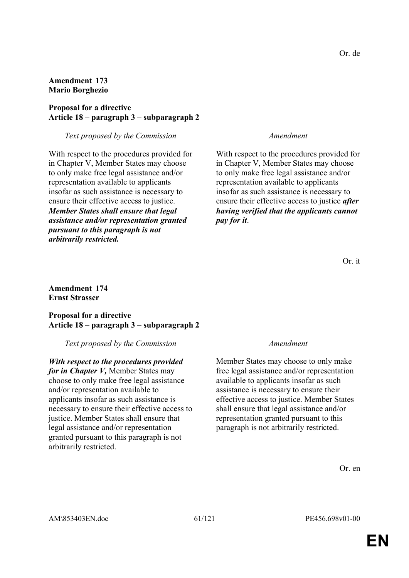### **Amendment 173 Mario Borghezio**

### **Proposal for a directive Article 18 – paragraph 3 – subparagraph 2**

#### *Text proposed by the Commission Amendment*

With respect to the procedures provided for in Chapter V, Member States may choose to only make free legal assistance and/or representation available to applicants insofar as such assistance is necessary to ensure their effective access to justice. *Member States shall ensure that legal assistance and/or representation granted pursuant to this paragraph is not arbitrarily restricted.*

With respect to the procedures provided for in Chapter V, Member States may choose to only make free legal assistance and/or representation available to applicants insofar as such assistance is necessary to ensure their effective access to justice *after having verified that the applicants cannot pay for it*.

#### **Amendment 174 Ernst Strasser**

### **Proposal for a directive Article 18 – paragraph 3 – subparagraph 2**

#### *Text proposed by the Commission Amendment*

# *With respect to the procedures provided*

*for in Chapter V,* Member States may choose to only make free legal assistance and/or representation available to applicants insofar as such assistance is necessary to ensure their effective access to justice. Member States shall ensure that legal assistance and/or representation granted pursuant to this paragraph is not arbitrarily restricted.

Member States may choose to only make free legal assistance and/or representation available to applicants insofar as such assistance is necessary to ensure their effective access to justice. Member States shall ensure that legal assistance and/or representation granted pursuant to this paragraph is not arbitrarily restricted.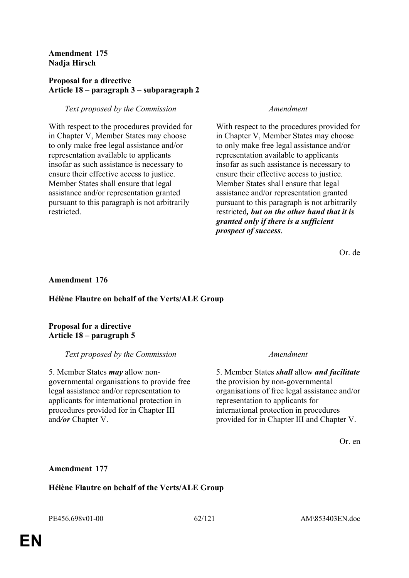### **Amendment 175 Nadja Hirsch**

## **Proposal for a directive Article 18 – paragraph 3 – subparagraph 2**

# *Text proposed by the Commission Amendment*

With respect to the procedures provided for in Chapter V, Member States may choose to only make free legal assistance and/or representation available to applicants insofar as such assistance is necessary to ensure their effective access to justice. Member States shall ensure that legal assistance and/or representation granted pursuant to this paragraph is not arbitrarily restricted.

With respect to the procedures provided for in Chapter V, Member States may choose to only make free legal assistance and/or representation available to applicants insofar as such assistance is necessary to ensure their effective access to justice. Member States shall ensure that legal assistance and/or representation granted pursuant to this paragraph is not arbitrarily restricted*, but on the other hand that it is granted only if there is a sufficient prospect of success*.

Or. de

### **Amendment 176**

# **Hélène Flautre on behalf of the Verts/ALE Group**

#### **Proposal for a directive Article 18 – paragraph 5**

#### *Text proposed by the Commission Amendment*

5. Member States *may* allow nongovernmental organisations to provide free legal assistance and/or representation to applicants for international protection in procedures provided for in Chapter III and*/or* Chapter V.

5. Member States *shall* allow *and facilitate* the provision by non-governmental organisations of free legal assistance and/or representation to applicants for international protection in procedures provided for in Chapter III and Chapter V.

Or. en

# **Amendment 177**

#### **Hélène Flautre on behalf of the Verts/ALE Group**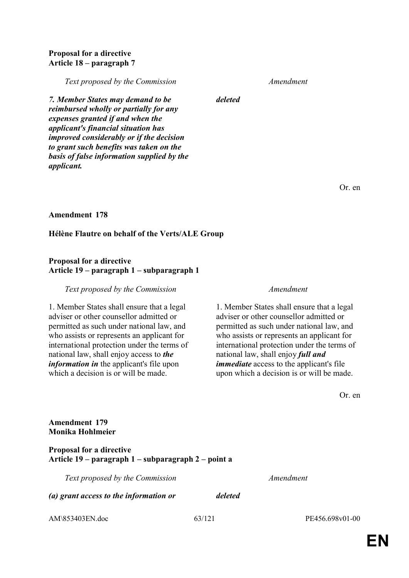### **Proposal for a directive Article 18 – paragraph 7**

*Text proposed by the Commission Amendment*

*deleted*

*7. Member States may demand to be reimbursed wholly or partially for any expenses granted if and when the applicant's financial situation has improved considerably or if the decision to grant such benefits was taken on the basis of false information supplied by the applicant.*

Or. en

### **Amendment 178**

# **Hélène Flautre on behalf of the Verts/ALE Group**

### **Proposal for a directive Article 19 – paragraph 1 – subparagraph 1**

### *Text proposed by the Commission Amendment*

1. Member States shall ensure that a legal adviser or other counsellor admitted or permitted as such under national law, and who assists or represents an applicant for international protection under the terms of national law, shall enjoy access to *the information in* the applicant's file upon which a decision is or will be made.

1. Member States shall ensure that a legal adviser or other counsellor admitted or permitted as such under national law, and who assists or represents an applicant for international protection under the terms of national law, shall enjoy *full and immediate* access to the applicant's file upon which a decision is or will be made.

Or. en

# AM\853403EN.doc 63/121 PE456.698v01-00 **Amendment 179 Monika Hohlmeier Proposal for a directive Article 19 – paragraph 1 – subparagraph 2 – point a**  *Text proposed by the Commission Amendment (a) grant access to the information or deleted*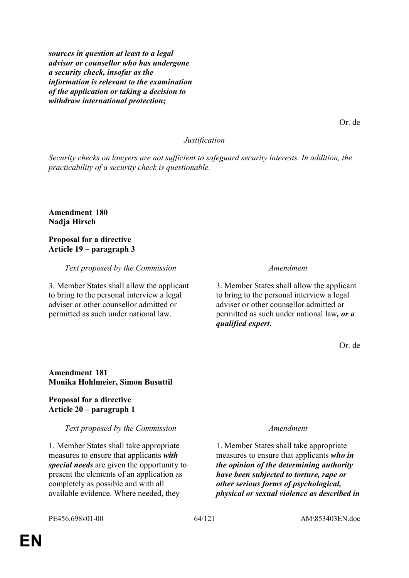*sources in question at least to a legal advisor or counsellor who has undergone a security check, insofar as the information is relevant to the examination of the application or taking a decision to withdraw international protection;*

*Justification*

*Security checks on lawyers are not sufficient to safeguard security interests. In addition, the practicability of a security check is questionable.*

**Amendment 180 Nadja Hirsch**

#### **Proposal for a directive Article 19 – paragraph 3**

*Text proposed by the Commission Amendment*

3. Member States shall allow the applicant to bring to the personal interview a legal adviser or other counsellor admitted or permitted as such under national law.

3. Member States shall allow the applicant to bring to the personal interview a legal adviser or other counsellor admitted or permitted as such under national law*, or a qualified expert*.

Or. de

### **Amendment 181 Monika Hohlmeier, Simon Busuttil**

#### **Proposal for a directive Article 20 – paragraph 1**

#### *Text proposed by the Commission Amendment*

1. Member States shall take appropriate measures to ensure that applicants *with special needs* are given the opportunity to present the elements of an application as completely as possible and with all available evidence. Where needed, they

1. Member States shall take appropriate measures to ensure that applicants *who in the opinion of the determining authority have been subjected to torture, rape or other serious forms of psychological, physical or sexual violence as described in* 

Or. de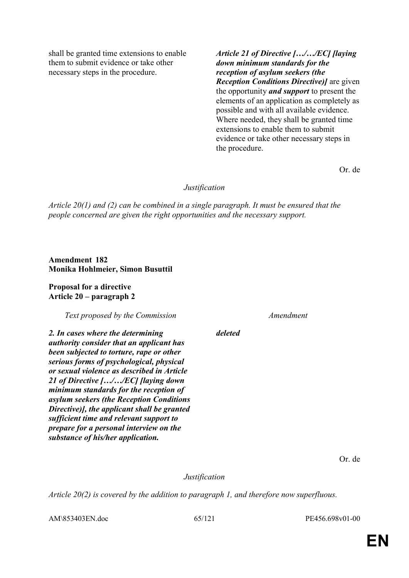shall be granted time extensions to enable them to submit evidence or take other necessary steps in the procedure.

*Article 21 of Directive […/…/EC] [laying down minimum standards for the reception of asylum seekers (the Reception Conditions Directive)]* are given the opportunity *and support* to present the elements of an application as completely as possible and with all available evidence. Where needed, they shall be granted time extensions to enable them to submit evidence or take other necessary steps in the procedure.

Or. de

# *Justification*

*Article 20(1) and (2) can be combined in a single paragraph. It must be ensured that the people concerned are given the right opportunities and the necessary support.*

**Amendment 182 Monika Hohlmeier, Simon Busuttil**

**Proposal for a directive Article 20 – paragraph 2** 

*Text proposed by the Commission Amendment*

*2. In cases where the determining authority consider that an applicant has been subjected to torture, rape or other serious forms of psychological, physical or sexual violence as described in Article 21 of Directive […/…/EC] [laying down minimum standards for the reception of asylum seekers (the Reception Conditions Directive)], the applicant shall be granted sufficient time and relevant support to prepare for a personal interview on the substance of his/her application.*

*deleted*

Or. de

*Justification*

*Article 20(2) is covered by the addition to paragraph 1, and therefore now superfluous.*

AM\853403EN.doc 65/121 PE456.698v01-00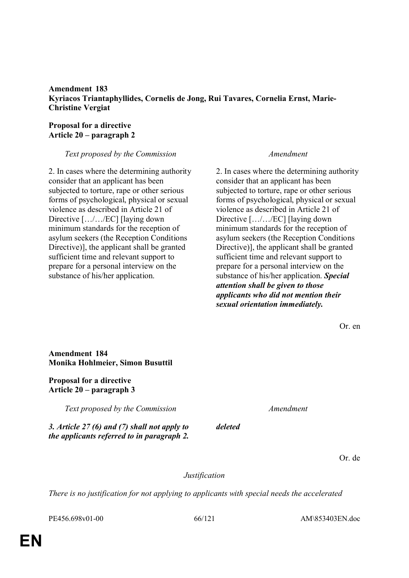### **Amendment 183 Kyriacos Triantaphyllides, Cornelis de Jong, Rui Tavares, Cornelia Ernst, Marie-Christine Vergiat**

### **Proposal for a directive Article 20 – paragraph 2**

# *Text proposed by the Commission Amendment*

2. In cases where the determining authority consider that an applicant has been subjected to torture, rape or other serious forms of psychological, physical or sexual violence as described in Article 21 of Directive [.../.../EC] [laying down] minimum standards for the reception of asylum seekers (the Reception Conditions Directive)], the applicant shall be granted sufficient time and relevant support to prepare for a personal interview on the substance of his/her application.

2. In cases where the determining authority consider that an applicant has been subjected to torture, rape or other serious forms of psychological, physical or sexual violence as described in Article 21 of Directive [.../.../EC] [laying down] minimum standards for the reception of asylum seekers (the Reception Conditions Directive)], the applicant shall be granted sufficient time and relevant support to prepare for a personal interview on the substance of his/her application. *Special attention shall be given to those applicants who did not mention their sexual orientation immediately.*

**Amendment 184 Monika Hohlmeier, Simon Busuttil Proposal for a directive Article 20 – paragraph 3**  *Text proposed by the Commission Amendment 3. Article 27 (6) and (7) shall not apply to the applicants referred to in paragraph 2. deleted* Or. de

*Justification*

*There is no justification for not applying to applicants with special needs the accelerated* 

PE456.698v01-00 66/121 AM\853403EN.doc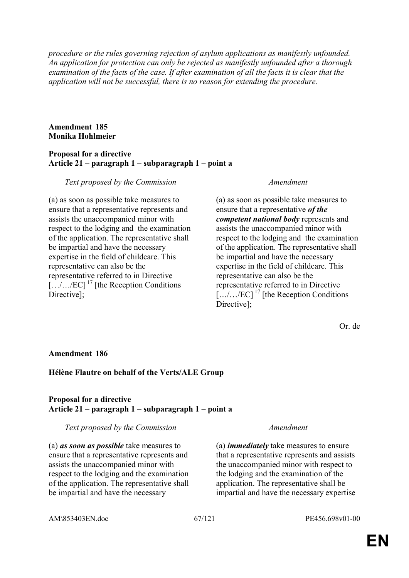*procedure or the rules governing rejection of asylum applications as manifestly unfounded. An application for protection can only be rejected as manifestly unfounded after a thorough examination of the facts of the case. If after examination of all the facts it is clear that the application will not be successful, there is no reason for extending the procedure.*

### **Amendment 185 Monika Hohlmeier**

### **Proposal for a directive Article 21 – paragraph 1 – subparagraph 1 – point a**

### *Text proposed by the Commission Amendment*

(a) as soon as possible take measures to ensure that a representative represents and assists the unaccompanied minor with respect to the lodging and the examination of the application. The representative shall be impartial and have the necessary expertise in the field of childcare. This representative can also be the representative referred to in Directive  $\left[\ldots/\ldots/EC\right]$ <sup>17</sup> [the Reception Conditions] Directive];

(a) as soon as possible take measures to ensure that a representative *of the competent national body* represents and assists the unaccompanied minor with respect to the lodging and the examination of the application. The representative shall be impartial and have the necessary expertise in the field of childcare. This representative can also be the representative referred to in Directive  $\left[\ldots/\ldots/\text{EC}\right]^{17}$  [the Reception Conditions Directive];

Or. de

# **Amendment 186**

# **Hélène Flautre on behalf of the Verts/ALE Group**

### **Proposal for a directive Article 21 – paragraph 1 – subparagraph 1 – point a**

#### *Text proposed by the Commission Amendment*

(a) *as soon as possible* take measures to ensure that a representative represents and assists the unaccompanied minor with respect to the lodging and the examination of the application. The representative shall be impartial and have the necessary

(a) *immediately* take measures to ensure that a representative represents and assists the unaccompanied minor with respect to the lodging and the examination of the application. The representative shall be impartial and have the necessary expertise

AM\853403EN.doc 67/121 PE456.698v01-00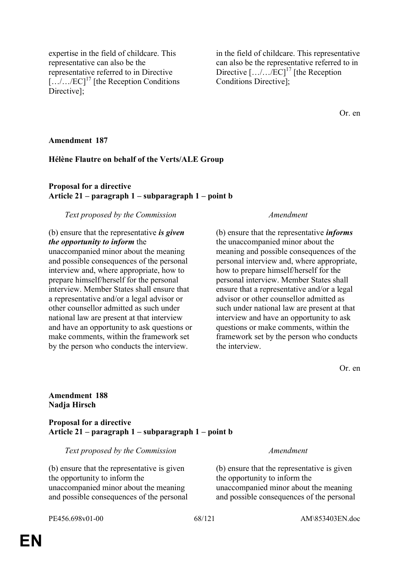**Amendment 188 Nadja Hirsch**

**Proposal for a directive Article 21 – paragraph 1 – subparagraph 1 – point b** 

*Text proposed by the Commission Amendment*

(b) ensure that the representative is given the opportunity to inform the unaccompanied minor about the meaning and possible consequences of the personal

PE456.698v01-00 68/121 AM\853403EN.doc

# **Amendment 187**

Directivel:

#### **Hélène Flautre on behalf of the Verts/ALE Group**

#### **Proposal for a directive Article 21 – paragraph 1 – subparagraph 1 – point b**

#### *Text proposed by the Commission Amendment*

### (b) ensure that the representative *is given the opportunity to inform* the

expertise in the field of childcare. This

representative referred to in Directive  $\left[\ldots/\ldots/EC\right]^{17}$  [the Reception Conditions

representative can also be the

unaccompanied minor about the meaning and possible consequences of the personal interview and, where appropriate, how to prepare himself/herself for the personal interview. Member States shall ensure that a representative and/or a legal advisor or other counsellor admitted as such under national law are present at that interview and have an opportunity to ask questions or make comments, within the framework set by the person who conducts the interview.

### in the field of childcare. This representative can also be the representative referred to in Directive  $[\ldots \ldots \text{/EC}]^{17}$  [the Reception Conditions Directive];

Or. en

(b) ensure that the representative *informs* the unaccompanied minor about the meaning and possible consequences of the personal interview and, where appropriate, how to prepare himself/herself for the personal interview. Member States shall ensure that a representative and/or a legal advisor or other counsellor admitted as such under national law are present at that interview and have an opportunity to ask questions or make comments, within the framework set by the person who conducts the interview.

Or. en

(b) ensure that the representative is given the opportunity to inform the unaccompanied minor about the meaning and possible consequences of the personal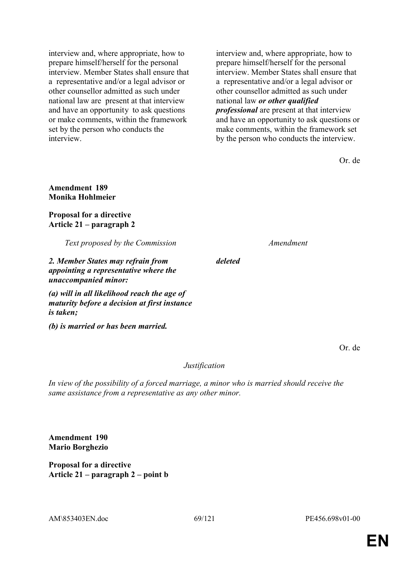interview and, where appropriate, how to prepare himself/herself for the personal interview. Member States shall ensure that a representative and/or a legal advisor or other counsellor admitted as such under national law are present at that interview and have an opportunity to ask questions or make comments, within the framework set by the person who conducts the interview.

interview and, where appropriate, how to prepare himself/herself for the personal interview. Member States shall ensure that a representative and/or a legal advisor or other counsellor admitted as such under national law *or other qualified professional* are present at that interview and have an opportunity to ask questions or make comments, within the framework set by the person who conducts the interview.

Or. de

# **Amendment 189 Monika Hohlmeier**

**Proposal for a directive Article 21 – paragraph 2** 

*Text proposed by the Commission Amendment*

*2. Member States may refrain from appointing a representative where the unaccompanied minor:*

*(a) will in all likelihood reach the age of maturity before a decision at first instance is taken;*

*(b) is married or has been married.*

*deleted*

Or. de

# *Justification*

*In view of the possibility of a forced marriage, a minor who is married should receive the same assistance from a representative as any other minor.*

**Amendment 190 Mario Borghezio**

**Proposal for a directive Article 21 – paragraph 2 – point b**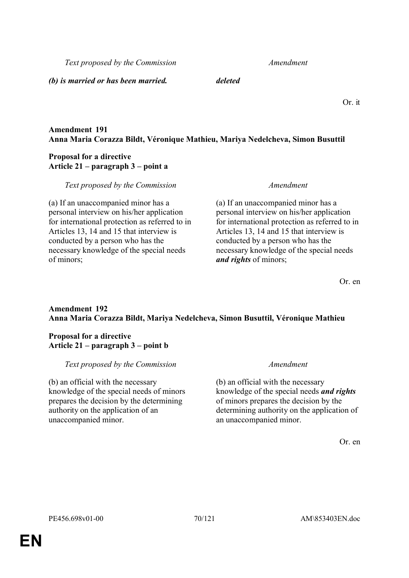*Text proposed by the Commission Amendment*

*(b) is married or has been married. deleted*

Or. it

# **Amendment 191 Anna Maria Corazza Bildt, Véronique Mathieu, Mariya Nedelcheva, Simon Busuttil**

## **Proposal for a directive Article 21 – paragraph 3 – point a**

*Text proposed by the Commission Amendment*

(a) If an unaccompanied minor has a personal interview on his/her application for international protection as referred to in Articles 13, 14 and 15 that interview is conducted by a person who has the necessary knowledge of the special needs of minors;

(a) If an unaccompanied minor has a personal interview on his/her application for international protection as referred to in Articles 13, 14 and 15 that interview is conducted by a person who has the necessary knowledge of the special needs *and rights* of minors;

Or. en

# **Amendment 192 Anna Maria Corazza Bildt, Mariya Nedelcheva, Simon Busuttil, Véronique Mathieu**

# **Proposal for a directive Article 21 – paragraph 3 – point b**

# *Text proposed by the Commission Amendment*

(b) an official with the necessary knowledge of the special needs of minors prepares the decision by the determining authority on the application of an unaccompanied minor.

(b) an official with the necessary knowledge of the special needs *and rights* of minors prepares the decision by the determining authority on the application of an unaccompanied minor.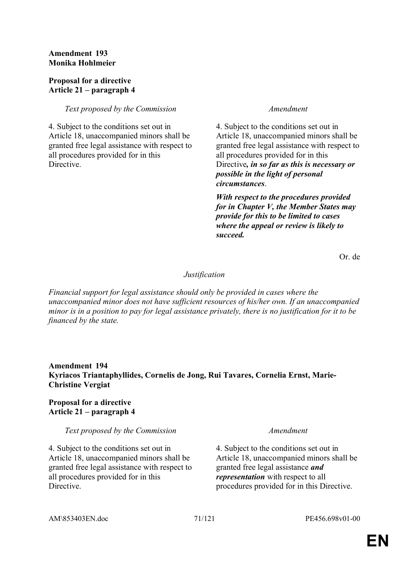# **Amendment 193 Monika Hohlmeier**

### **Proposal for a directive Article 21 – paragraph 4**

### *Text proposed by the Commission Amendment*

4. Subject to the conditions set out in Article 18, unaccompanied minors shall be granted free legal assistance with respect to all procedures provided for in this **Directive** 

4. Subject to the conditions set out in Article 18, unaccompanied minors shall be granted free legal assistance with respect to all procedures provided for in this Directive*, in so far as this is necessary or possible in the light of personal circumstances*.

*With respect to the procedures provided for in Chapter V, the Member States may provide for this to be limited to cases where the appeal or review is likely to succeed.*

Or. de

#### *Justification*

*Financial support for legal assistance should only be provided in cases where the unaccompanied minor does not have sufficient resources of his/her own. If an unaccompanied minor is in a position to pay for legal assistance privately, there is no justification for it to be financed by the state.*

# **Amendment 194 Kyriacos Triantaphyllides, Cornelis de Jong, Rui Tavares, Cornelia Ernst, Marie-Christine Vergiat**

### **Proposal for a directive Article 21 – paragraph 4**

#### *Text proposed by the Commission Amendment*

4. Subject to the conditions set out in Article 18, unaccompanied minors shall be granted free legal assistance with respect to all procedures provided for in this **Directive** 

4. Subject to the conditions set out in Article 18, unaccompanied minors shall be granted free legal assistance *and representation* with respect to all procedures provided for in this Directive.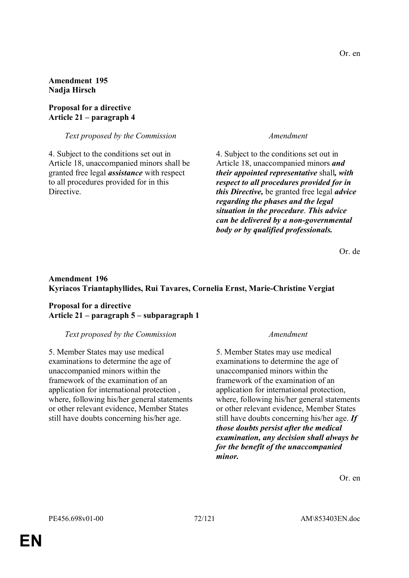**Amendment 195 Nadja Hirsch**

#### **Proposal for a directive Article 21 – paragraph 4**

*Text proposed by the Commission Amendment*

4. Subject to the conditions set out in Article 18, unaccompanied minors shall be granted free legal *assistance* with respect to all procedures provided for in this Directive.

4. Subject to the conditions set out in Article 18, unaccompanied minors *and their appointed representative* shall*, with respect to all procedures provided for in this Directive,* be granted free legal *advice regarding the phases and the legal situation in the procedure*. *This advice can be delivered by a non-governmental body or by qualified professionals.*

Or. de

### **Amendment 196 Kyriacos Triantaphyllides, Rui Tavares, Cornelia Ernst, Marie-Christine Vergiat**

### **Proposal for a directive Article 21 – paragraph 5 – subparagraph 1**

#### *Text proposed by the Commission Amendment*

5. Member States may use medical examinations to determine the age of unaccompanied minors within the framework of the examination of an application for international protection , where, following his/her general statements or other relevant evidence, Member States still have doubts concerning his/her age.

5. Member States may use medical examinations to determine the age of unaccompanied minors within the framework of the examination of an application for international protection, where, following his/her general statements or other relevant evidence, Member States still have doubts concerning his/her age. *If those doubts persist after the medical examination, any decision shall always be for the benefit of the unaccompanied minor.*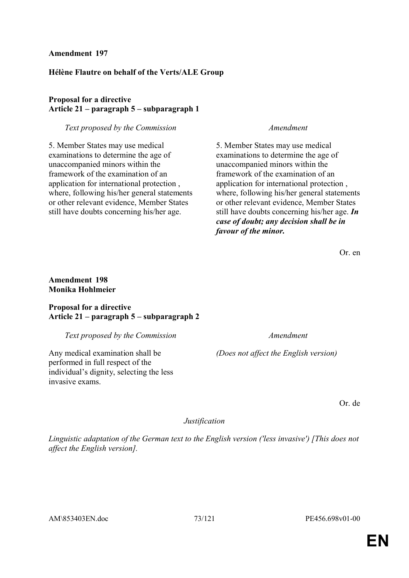## **Amendment 197**

## **Hélène Flautre on behalf of the Verts/ALE Group**

## **Proposal for a directive Article 21 – paragraph 5 – subparagraph 1**

### *Text proposed by the Commission Amendment*

5. Member States may use medical examinations to determine the age of unaccompanied minors within the framework of the examination of an application for international protection , where, following his/her general statements or other relevant evidence, Member States still have doubts concerning his/her age.

5. Member States may use medical examinations to determine the age of unaccompanied minors within the framework of the examination of an application for international protection , where, following his/her general statements or other relevant evidence, Member States still have doubts concerning his/her age. *In case of doubt; any decision shall be in favour of the minor.*

Or. en

## **Amendment 198 Monika Hohlmeier**

## **Proposal for a directive Article 21 – paragraph 5 – subparagraph 2**

#### *Text proposed by the Commission Amendment*

Any medical examination shall be performed in full respect of the individual's dignity, selecting the less invasive exams.

*(Does not affect the English version)*

Or. de

### *Justification*

*Linguistic adaptation of the German text to the English version ('less invasive') [This does not affect the English version].*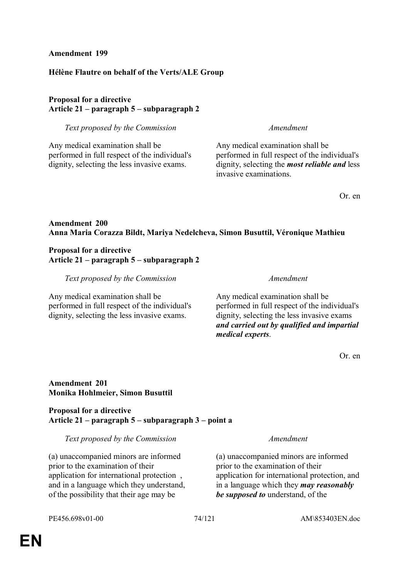## **Amendment 199**

## **Hélène Flautre on behalf of the Verts/ALE Group**

## **Proposal for a directive Article 21 – paragraph 5 – subparagraph 2**

*Text proposed by the Commission Amendment*

Any medical examination shall be performed in full respect of the individual's dignity, selecting the less invasive exams.

Any medical examination shall be performed in full respect of the individual's dignity, selecting the *most reliable and* less invasive examinations.

Or. en

## **Amendment 200 Anna Maria Corazza Bildt, Mariya Nedelcheva, Simon Busuttil, Véronique Mathieu**

## **Proposal for a directive Article 21 – paragraph 5 – subparagraph 2**

*Text proposed by the Commission Amendment*

Any medical examination shall be performed in full respect of the individual's dignity, selecting the less invasive exams.

Any medical examination shall be performed in full respect of the individual's dignity, selecting the less invasive exams *and carried out by qualified and impartial medical experts*.

Or. en

## **Amendment 201 Monika Hohlmeier, Simon Busuttil**

### **Proposal for a directive Article 21 – paragraph 5 – subparagraph 3 – point a**

*Text proposed by the Commission Amendment*

(a) unaccompanied minors are informed prior to the examination of their application for international protection , and in a language which they understand, of the possibility that their age may be

(a) unaccompanied minors are informed prior to the examination of their application for international protection, and in a language which they *may reasonably be supposed to* understand, of the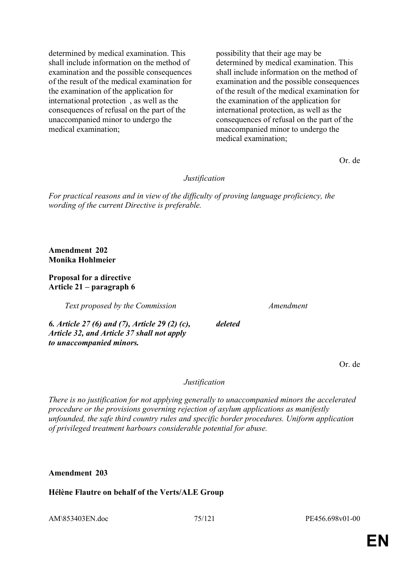determined by medical examination. This shall include information on the method of examination and the possible consequences of the result of the medical examination for the examination of the application for international protection , as well as the consequences of refusal on the part of the unaccompanied minor to undergo the medical examination;

possibility that their age may be determined by medical examination. This shall include information on the method of examination and the possible consequences of the result of the medical examination for the examination of the application for international protection, as well as the consequences of refusal on the part of the unaccompanied minor to undergo the medical examination;

Or. de

*Justification*

*For practical reasons and in view of the difficulty of proving language proficiency, the wording of the current Directive is preferable.*

**Amendment 202 Monika Hohlmeier**

## **Proposal for a directive Article 21 – paragraph 6**

*Text proposed by the Commission Amendment*

*deleted*

*6. Article 27 (6) and (7), Article 29 (2) (c), Article 32, and Article 37 shall not apply to unaccompanied minors.*

Or. de

### *Justification*

*There is no justification for not applying generally to unaccompanied minors the accelerated procedure or the provisions governing rejection of asylum applications as manifestly unfounded, the safe third country rules and specific border procedures. Uniform application of privileged treatment harbours considerable potential for abuse.*

**Amendment 203**

**Hélène Flautre on behalf of the Verts/ALE Group**

AM\853403EN.doc 75/121 PE456.698v01-00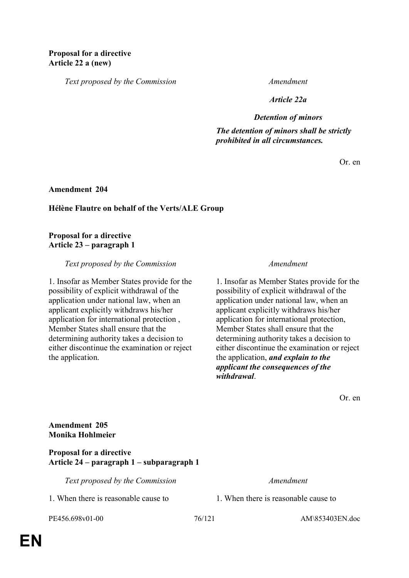*Text proposed by the Commission Amendment*

*Article 22a*

*Detention of minors*

*The detention of minors shall be strictly prohibited in all circumstances.*

Or. en

**Amendment 204**

#### **Hélène Flautre on behalf of the Verts/ALE Group**

#### **Proposal for a directive Article 23 – paragraph 1**

*Text proposed by the Commission Amendment*

1. Insofar as Member States provide for the possibility of explicit withdrawal of the application under national law, when an applicant explicitly withdraws his/her application for international protection , Member States shall ensure that the determining authority takes a decision to either discontinue the examination or reject the application.

1. Insofar as Member States provide for the possibility of explicit withdrawal of the application under national law, when an applicant explicitly withdraws his/her application for international protection, Member States shall ensure that the determining authority takes a decision to either discontinue the examination or reject the application, *and explain to the applicant the consequences of the withdrawal*.

Or. en

**Amendment 205 Monika Hohlmeier**

**Proposal for a directive Article 24 – paragraph 1 – subparagraph 1** 

*Text proposed by the Commission Amendment*

1. When there is reasonable cause to 1. When there is reasonable cause to

PE456.698v01-00 76/121 AM\853403EN.doc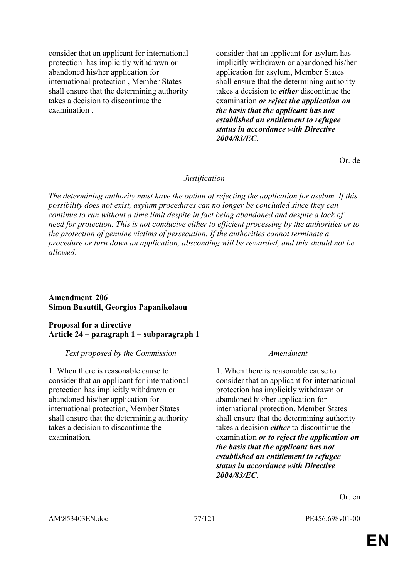consider that an applicant for international protection has implicitly withdrawn or abandoned his/her application for international protection , Member States shall ensure that the determining authority takes a decision to discontinue the examination .

consider that an applicant for asylum has implicitly withdrawn or abandoned his/her application for asylum, Member States shall ensure that the determining authority takes a decision to *either* discontinue the examination *or reject the application on the basis that the applicant has not established an entitlement to refugee status in accordance with Directive 2004/83/EC*.

Or. de

#### *Justification*

*The determining authority must have the option of rejecting the application for asylum. If this possibility does not exist, asylum procedures can no longer be concluded since they can continue to run without a time limit despite in fact being abandoned and despite a lack of need for protection. This is not conducive either to efficient processing by the authorities or to the protection of genuine victims of persecution. If the authorities cannot terminate a procedure or turn down an application, absconding will be rewarded, and this should not be allowed.*

### **Amendment 206 Simon Busuttil, Georgios Papanikolaou**

## **Proposal for a directive Article 24 – paragraph 1 – subparagraph 1**

### *Text proposed by the Commission Amendment*

1. When there is reasonable cause to consider that an applicant for international protection has implicitly withdrawn or abandoned his/her application for international protection, Member States shall ensure that the determining authority takes a decision to discontinue the examination*.*

1. When there is reasonable cause to consider that an applicant for international protection has implicitly withdrawn or abandoned his/her application for international protection, Member States shall ensure that the determining authority takes a decision *either* to discontinue the examination *or to reject the application on the basis that the applicant has not established an entitlement to refugee status in accordance with Directive 2004/83/EC*.

Or. en

AM\853403EN.doc 77/121 PE456.698v01-00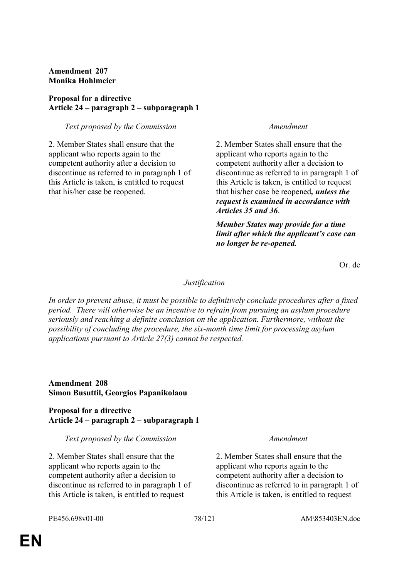## **Amendment 207 Monika Hohlmeier**

## **Proposal for a directive Article 24 – paragraph 2 – subparagraph 1**

## *Text proposed by the Commission Amendment*

2. Member States shall ensure that the applicant who reports again to the competent authority after a decision to discontinue as referred to in paragraph 1 of this Article is taken, is entitled to request that his/her case be reopened.

2. Member States shall ensure that the applicant who reports again to the competent authority after a decision to discontinue as referred to in paragraph 1 of this Article is taken, is entitled to request that his/her case be reopened*, unless the request is examined in accordance with Articles 35 and 36*.

*Member States may provide for a time limit after which the applicant's case can no longer be re-opened.*

Or. de

## *Justification*

*In order to prevent abuse, it must be possible to definitively conclude procedures after a fixed period. There will otherwise be an incentive to refrain from pursuing an asylum procedure seriously and reaching a definite conclusion on the application. Furthermore, without the possibility of concluding the procedure, the six-month time limit for processing asylum applications pursuant to Article 27(3) cannot be respected.*

## **Amendment 208 Simon Busuttil, Georgios Papanikolaou**

**Proposal for a directive Article 24 – paragraph 2 – subparagraph 1** 

### *Text proposed by the Commission Amendment*

2. Member States shall ensure that the applicant who reports again to the competent authority after a decision to discontinue as referred to in paragraph 1 of this Article is taken, is entitled to request

2. Member States shall ensure that the applicant who reports again to the competent authority after a decision to discontinue as referred to in paragraph 1 of this Article is taken, is entitled to request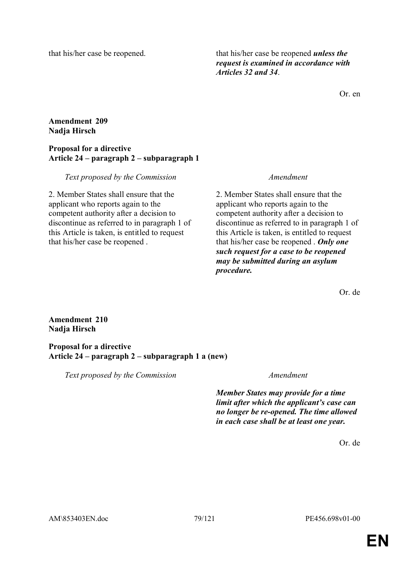that his/her case be reopened. that his/her case be reopened *unless the request is examined in accordance with Articles 32 and 34*.

Or. en

## **Amendment 209 Nadja Hirsch**

## **Proposal for a directive Article 24 – paragraph 2 – subparagraph 1**

## *Text proposed by the Commission Amendment*

2. Member States shall ensure that the applicant who reports again to the competent authority after a decision to discontinue as referred to in paragraph 1 of this Article is taken, is entitled to request that his/her case be reopened .

2. Member States shall ensure that the applicant who reports again to the competent authority after a decision to discontinue as referred to in paragraph 1 of this Article is taken, is entitled to request that his/her case be reopened . *Only one such request for a case to be reopened may be submitted during an asylum procedure.*

Or. de

## **Amendment 210 Nadja Hirsch**

**Proposal for a directive Article 24 – paragraph 2 – subparagraph 1 a (new)** 

*Text proposed by the Commission Amendment*

*Member States may provide for a time limit after which the applicant's case can no longer be re-opened. The time allowed in each case shall be at least one year.*

Or. de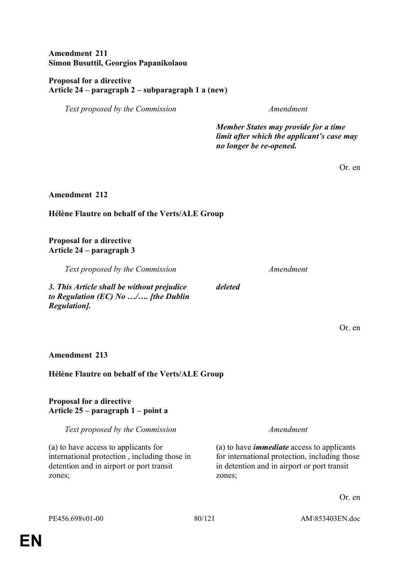## **Amendment 211 Simon Busuttil, Georgios Papanikolaou**

## **Proposal for a directive Article 24 – paragraph 2 – subparagraph 1 a (new)**

*Text proposed by the Commission Amendment*

*Member States may provide for a time limit after which the applicant's case may no longer be re-opened.*

Or. en

**Amendment 212**

# **Hélène Flautre on behalf of the Verts/ALE Group**

**Proposal for a directive Article 24 – paragraph 3** 

*Text proposed by the Commission Amendment*

*3. This Article shall be without prejudice to Regulation (EC) No …/…. [the Dublin Regulation].*

Or. en

## **Amendment 213**

# **Hélène Flautre on behalf of the Verts/ALE Group**

## **Proposal for a directive Article 25 – paragraph 1 – point a**

*Text proposed by the Commission Amendment*

(a) to have access to applicants for international protection , including those in detention and in airport or port transit zones;

(a) to have *immediate* access to applicants for international protection, including those in detention and in airport or port transit zones;

Or. en

*deleted*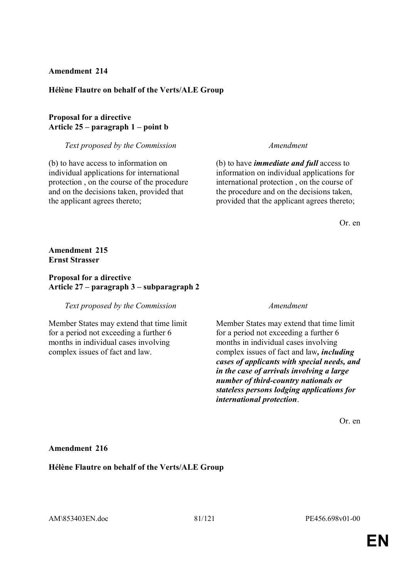### **Amendment 214**

#### **Hélène Flautre on behalf of the Verts/ALE Group**

## **Proposal for a directive Article 25 – paragraph 1 – point b**

#### *Text proposed by the Commission Amendment*

(b) to have access to information on individual applications for international protection , on the course of the procedure and on the decisions taken, provided that the applicant agrees thereto;

(b) to have *immediate and full* access to information on individual applications for international protection , on the course of the procedure and on the decisions taken, provided that the applicant agrees thereto;

Or. en

### **Amendment 215 Ernst Strasser**

### **Proposal for a directive Article 27 – paragraph 3 – subparagraph 2**

#### *Text proposed by the Commission Amendment*

Member States may extend that time limit for a period not exceeding a further 6 months in individual cases involving complex issues of fact and law.

Member States may extend that time limit for a period not exceeding a further 6 months in individual cases involving complex issues of fact and law*, including cases of applicants with special needs, and in the case of arrivals involving a large number of third-country nationals or stateless persons lodging applications for international protection*.

Or. en

#### **Amendment 216**

**Hélène Flautre on behalf of the Verts/ALE Group**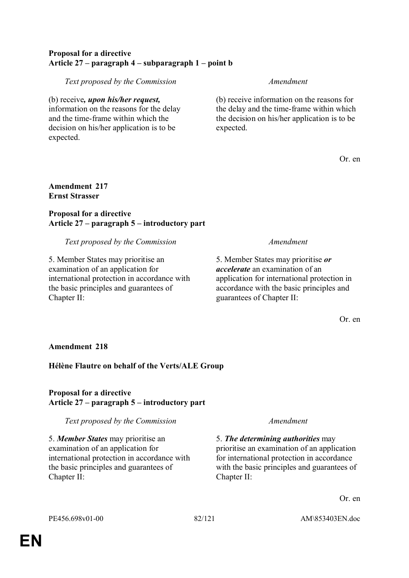## **Proposal for a directive Article 27 – paragraph 4 – subparagraph 1 – point b**

*Text proposed by the Commission Amendment*

(b) receive*, upon his/her request,* information on the reasons for the delay and the time-frame within which the decision on his/her application is to be expected.

(b) receive information on the reasons for the delay and the time-frame within which the decision on his/her application is to be expected.

Or. en

## **Amendment 217 Ernst Strasser**

## **Proposal for a directive Article 27 – paragraph 5 – introductory part**

## *Text proposed by the Commission Amendment*

5. Member States may prioritise an examination of an application for international protection in accordance with the basic principles and guarantees of Chapter II:

5. Member States may prioritise *or accelerate* an examination of an application for international protection in accordance with the basic principles and guarantees of Chapter II:

Or. en

## **Amendment 218**

# **Hélène Flautre on behalf of the Verts/ALE Group**

## **Proposal for a directive Article 27 – paragraph 5 – introductory part**

*Text proposed by the Commission Amendment*

5. *Member States* may prioritise an examination of an application for international protection in accordance with the basic principles and guarantees of Chapter II:

5. *The determining authorities* may prioritise an examination of an application for international protection in accordance with the basic principles and guarantees of Chapter II:

Or. en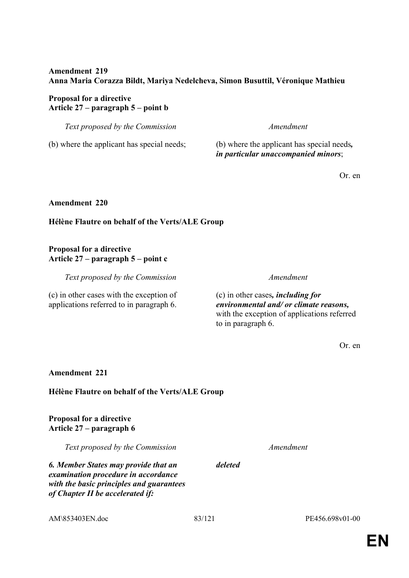## **Amendment 219 Anna Maria Corazza Bildt, Mariya Nedelcheva, Simon Busuttil, Véronique Mathieu**

## **Proposal for a directive Article 27 – paragraph 5 – point b**

*Text proposed by the Commission Amendment*

(b) where the applicant has special needs; (b) where the applicant has special needs*,* 

*in particular unaccompanied minors*;

Or. en

## **Amendment 220**

# **Hélène Flautre on behalf of the Verts/ALE Group**

## **Proposal for a directive Article 27 – paragraph 5 – point c**

*Text proposed by the Commission Amendment*

(c) in other cases with the exception of applications referred to in paragraph 6.

(c) in other cases*, including for environmental and/ or climate reasons,* with the exception of applications referred to in paragraph 6.

Or. en

# **Amendment 221**

# **Hélène Flautre on behalf of the Verts/ALE Group**

**Proposal for a directive Article 27 – paragraph 6** 

*Text proposed by the Commission Amendment*

*6. Member States may provide that an examination procedure in accordance with the basic principles and guarantees of Chapter II be accelerated if:*

*deleted*

AM\853403EN.doc 83/121 PE456.698v01-00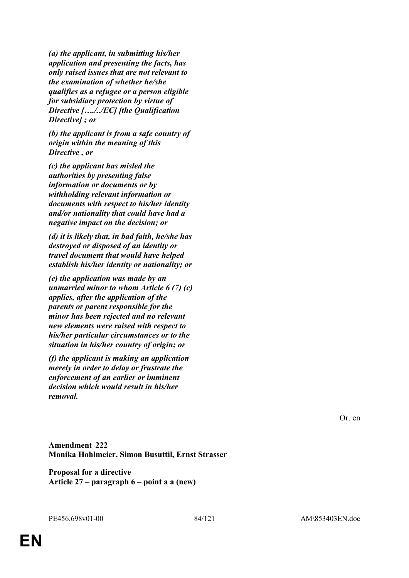*(a) the applicant, in submitting his/her application and presenting the facts, has only raised issues that are not relevant to the examination of whether he/she qualifies as a refugee or a person eligible for subsidiary protection by virtue of Directive […./../EC] [the Qualification Directive] ; or*

*(b) the applicant is from a safe country of origin within the meaning of this Directive , or*

*(c) the applicant has misled the authorities by presenting false information or documents or by withholding relevant information or documents with respect to his/her identity and/or nationality that could have had a negative impact on the decision; or*

*(d) it is likely that, in bad faith, he/she has destroyed or disposed of an identity or travel document that would have helped establish his/her identity or nationality; or*

*(e) the application was made by an unmarried minor to whom Article 6 (7) (c) applies, after the application of the parents or parent responsible for the minor has been rejected and no relevant new elements were raised with respect to his/her particular circumstances or to the situation in his/her country of origin; or*

*(f) the applicant is making an application merely in order to delay or frustrate the enforcement of an earlier or imminent decision which would result in his/her removal.*

Or. en

**Amendment 222 Monika Hohlmeier, Simon Busuttil, Ernst Strasser**

**Proposal for a directive Article 27 – paragraph 6 – point a a (new)**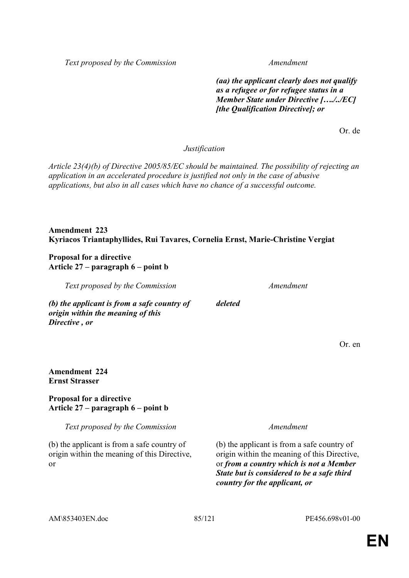*Text proposed by the Commission Amendment*

*(aa) the applicant clearly does not qualify as a refugee or for refugee status in a Member State under Directive […./../EC] [the Qualification Directive]; or*

Or. de

*Justification*

*Article 23(4)(b) of Directive 2005/85/EC should be maintained. The possibility of rejecting an application in an accelerated procedure is justified not only in the case of abusive applications, but also in all cases which have no chance of a successful outcome.*

*deleted*

**Amendment 223 Kyriacos Triantaphyllides, Rui Tavares, Cornelia Ernst, Marie-Christine Vergiat**

**Proposal for a directive Article 27 – paragraph 6 – point b** 

*Text proposed by the Commission Amendment*

*(b) the applicant is from a safe country of origin within the meaning of this Directive , or*

Or. en

## **Amendment 224 Ernst Strasser**

### **Proposal for a directive Article 27 – paragraph 6 – point b**

*Text proposed by the Commission Amendment*

(b) the applicant is from a safe country of origin within the meaning of this Directive, or

(b) the applicant is from a safe country of origin within the meaning of this Directive, or *from a country which is not a Member State but is considered to be a safe third country for the applicant, or*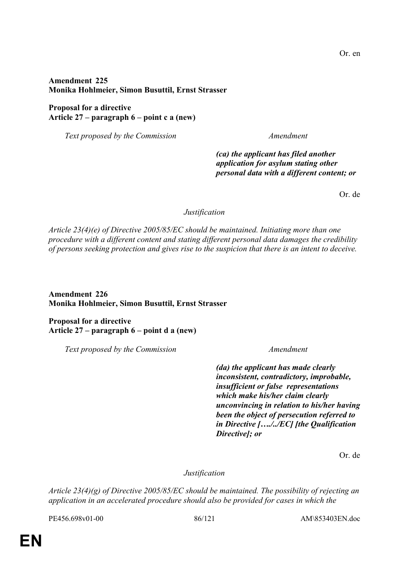## **Amendment 225 Monika Hohlmeier, Simon Busuttil, Ernst Strasser**

## **Proposal for a directive Article 27 – paragraph 6 – point c a (new)**

*Text proposed by the Commission Amendment*

*(ca) the applicant has filed another application for asylum stating other personal data with a different content; or*

Or. de

*Justification*

*Article 23(4)(e) of Directive 2005/85/EC should be maintained. Initiating more than one procedure with a different content and stating different personal data damages the credibility of persons seeking protection and gives rise to the suspicion that there is an intent to deceive.*

**Amendment 226 Monika Hohlmeier, Simon Busuttil, Ernst Strasser**

**Proposal for a directive Article 27 – paragraph 6 – point d a (new)** 

*Text proposed by the Commission Amendment*

*(da) the applicant has made clearly inconsistent, contradictory, improbable, insufficient or false representations which make his/her claim clearly unconvincing in relation to his/her having been the object of persecution referred to in Directive […./../EC] [the Qualification Directive]; or*

Or. de

*Justification*

*Article 23(4)(g) of Directive 2005/85/EC should be maintained. The possibility of rejecting an application in an accelerated procedure should also be provided for cases in which the* 

PE456.698v01-00 86/121 AM\853403EN.doc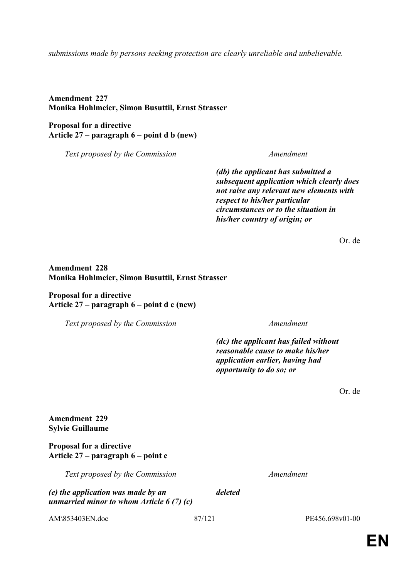### *submissions made by persons seeking protection are clearly unreliable and unbelievable.*

**Amendment 227 Monika Hohlmeier, Simon Busuttil, Ernst Strasser**

**Proposal for a directive Article 27 – paragraph 6 – point d b (new)** 

*Text proposed by the Commission Amendment*

*(db) the applicant has submitted a subsequent application which clearly does not raise any relevant new elements with respect to his/her particular circumstances or to the situation in his/her country of origin; or*

Or. de

## **Amendment 228 Monika Hohlmeier, Simon Busuttil, Ernst Strasser**

**Proposal for a directive Article 27 – paragraph 6 – point d c (new)** 

*Text proposed by the Commission Amendment*

*(dc) the applicant has failed without reasonable cause to make his/her application earlier, having had opportunity to do so; or*

Or. de

## **Amendment 229 Sylvie Guillaume**

**Proposal for a directive Article 27 – paragraph 6 – point e** 

*Text proposed by the Commission Amendment*

*(e) the application was made by an unmarried minor to whom Article 6 (7) (c)*  *deleted*

AM\853403EN.doc 87/121 PE456.698v01-00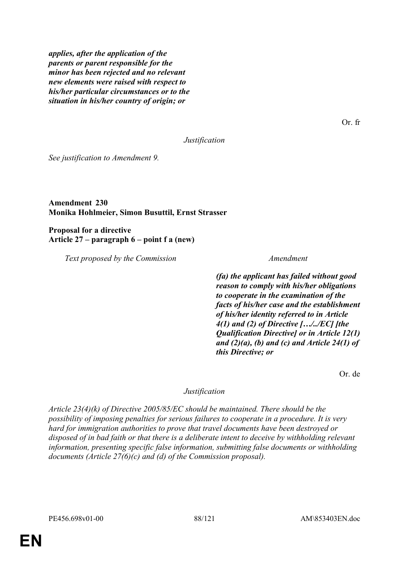*applies, after the application of the parents or parent responsible for the minor has been rejected and no relevant new elements were raised with respect to his/her particular circumstances or to the situation in his/her country of origin; or*

Or. fr

*Justification*

*See justification to Amendment 9.*

## **Amendment 230 Monika Hohlmeier, Simon Busuttil, Ernst Strasser**

**Proposal for a directive Article 27 – paragraph 6 – point f a (new)** 

*Text proposed by the Commission Amendment*

*(fa) the applicant has failed without good reason to comply with his/her obligations to cooperate in the examination of the facts of his/her case and the establishment of his/her identity referred to in Article 4(1) and (2) of Directive […/../EC] [the Qualification Directive] or in Article 12(1) and (2)(a), (b) and (c) and Article 24(1) of this Directive; or*

Or. de

### *Justification*

*Article 23(4)(k) of Directive 2005/85/EC should be maintained. There should be the possibility of imposing penalties for serious failures to cooperate in a procedure. It is very hard for immigration authorities to prove that travel documents have been destroyed or disposed of in bad faith or that there is a deliberate intent to deceive by withholding relevant information, presenting specific false information, submitting false documents or withholding documents (Article 27(6)(c) and (d) of the Commission proposal).*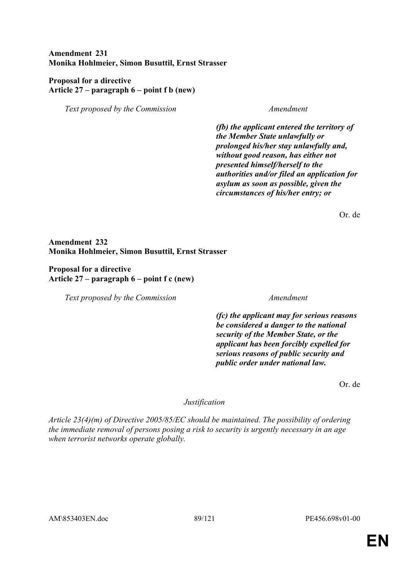## **Amendment 231 Monika Hohlmeier, Simon Busuttil, Ernst Strasser**

## **Proposal for a directive Article 27 – paragraph 6 – point f b (new)**

*Text proposed by the Commission Amendment*

*(fb) the applicant entered the territory of the Member State unlawfully or prolonged his/her stay unlawfully and, without good reason, has either not presented himself/herself to the authorities and/or filed an application for asylum as soon as possible, given the circumstances of his/her entry; or*

Or. de

## **Amendment 232 Monika Hohlmeier, Simon Busuttil, Ernst Strasser**

**Proposal for a directive Article 27 – paragraph 6 – point f c (new)** 

*Text proposed by the Commission Amendment*

*(fc) the applicant may for serious reasons be considered a danger to the national security of the Member State, or the applicant has been forcibly expelled for serious reasons of public security and public order under national law.*

Or. de

## *Justification*

*Article 23(4)(m) of Directive 2005/85/EC should be maintained. The possibility of ordering the immediate removal of persons posing a risk to security is urgently necessary in an age when terrorist networks operate globally.*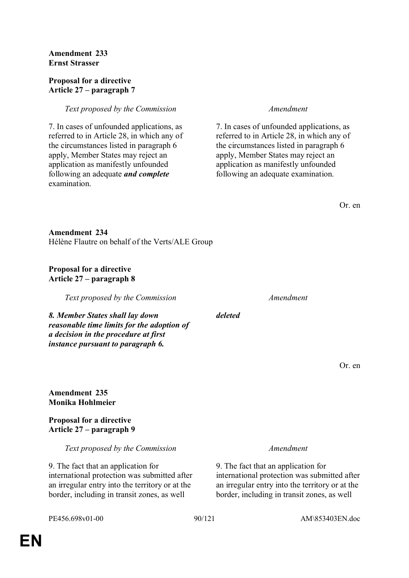## **Amendment 233 Ernst Strasser**

### **Proposal for a directive Article 27 – paragraph 7**

## *Text proposed by the Commission Amendment*

7. In cases of unfounded applications, as referred to in Article 28, in which any of the circumstances listed in paragraph 6 apply, Member States may reject an application as manifestly unfounded following an adequate *and complete* examination.

7. In cases of unfounded applications, as referred to in Article 28, in which any of the circumstances listed in paragraph 6 apply, Member States may reject an application as manifestly unfounded following an adequate examination.

**Amendment 234** Hélène Flautre on behalf of the Verts/ALE Group

## **Proposal for a directive Article 27 – paragraph 8**

*Text proposed by the Commission Amendment*

*8. Member States shall lay down reasonable time limits for the adoption of a decision in the procedure at first instance pursuant to paragraph 6.*

Or. en

### **Amendment 235 Monika Hohlmeier**

**Proposal for a directive Article 27 – paragraph 9** 

*Text proposed by the Commission Amendment*

9. The fact that an application for international protection was submitted after an irregular entry into the territory or at the border, including in transit zones, as well

9. The fact that an application for international protection was submitted after an irregular entry into the territory or at the border, including in transit zones, as well

*deleted*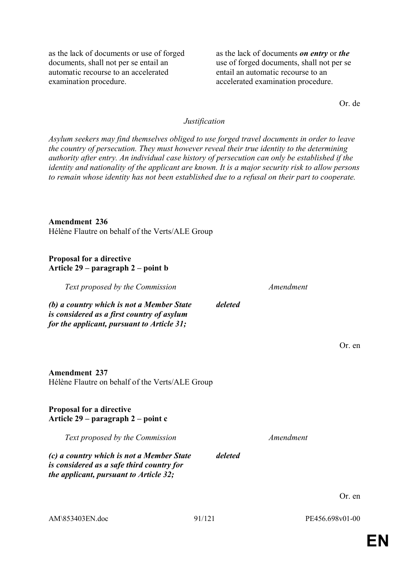as the lack of documents or use of forged documents, shall not per se entail an automatic recourse to an accelerated examination procedure.

as the lack of documents *on entry* or *the* use of forged documents, shall not per se entail an automatic recourse to an accelerated examination procedure.

Or. de

## *Justification*

*Asylum seekers may find themselves obliged to use forged travel documents in order to leave the country of persecution. They must however reveal their true identity to the determining authority after entry. An individual case history of persecution can only be established if the identity and nationality of the applicant are known. It is a major security risk to allow persons to remain whose identity has not been established due to a refusal on their part to cooperate.*

#### **Amendment 236**

Hélène Flautre on behalf of the Verts/ALE Group

#### **Proposal for a directive Article 29 – paragraph 2 – point b**

| Text proposed by the Commission                                                                                                       |         | Amendment |         |
|---------------------------------------------------------------------------------------------------------------------------------------|---------|-----------|---------|
| (b) a country which is not a Member State<br>is considered as a first country of asylum<br>for the applicant, pursuant to Article 31; | deleted |           |         |
|                                                                                                                                       |         |           | Or. en  |
| <b>Amendment 237</b><br>Hélène Flautre on behalf of the Verts/ALE Group                                                               |         |           |         |
| <b>Proposal for a directive</b><br>Article $29$ – paragraph $2$ – point c                                                             |         |           |         |
| Text proposed by the Commission                                                                                                       |         | Amendment |         |
| (c) a country which is not a Member State<br>is considered as a safe third country for<br>the applicant, pursuant to Article 32;      | deleted |           |         |
|                                                                                                                                       |         |           | $Or$ en |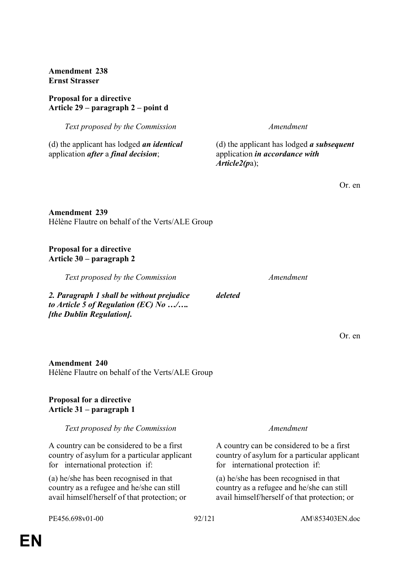**Amendment 238 Ernst Strasser**

## **Proposal for a directive Article 29 – paragraph 2 – point d**

*Text proposed by the Commission Amendment*

(d) the applicant has lodged *an identical* application *after* a *final decision*;

(d) the applicant has lodged *a subsequent* application *in accordance with Article2(p*a);

Or. en

**Amendment 239** Hélène Flautre on behalf of the Verts/ALE Group

## **Proposal for a directive Article 30 – paragraph 2**

*Text proposed by the Commission Amendment*

*2. Paragraph 1 shall be without prejudice to Article 5 of Regulation (EC) No …/…. [the Dublin Regulation].*

*deleted*

Or. en

# **Amendment 240** Hélène Flautre on behalf of the Verts/ALE Group

# **Proposal for a directive Article 31 – paragraph 1**

# *Text proposed by the Commission Amendment*

A country can be considered to be a first country of asylum for a particular applicant for international protection if:

(a) he/she has been recognised in that country as a refugee and he/she can still avail himself/herself of that protection; or

A country can be considered to be a first country of asylum for a particular applicant for international protection if:

(a) he/she has been recognised in that country as a refugee and he/she can still avail himself/herself of that protection; or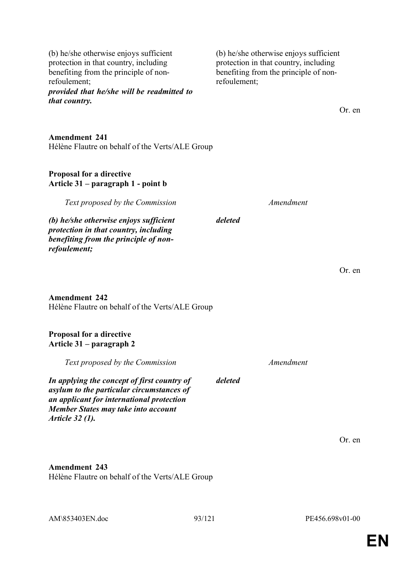| refoulement;<br>provided that he/she will be readmitted to<br>that country.                                                                                                                            | refoulement; |           | Or. en |
|--------------------------------------------------------------------------------------------------------------------------------------------------------------------------------------------------------|--------------|-----------|--------|
| <b>Amendment 241</b><br>Hélène Flautre on behalf of the Verts/ALE Group                                                                                                                                |              |           |        |
| Proposal for a directive<br>Article 31 – paragraph 1 - point b                                                                                                                                         |              |           |        |
| Text proposed by the Commission                                                                                                                                                                        |              | Amendment |        |
| (b) he/she otherwise enjoys sufficient<br>protection in that country, including<br>benefiting from the principle of non-<br>refoulement;                                                               | deleted      |           |        |
|                                                                                                                                                                                                        |              |           | Or. en |
| <b>Amendment 242</b><br>Hélène Flautre on behalf of the Verts/ALE Group                                                                                                                                |              |           |        |
| Proposal for a directive<br>Article 31 – paragraph 2                                                                                                                                                   |              |           |        |
| Text proposed by the Commission                                                                                                                                                                        |              | Amendment |        |
| In applying the concept of first country of<br>asylum to the particular circumstances of<br>an applicant for international protection<br><b>Member States may take into account</b><br>Article 32 (1). | deleted      |           |        |
|                                                                                                                                                                                                        |              |           | Or. en |
| <b>Amendment 243</b><br>Hélène Flautre on behalf of the Verts/ALE Group                                                                                                                                |              |           |        |

(b) he/she otherwise enjoys sufficient protection in that country, including benefiting from the principle of non-

(b) he/she otherwise enjoys sufficient protection in that country, including benefiting from the principle of non-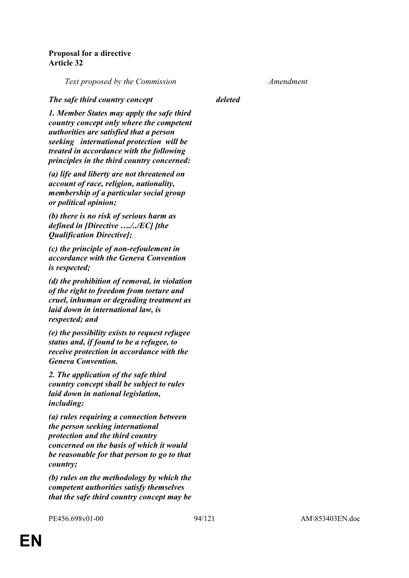## **Proposal for a directive Article 32**

*Text proposed by the Commission Amendment*

#### *The safe third country concept deleted*

*1. Member States may apply the safe third country concept only where the competent authorities are satisfied that a person seeking international protection will be treated in accordance with the following principles in the third country concerned:*

*(a) life and liberty are not threatened on account of race, religion, nationality, membership of a particular social group or political opinion;*

*(b) there is no risk of serious harm as defined in [Directive …./../EC] [the Qualification Directive];* 

*(c) the principle of non-refoulement in accordance with the Geneva Convention is respected;*

*(d) the prohibition of removal, in violation of the right to freedom from torture and cruel, inhuman or degrading treatment as laid down in international law, is respected; and*

*(e) the possibility exists to request refugee status and, if found to be a refugee, to receive protection in accordance with the Geneva Convention.*

*2. The application of the safe third country concept shall be subject to rules laid down in national legislation, including:*

*(a) rules requiring a connection between the person seeking international protection and the third country concerned on the basis of which it would be reasonable for that person to go to that country;*

*(b) rules on the methodology by which the competent authorities satisfy themselves that the safe third country concept may be*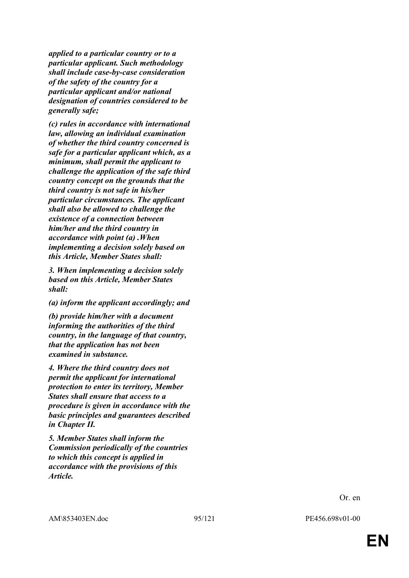*applied to a particular country or to a particular applicant. Such methodology shall include case-by-case consideration of the safety of the country for a particular applicant and/or national designation of countries considered to be generally safe;*

*(c) rules in accordance with international law, allowing an individual examination of whether the third country concerned is safe for a particular applicant which, as a minimum, shall permit the applicant to challenge the application of the safe third country concept on the grounds that the third country is not safe in his/her particular circumstances. The applicant shall also be allowed to challenge the existence of a connection between him/her and the third country in accordance with point (a) .When implementing a decision solely based on this Article, Member States shall:*

*3. When implementing a decision solely based on this Article, Member States shall:*

*(a) inform the applicant accordingly; and*

*(b) provide him/her with a document informing the authorities of the third country, in the language of that country, that the application has not been examined in substance.*

*4. Where the third country does not permit the applicant for international protection to enter its territory, Member States shall ensure that access to a procedure is given in accordance with the basic principles and guarantees described in Chapter II.*

*5. Member States shall inform the Commission periodically of the countries to which this concept is applied in accordance with the provisions of this Article.*

Or. en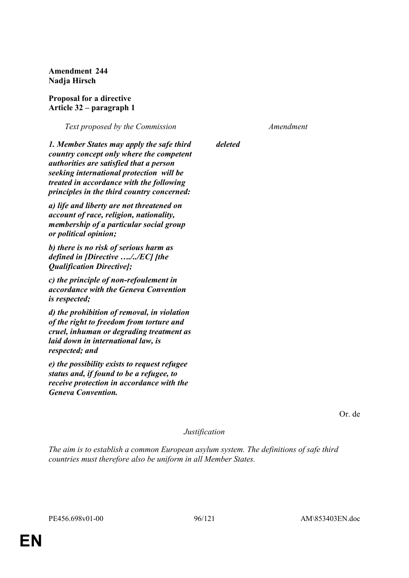**Amendment 244 Nadja Hirsch**

**Proposal for a directive Article 32 – paragraph 1** 

*Text proposed by the Commission Amendment*

*deleted*

*1. Member States may apply the safe third country concept only where the competent authorities are satisfied that a person seeking international protection will be treated in accordance with the following principles in the third country concerned:*

*a) life and liberty are not threatened on account of race, religion, nationality, membership of a particular social group or political opinion;*

*b) there is no risk of serious harm as defined in [Directive …./../EC] [the Qualification Directive];*

*c) the principle of non-refoulement in accordance with the Geneva Convention is respected;*

*d) the prohibition of removal, in violation of the right to freedom from torture and cruel, inhuman or degrading treatment as laid down in international law, is respected; and*

*e) the possibility exists to request refugee status and, if found to be a refugee, to receive protection in accordance with the Geneva Convention.*

Or. de

#### *Justification*

*The aim is to establish a common European asylum system. The definitions of safe third countries must therefore also be uniform in all Member States.*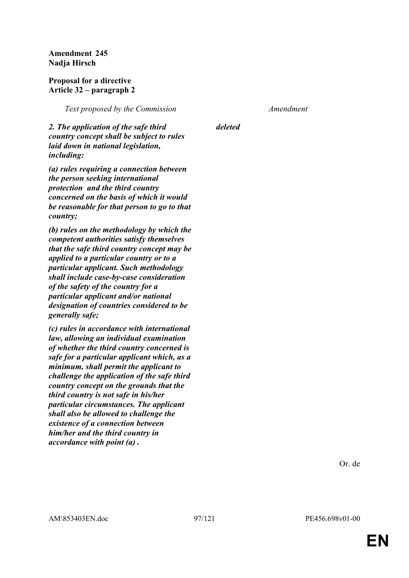**Amendment 245 Nadja Hirsch**

#### **Proposal for a directive Article 32 – paragraph 2**

*Text proposed by the Commission Amendment*

*deleted*

*2. The application of the safe third country concept shall be subject to rules laid down in national legislation, including:*

*(a) rules requiring a connection between the person seeking international protection and the third country concerned on the basis of which it would be reasonable for that person to go to that country;*

*(b) rules on the methodology by which the competent authorities satisfy themselves that the safe third country concept may be applied to a particular country or to a particular applicant. Such methodology shall include case-by-case consideration of the safety of the country for a particular applicant and/or national designation of countries considered to be generally safe;*

*(c) rules in accordance with international law, allowing an individual examination of whether the third country concerned is safe for a particular applicant which, as a minimum, shall permit the applicant to challenge the application of the safe third country concept on the grounds that the third country is not safe in his/her particular circumstances. The applicant shall also be allowed to challenge the existence of a connection between him/her and the third country in accordance with point (a) .*

Or. de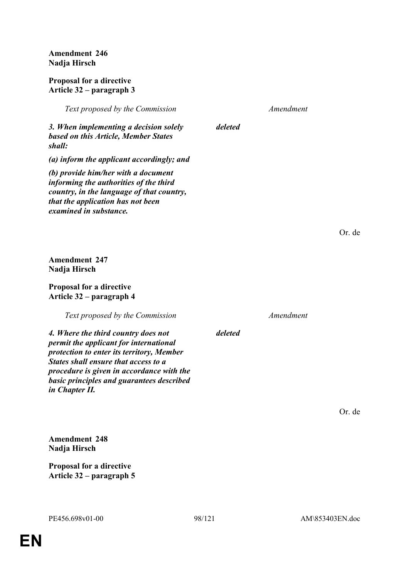**Amendment 246 Nadja Hirsch**

#### **Proposal for a directive Article 32 – paragraph 3**

*Text proposed by the Commission Amendment*

*deleted*

*deleted*

*3. When implementing a decision solely based on this Article, Member States shall:*

*(a) inform the applicant accordingly; and*

*(b) provide him/her with a document informing the authorities of the third country, in the language of that country, that the application has not been examined in substance.*

Or. de

Or. de

**Amendment 247 Nadja Hirsch**

## **Proposal for a directive Article 32 – paragraph 4**

*Text proposed by the Commission Amendment*

*4. Where the third country does not permit the applicant for international protection to enter its territory, Member States shall ensure that access to a procedure is given in accordance with the basic principles and guarantees described in Chapter II.*

**Amendment 248 Nadja Hirsch**

**Proposal for a directive Article 32 – paragraph 5**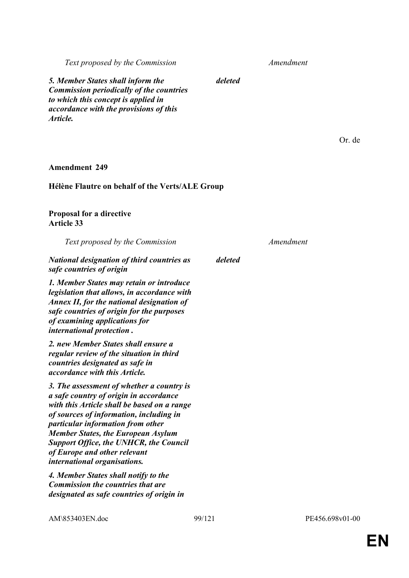*Text proposed by the Commission Amendment*

Or. de

*deleted*

*5. Member States shall inform the Commission periodically of the countries to which this concept is applied in accordance with the provisions of this Article.*

**Amendment 249**

### **Hélène Flautre on behalf of the Verts/ALE Group**

**Proposal for a directive Article 33** 

| Text proposed by the Commission                                                                                                                                                                                                                                                                                                                                                  |         | Amendment |
|----------------------------------------------------------------------------------------------------------------------------------------------------------------------------------------------------------------------------------------------------------------------------------------------------------------------------------------------------------------------------------|---------|-----------|
| <b>National designation of third countries as</b><br>safe countries of origin                                                                                                                                                                                                                                                                                                    | deleted |           |
| 1. Member States may retain or introduce<br>legislation that allows, in accordance with<br>Annex II, for the national designation of<br>safe countries of origin for the purposes<br>of examining applications for<br><i>international protection.</i>                                                                                                                           |         |           |
| 2. new Member States shall ensure a<br>regular review of the situation in third<br>countries designated as safe in<br>accordance with this Article.                                                                                                                                                                                                                              |         |           |
| 3. The assessment of whether a country is<br>a safe country of origin in accordance<br>with this Article shall be based on a range<br>of sources of information, including in<br>particular information from other<br><b>Member States, the European Asylum</b><br><b>Support Office, the UNHCR, the Council</b><br>of Europe and other relevant<br>international organisations. |         |           |
| 4. Member States shall notify to the<br><b>Commission the countries that are</b><br>designated as safe countries of origin in                                                                                                                                                                                                                                                    |         |           |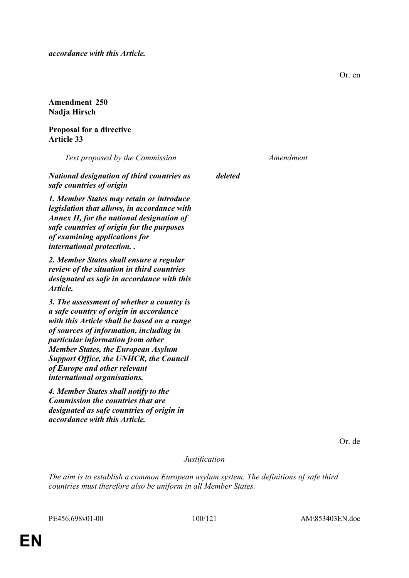*accordance with this Article.*

**Amendment 250 Nadja Hirsch**

**Proposal for a directive Article 33** 

*Text proposed by the Commission Amendment*

*deleted*

*National designation of third countries as safe countries of origin*

*1. Member States may retain or introduce legislation that allows, in accordance with Annex II, for the national designation of safe countries of origin for the purposes of examining applications for international protection. .*

*2. Member States shall ensure a regular review of the situation in third countries designated as safe in accordance with this Article.*

*3. The assessment of whether a country is a safe country of origin in accordance with this Article shall be based on a range of sources of information, including in particular information from other Member States, the European Asylum Support Office, the UNHCR, the Council of Europe and other relevant international organisations.*

*4. Member States shall notify to the Commission the countries that are designated as safe countries of origin in accordance with this Article.*

Or. de

*Justification*

*The aim is to establish a common European asylum system. The definitions of safe third countries must therefore also be uniform in all Member States.*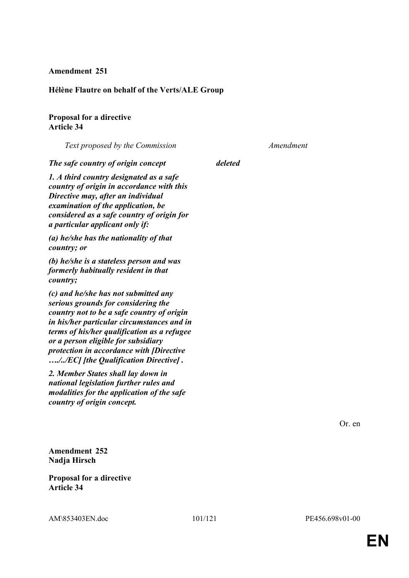#### **Amendment 251**

#### **Hélène Flautre on behalf of the Verts/ALE Group**

## **Proposal for a directive Article 34**

*Text proposed by the Commission Amendment*

*The safe country of origin concept deleted*

*1. A third country designated as a safe country of origin in accordance with this Directive may, after an individual examination of the application, be considered as a safe country of origin for a particular applicant only if:*

*(a) he/she has the nationality of that country; or*

*(b) he/she is a stateless person and was formerly habitually resident in that country;*

*(c) and he/she has not submitted any serious grounds for considering the country not to be a safe country of origin in his/her particular circumstances and in terms of his/her qualification as a refugee or a person eligible for subsidiary protection in accordance with [Directive …./../EC] [the Qualification Directive] .*

*2. Member States shall lay down in national legislation further rules and modalities for the application of the safe country of origin concept.*

Or. en

**Amendment 252 Nadja Hirsch**

**Proposal for a directive Article 34**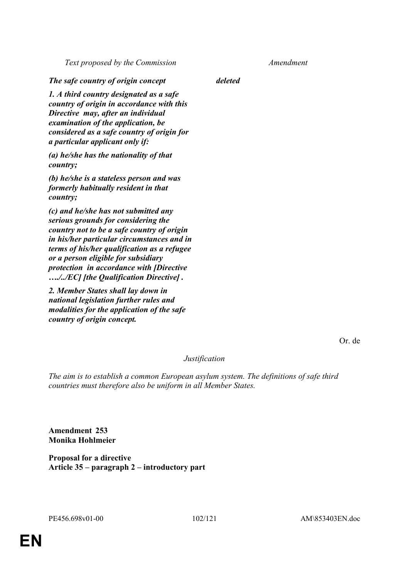*Text proposed by the Commission Amendment*

*The safe country of origin concept deleted*

*1. A third country designated as a safe country of origin in accordance with this Directive may, after an individual examination of the application, be considered as a safe country of origin for a particular applicant only if:*

*(a) he/she has the nationality of that country;*

*(b) he/she is a stateless person and was formerly habitually resident in that country;*

*(c) and he/she has not submitted any serious grounds for considering the country not to be a safe country of origin in his/her particular circumstances and in terms of his/her qualification as a refugee or a person eligible for subsidiary protection in accordance with [Directive …./../EC] [the Qualification Directive] .*

*2. Member States shall lay down in national legislation further rules and modalities for the application of the safe country of origin concept.*

Or. de

*Justification*

*The aim is to establish a common European asylum system. The definitions of safe third countries must therefore also be uniform in all Member States.*

**Amendment 253 Monika Hohlmeier**

**Proposal for a directive Article 35 – paragraph 2 – introductory part**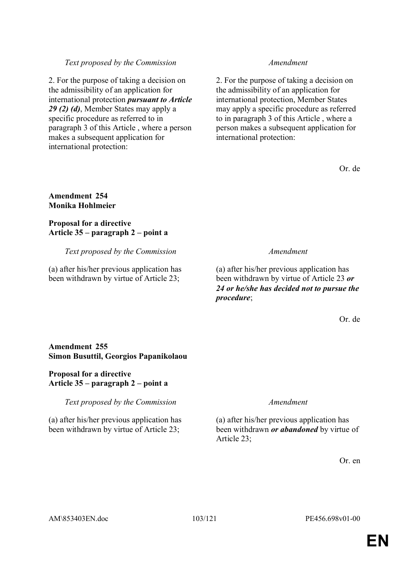## *Text proposed by the Commission Amendment*

2. For the purpose of taking a decision on the admissibility of an application for international protection *pursuant to Article 29 (2) (d)*, Member States may apply a specific procedure as referred to in paragraph 3 of this Article , where a person makes a subsequent application for international protection:

2. For the purpose of taking a decision on the admissibility of an application for international protection, Member States may apply a specific procedure as referred to in paragraph 3 of this Article , where a person makes a subsequent application for international protection:

Or. de

## **Amendment 254 Monika Hohlmeier**

## **Proposal for a directive Article 35 – paragraph 2 – point a**

## *Text proposed by the Commission Amendment*

(a) after his/her previous application has been withdrawn by virtue of Article 23;

(a) after his/her previous application has been withdrawn by virtue of Article 23 *or 24 or he/she has decided not to pursue the procedure*;

Or. de

## **Amendment 255 Simon Busuttil, Georgios Papanikolaou**

### **Proposal for a directive Article 35 – paragraph 2 – point a**

*Text proposed by the Commission Amendment*

(a) after his/her previous application has been withdrawn by virtue of Article 23;

(a) after his/her previous application has been withdrawn *or abandoned* by virtue of Article 23;

Or. en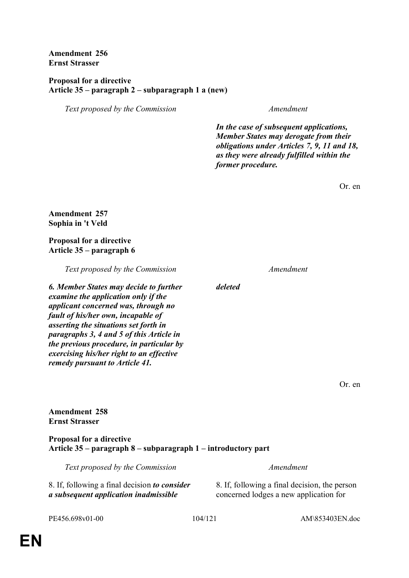**Amendment 256 Ernst Strasser**

#### **Proposal for a directive Article 35 – paragraph 2 – subparagraph 1 a (new)**

*Text proposed by the Commission Amendment*

*In the case of subsequent applications, Member States may derogate from their obligations under Articles 7, 9, 11 and 18, as they were already fulfilled within the former procedure.*

Or. en

**Amendment 257 Sophia in 't Veld**

**Proposal for a directive Article 35 – paragraph 6** 

*Text proposed by the Commission Amendment*

*6. Member States may decide to further examine the application only if the applicant concerned was, through no fault of his/her own, incapable of asserting the situations set forth in paragraphs 3, 4 and 5 of this Article in the previous procedure, in particular by exercising his/her right to an effective remedy pursuant to Article 41.*

*deleted*

Or. en

**Amendment 258 Ernst Strasser**

**Proposal for a directive Article 35 – paragraph 8 – subparagraph 1 – introductory part** 

*Text proposed by the Commission Amendment* 8. If, following a final decision *to consider a subsequent application inadmissible* 

8. If, following a final decision, the person concerned lodges a new application for

PE456.698v01-00 104/121 AM\853403EN.doc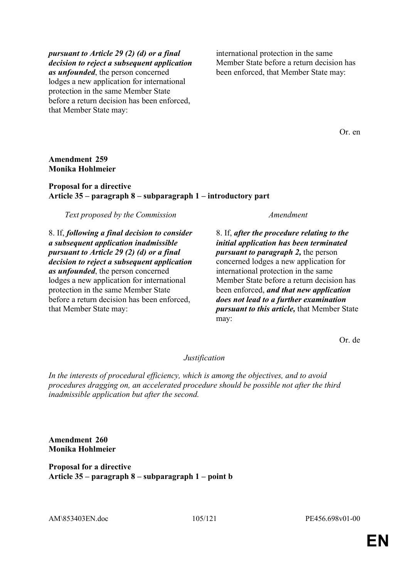#### *pursuant to Article 29 (2) (d) or a final decision to reject a subsequent application*

*as unfounded*, the person concerned lodges a new application for international protection in the same Member State before a return decision has been enforced, that Member State may:

international protection in the same Member State before a return decision has been enforced, that Member State may:

Or. en

## **Amendment 259 Monika Hohlmeier**

## **Proposal for a directive Article 35 – paragraph 8 – subparagraph 1 – introductory part**

*Text proposed by the Commission Amendment*

8. If, *following a final decision to consider a subsequent application inadmissible pursuant to Article 29 (2) (d) or a final decision to reject a subsequent application as unfounded*, the person concerned lodges a new application for international protection in the same Member State before a return decision has been enforced, that Member State may:

8. If, *after the procedure relating to the initial application has been terminated pursuant to paragraph 2,* the person concerned lodges a new application for international protection in the same Member State before a return decision has been enforced, *and that new application does not lead to a further examination pursuant to this article,* that Member State may:

Or. de

# *Justification*

*In the interests of procedural efficiency, which is among the objectives, and to avoid procedures dragging on, an accelerated procedure should be possible not after the third inadmissible application but after the second.*

**Amendment 260 Monika Hohlmeier**

**Proposal for a directive Article 35 – paragraph 8 – subparagraph 1 – point b** 

AM\853403EN.doc 105/121 PE456.698v01-00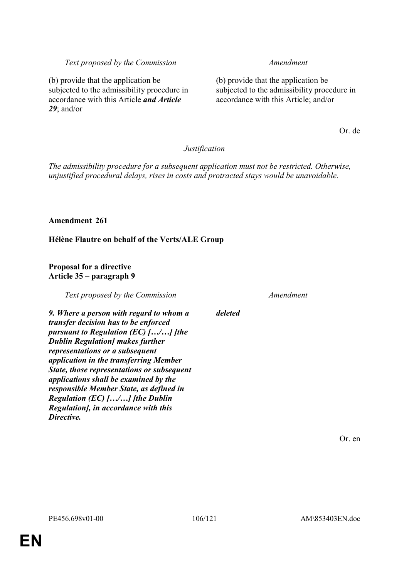**EN**

# *Text proposed by the Commission Amendment*

(b) provide that the application be subjected to the admissibility procedure in accordance with this Article; and/or

Or. de

# *Justification*

*deleted*

*The admissibility procedure for a subsequent application must not be restricted. Otherwise, unjustified procedural delays, rises in costs and protracted stays would be unavoidable.*

# **Amendment 261**

*29*; and/or

**Hélène Flautre on behalf of the Verts/ALE Group**

## **Proposal for a directive Article 35 – paragraph 9**

(b) provide that the application be

subjected to the admissibility procedure in accordance with this Article *and Article* 

*Text proposed by the Commission Amendment*

*9. Where a person with regard to whom a transfer decision has to be enforced pursuant to Regulation (EC) […/…] [the Dublin Regulation] makes further representations or a subsequent application in the transferring Member State, those representations or subsequent applications shall be examined by the responsible Member State, as defined in Regulation (EC) […/…] [the Dublin Regulation], in accordance with this Directive.*

Or. en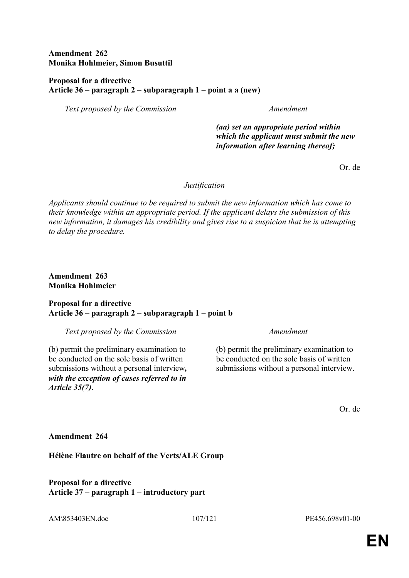**Amendment 262 Monika Hohlmeier, Simon Busuttil**

### **Proposal for a directive Article 36 – paragraph 2 – subparagraph 1 – point a a (new)**

*Text proposed by the Commission Amendment*

*(aa) set an appropriate period within which the applicant must submit the new information after learning thereof;*

Or. de

#### *Justification*

*Applicants should continue to be required to submit the new information which has come to their knowledge within an appropriate period. If the applicant delays the submission of this new information, it damages his credibility and gives rise to a suspicion that he is attempting to delay the procedure.*

**Amendment 263 Monika Hohlmeier**

#### **Proposal for a directive Article 36 – paragraph 2 – subparagraph 1 – point b**

*Text proposed by the Commission Amendment*

(b) permit the preliminary examination to be conducted on the sole basis of written submissions without a personal interview*, with the exception of cases referred to in Article 35(7)*.

(b) permit the preliminary examination to be conducted on the sole basis of written submissions without a personal interview.

Or. de

### **Amendment 264**

**Hélène Flautre on behalf of the Verts/ALE Group**

**Proposal for a directive Article 37 – paragraph 1 – introductory part**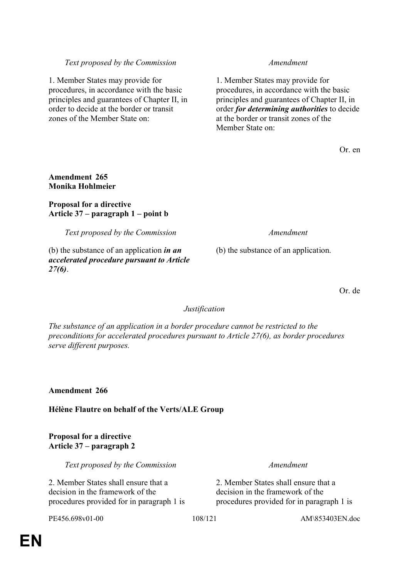## *Text proposed by the Commission Amendment*

1. Member States may provide for procedures, in accordance with the basic principles and guarantees of Chapter II, in order to decide at the border or transit zones of the Member State on:

1. Member States may provide for procedures, in accordance with the basic principles and guarantees of Chapter II, in order *for determining authorities* to decide at the border or transit zones of the Member State on:

Or. en

## **Amendment 265 Monika Hohlmeier**

### **Proposal for a directive Article 37 – paragraph 1 – point b**

*Text proposed by the Commission Amendment*

(b) the substance of an application *in an accelerated procedure pursuant to Article 27(6)*.

(b) the substance of an application.

Or. de

## *Justification*

*The substance of an application in a border procedure cannot be restricted to the preconditions for accelerated procedures pursuant to Article 27(6), as border procedures serve different purposes.*

**Amendment 266**

**Hélène Flautre on behalf of the Verts/ALE Group**

## **Proposal for a directive Article 37 – paragraph 2**

*Text proposed by the Commission Amendment*

2. Member States shall ensure that a decision in the framework of the procedures provided for in paragraph 1 is

2. Member States shall ensure that a decision in the framework of the procedures provided for in paragraph 1 is

PE456.698v01-00 108/121 AM\853403EN.doc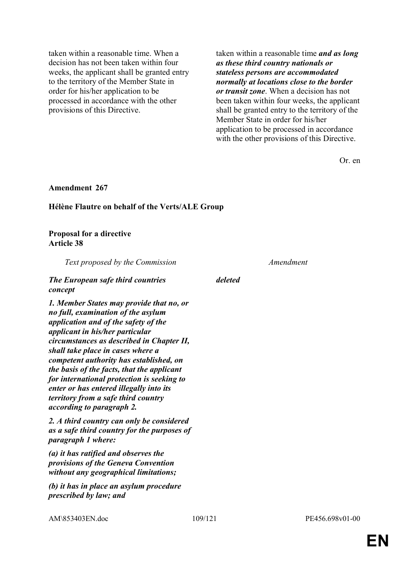taken within a reasonable time. When a decision has not been taken within four weeks, the applicant shall be granted entry to the territory of the Member State in order for his/her application to be processed in accordance with the other provisions of this Directive.

taken within a reasonable time *and as long as these third country nationals or stateless persons are accommodated normally at locations close to the border or transit zone*. When a decision has not been taken within four weeks, the applicant shall be granted entry to the territory of the Member State in order for his/her application to be processed in accordance with the other provisions of this Directive.

Or. en

#### **Amendment 267**

#### **Hélène Flautre on behalf of the Verts/ALE Group**

#### **Proposal for a directive Article 38**

*Text proposed by the Commission Amendment*

## *The European safe third countries concept*

*1. Member States may provide that no, or no full, examination of the asylum application and of the safety of the applicant in his/her particular circumstances as described in Chapter II, shall take place in cases where a competent authority has established, on the basis of the facts, that the applicant for international protection is seeking to enter or has entered illegally into its territory from a safe third country according to paragraph 2.*

*2. A third country can only be considered as a safe third country for the purposes of paragraph 1 where:*

*(a) it has ratified and observes the provisions of the Geneva Convention without any geographical limitations;*

*(b) it has in place an asylum procedure prescribed by law; and*

*deleted*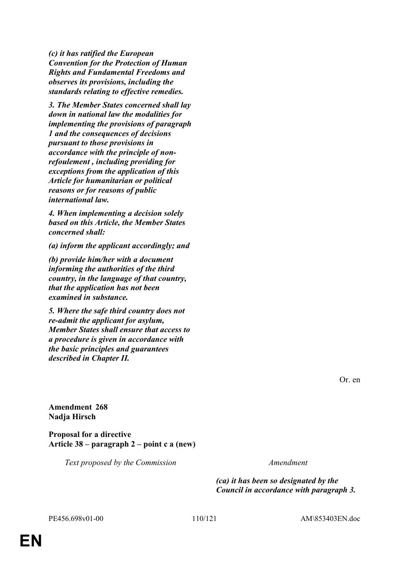*(c) it has ratified the European Convention for the Protection of Human Rights and Fundamental Freedoms and observes its provisions, including the standards relating to effective remedies.*

*3. The Member States concerned shall lay down in national law the modalities for implementing the provisions of paragraph 1 and the consequences of decisions pursuant to those provisions in accordance with the principle of nonrefoulement , including providing for exceptions from the application of this Article for humanitarian or political reasons or for reasons of public international law.*

*4. When implementing a decision solely based on this Article, the Member States concerned shall:*

*(a) inform the applicant accordingly; and*

*(b) provide him/her with a document informing the authorities of the third country, in the language of that country, that the application has not been examined in substance.*

*5. Where the safe third country does not re-admit the applicant for asylum, Member States shall ensure that access to a procedure is given in accordance with the basic principles and guarantees described in Chapter II.*

**Amendment 268 Nadja Hirsch**

**Proposal for a directive Article 38 – paragraph 2 – point c a (new)** 

*Text proposed by the Commission Amendment*

*(ca) it has been so designated by the Council in accordance with paragraph 3.*

Or. en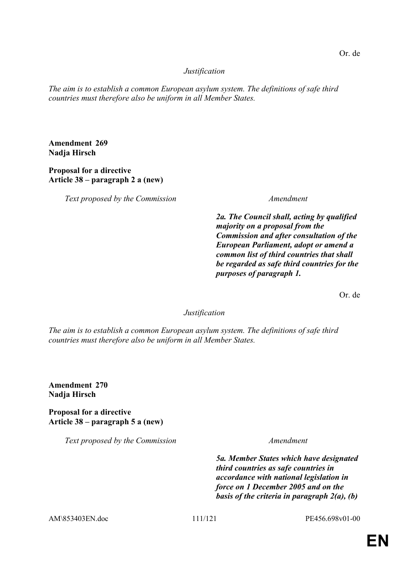# *Justification*

*The aim is to establish a common European asylum system. The definitions of safe third countries must therefore also be uniform in all Member States.*

**Amendment 269 Nadja Hirsch**

# **Proposal for a directive Article 38 – paragraph 2 a (new)**

*Text proposed by the Commission Amendment*

*2a. The Council shall, acting by qualified majority on a proposal from the Commission and after consultation of the European Parliament, adopt or amend a common list of third countries that shall be regarded as safe third countries for the purposes of paragraph 1.*

Or. de

*Justification*

*The aim is to establish a common European asylum system. The definitions of safe third countries must therefore also be uniform in all Member States.*

**Amendment 270 Nadja Hirsch**

**Proposal for a directive Article 38 – paragraph 5 a (new)** 

*Text proposed by the Commission Amendment*

*5a. Member States which have designated third countries as safe countries in accordance with national legislation in force on 1 December 2005 and on the basis of the criteria in paragraph 2(a), (b)* 

AM\853403EN.doc 111/121 PE456.698v01-00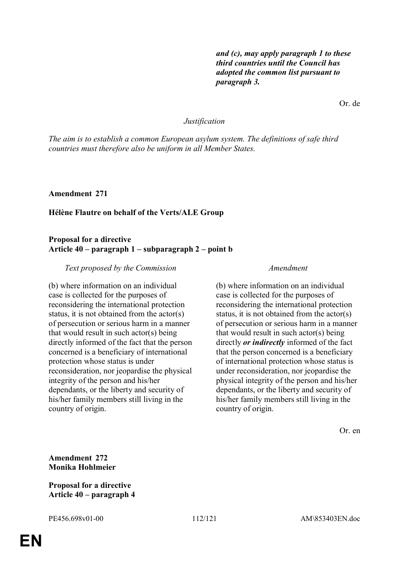*and (c), may apply paragraph 1 to these third countries until the Council has adopted the common list pursuant to paragraph 3.*

Or. de

#### *Justification*

*The aim is to establish a common European asylum system. The definitions of safe third countries must therefore also be uniform in all Member States.*

**Amendment 271**

#### **Hélène Flautre on behalf of the Verts/ALE Group**

#### **Proposal for a directive Article 40 – paragraph 1 – subparagraph 2 – point b**

#### *Text proposed by the Commission Amendment*

(b) where information on an individual case is collected for the purposes of reconsidering the international protection status, it is not obtained from the actor(s) of persecution or serious harm in a manner that would result in such actor(s) being directly informed of the fact that the person concerned is a beneficiary of international protection whose status is under reconsideration, nor jeopardise the physical integrity of the person and his/her dependants, or the liberty and security of his/her family members still living in the country of origin.

(b) where information on an individual case is collected for the purposes of reconsidering the international protection status, it is not obtained from the actor(s) of persecution or serious harm in a manner that would result in such actor(s) being directly *or indirectly* informed of the fact that the person concerned is a beneficiary of international protection whose status is under reconsideration, nor jeopardise the physical integrity of the person and his/her dependants, or the liberty and security of his/her family members still living in the country of origin.

Or. en

**Amendment 272 Monika Hohlmeier**

**Proposal for a directive Article 40 – paragraph 4**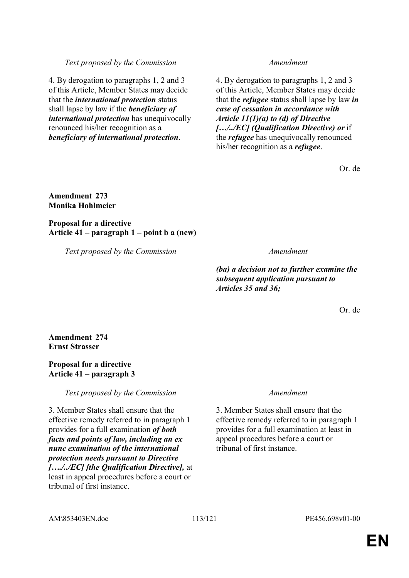4. By derogation to paragraphs 1, 2 and 3 of this Article, Member States may decide that the *international protection* status shall lapse by law if the *beneficiary of international protection* has unequivocally renounced his/her recognition as a *beneficiary of international protection*.

4. By derogation to paragraphs 1, 2 and 3 of this Article, Member States may decide that the *refugee* status shall lapse by law *in case of cessation in accordance with Article 11(1)(a) to (d) of Directive […/../EC] (Qualification Directive) or* if the *refugee* has unequivocally renounced his/her recognition as a *refugee*.

Or. de

### **Amendment 273 Monika Hohlmeier**

**Proposal for a directive Article 41 – paragraph 1 – point b a (new)** 

*Text proposed by the Commission Amendment*

*(ba) a decision not to further examine the subsequent application pursuant to Articles 35 and 36;*

Or. de

**Amendment 274 Ernst Strasser**

# **Proposal for a directive Article 41 – paragraph 3**

*Text proposed by the Commission Amendment*

3. Member States shall ensure that the effective remedy referred to in paragraph 1 provides for a full examination *of both facts and points of law, including an ex nunc examination of the international protection needs pursuant to Directive […./../EC] [the Qualification Directive],* at least in appeal procedures before a court or tribunal of first instance.

3. Member States shall ensure that the effective remedy referred to in paragraph 1 provides for a full examination at least in appeal procedures before a court or tribunal of first instance.

AM\853403EN.doc 113/121 PE456.698v01-00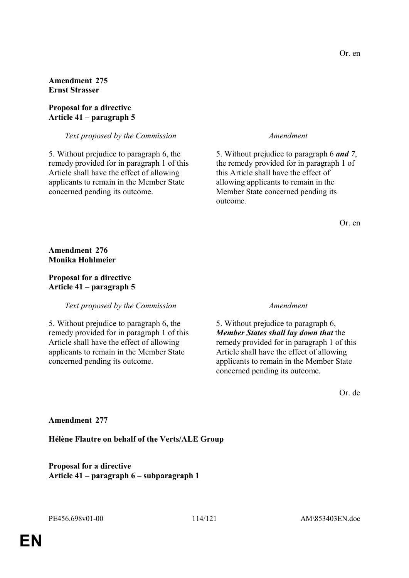**Amendment 275 Ernst Strasser**

### **Proposal for a directive Article 41 – paragraph 5**

*Text proposed by the Commission Amendment*

5. Without prejudice to paragraph 6, the remedy provided for in paragraph 1 of this Article shall have the effect of allowing applicants to remain in the Member State concerned pending its outcome.

5. Without prejudice to paragraph 6 *and 7*, the remedy provided for in paragraph 1 of this Article shall have the effect of allowing applicants to remain in the Member State concerned pending its outcome.

Or. en

**Amendment 276 Monika Hohlmeier**

### **Proposal for a directive Article 41 – paragraph 5**

*Text proposed by the Commission Amendment*

5. Without prejudice to paragraph 6, the remedy provided for in paragraph 1 of this Article shall have the effect of allowing applicants to remain in the Member State concerned pending its outcome.

5. Without prejudice to paragraph 6, *Member States shall lay down that* the remedy provided for in paragraph 1 of this Article shall have the effect of allowing applicants to remain in the Member State concerned pending its outcome.

Or. de

### **Amendment 277**

**Hélène Flautre on behalf of the Verts/ALE Group**

**Proposal for a directive Article 41 – paragraph 6 – subparagraph 1**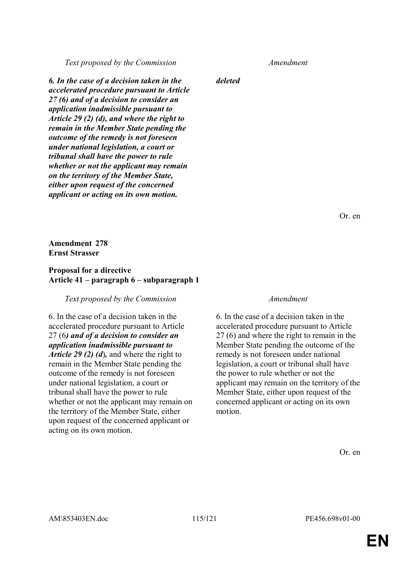*Text proposed by the Commission Amendment*

*6. In the case of a decision taken in the accelerated procedure pursuant to Article 27 (6) and of a decision to consider an application inadmissible pursuant to Article 29 (2) (d), and where the right to remain in the Member State pending the outcome of the remedy is not foreseen under national legislation, a court or tribunal shall have the power to rule whether or not the applicant may remain on the territory of the Member State, either upon request of the concerned applicant or acting on its own motion.*

*deleted*

Or. en

### **Amendment 278 Ernst Strasser**

### **Proposal for a directive Article 41 – paragraph 6 – subparagraph 1**

#### *Text proposed by the Commission Amendment*

6. In the case of a decision taken in the accelerated procedure pursuant to Article 27 (6*) and of a decision to consider an application inadmissible pursuant to Article 29 (2) (d*)*,* and where the right to remain in the Member State pending the outcome of the remedy is not foreseen under national legislation, a court or tribunal shall have the power to rule whether or not the applicant may remain on the territory of the Member State, either upon request of the concerned applicant or acting on its own motion.

6. In the case of a decision taken in the accelerated procedure pursuant to Article 27 (6) and where the right to remain in the Member State pending the outcome of the remedy is not foreseen under national legislation, a court or tribunal shall have the power to rule whether or not the applicant may remain on the territory of the Member State, either upon request of the concerned applicant or acting on its own motion.

Or. en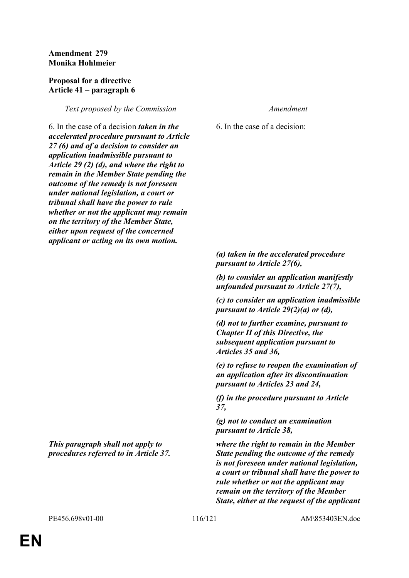### **Amendment 279 Monika Hohlmeier**

#### **Proposal for a directive Article 41 – paragraph 6**

### *Text proposed by the Commission Amendment*

6. In the case of a decision *taken in the accelerated procedure pursuant to Article 27 (6) and of a decision to consider an application inadmissible pursuant to Article 29 (2) (d), and where the right to remain in the Member State pending the outcome of the remedy is not foreseen under national legislation, a court or tribunal shall have the power to rule whether or not the applicant may remain on the territory of the Member State, either upon request of the concerned applicant or acting on its own motion.*

*This paragraph shall not apply to procedures referred to in Article 37.*

6. In the case of a decision:

*(a) taken in the accelerated procedure pursuant to Article 27(6), (b) to consider an application manifestly unfounded pursuant to Article 27(7), (c) to consider an application inadmissible pursuant to Article 29(2)(a) or (d), (d) not to further examine, pursuant to Chapter II of this Directive, the subsequent application pursuant to Articles 35 and 36, (e) to refuse to reopen the examination of an application after its discontinuation pursuant to Articles 23 and 24, (f) in the procedure pursuant to Article 37, (g) not to conduct an examination pursuant to Article 38, where the right to remain in the Member State pending the outcome of the remedy is not foreseen under national legislation, a court or tribunal shall have the power to* 

*rule whether or not the applicant may remain on the territory of the Member State, either at the request of the applicant*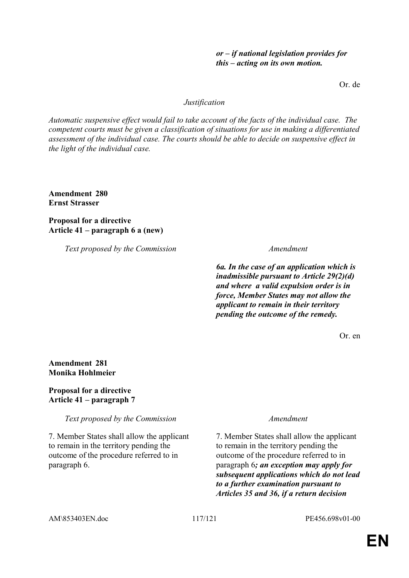# **EN**

#### *or – if national legislation provides for this – acting on its own motion.*

Or. de

#### *Justification*

*Automatic suspensive effect would fail to take account of the facts of the individual case. The competent courts must be given a classification of situations for use in making a differentiated assessment of the individual case. The courts should be able to decide on suspensive effect in the light of the individual case.*

**Amendment 280 Ernst Strasser**

**Proposal for a directive Article 41 – paragraph 6 a (new)** 

*Text proposed by the Commission Amendment*

*6a. In the case of an application which is inadmissible pursuant to Article 29(2)(d) and where a valid expulsion order is in force, Member States may not allow the applicant to remain in their territory pending the outcome of the remedy.*

Or. en

# **Amendment 281 Monika Hohlmeier**

**Proposal for a directive Article 41 – paragraph 7** 

*Text proposed by the Commission Amendment*

7. Member States shall allow the applicant to remain in the territory pending the outcome of the procedure referred to in paragraph 6.

7. Member States shall allow the applicant to remain in the territory pending the outcome of the procedure referred to in paragraph 6*; an exception may apply for subsequent applications which do not lead to a further examination pursuant to Articles 35 and 36, if a return decision*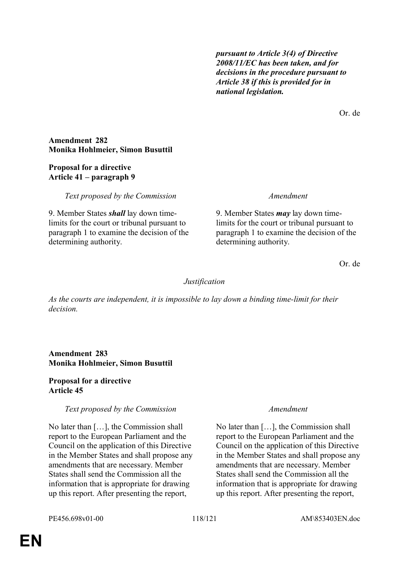*pursuant to Article 3(4) of Directive 2008/11/EC has been taken, and for decisions in the procedure pursuant to Article 38 if this is provided for in national legislation.*

Or. de

### **Amendment 282 Monika Hohlmeier, Simon Busuttil**

# **Proposal for a directive Article 41 – paragraph 9**

*Text proposed by the Commission Amendment*

9. Member States *shall* lay down timelimits for the court or tribunal pursuant to paragraph 1 to examine the decision of the determining authority.

9. Member States *may* lay down timelimits for the court or tribunal pursuant to paragraph 1 to examine the decision of the determining authority.

Or. de

# *Justification*

*As the courts are independent, it is impossible to lay down a binding time-limit for their decision.*

# **Amendment 283 Monika Hohlmeier, Simon Busuttil**

### **Proposal for a directive Article 45**

# *Text proposed by the Commission Amendment*

No later than […], the Commission shall report to the European Parliament and the Council on the application of this Directive in the Member States and shall propose any amendments that are necessary. Member States shall send the Commission all the information that is appropriate for drawing up this report. After presenting the report,

No later than […], the Commission shall report to the European Parliament and the Council on the application of this Directive in the Member States and shall propose any amendments that are necessary. Member States shall send the Commission all the information that is appropriate for drawing up this report. After presenting the report,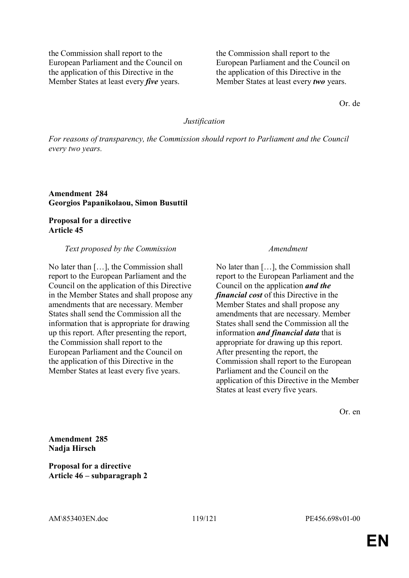the Commission shall report to the European Parliament and the Council on the application of this Directive in the Member States at least every *five* years.

the Commission shall report to the European Parliament and the Council on the application of this Directive in the Member States at least every *two* years.

Or. de

#### *Justification*

*For reasons of transparency, the Commission should report to Parliament and the Council every two years.*

**Amendment 284 Georgios Papanikolaou, Simon Busuttil**

### **Proposal for a directive Article 45**

#### *Text proposed by the Commission Amendment*

No later than […], the Commission shall report to the European Parliament and the Council on the application of this Directive in the Member States and shall propose any amendments that are necessary. Member States shall send the Commission all the information that is appropriate for drawing up this report. After presenting the report, the Commission shall report to the European Parliament and the Council on the application of this Directive in the Member States at least every five years.

No later than […], the Commission shall report to the European Parliament and the Council on the application *and the financial cost* of this Directive in the Member States and shall propose any amendments that are necessary. Member States shall send the Commission all the information *and financial data* that is appropriate for drawing up this report. After presenting the report, the Commission shall report to the European Parliament and the Council on the application of this Directive in the Member States at least every five years.

Or. en

**Amendment 285 Nadja Hirsch**

**Proposal for a directive Article 46 – subparagraph 2**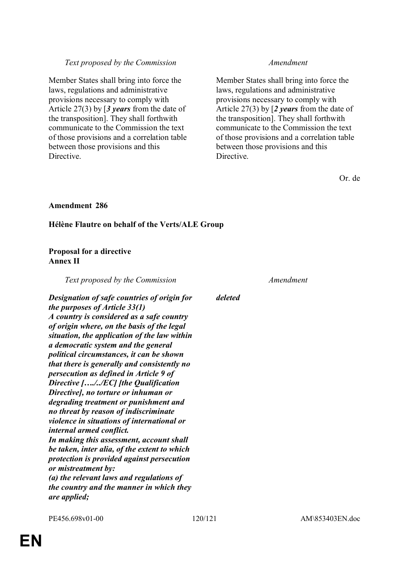# *Text proposed by the Commission Amendment*

Member States shall bring into force the laws, regulations and administrative provisions necessary to comply with Article 27(3) by [*3 years* from the date of the transposition]. They shall forthwith communicate to the Commission the text of those provisions and a correlation table between those provisions and this Directive.

Member States shall bring into force the laws, regulations and administrative provisions necessary to comply with Article 27(3) by [*2 years* from the date of the transposition]. They shall forthwith communicate to the Commission the text of those provisions and a correlation table between those provisions and this Directive.

Or. de

# **Amendment 286**

# **Hélène Flautre on behalf of the Verts/ALE Group**

# **Proposal for a directive Annex II**

*Text proposed by the Commission Amendment*

*deleted*

*Designation of safe countries of origin for the purposes of Article 33(1) A country is considered as a safe country of origin where, on the basis of the legal situation, the application of the law within a democratic system and the general political circumstances, it can be shown that there is generally and consistently no persecution as defined in Article 9 of Directive […./../EC] [the Qualification Directive], no torture or inhuman or degrading treatment or punishment and no threat by reason of indiscriminate violence in situations of international or internal armed conflict. In making this assessment, account shall be taken, inter alia, of the extent to which protection is provided against persecution or mistreatment by: (a) the relevant laws and regulations of the country and the manner in which they are applied;*